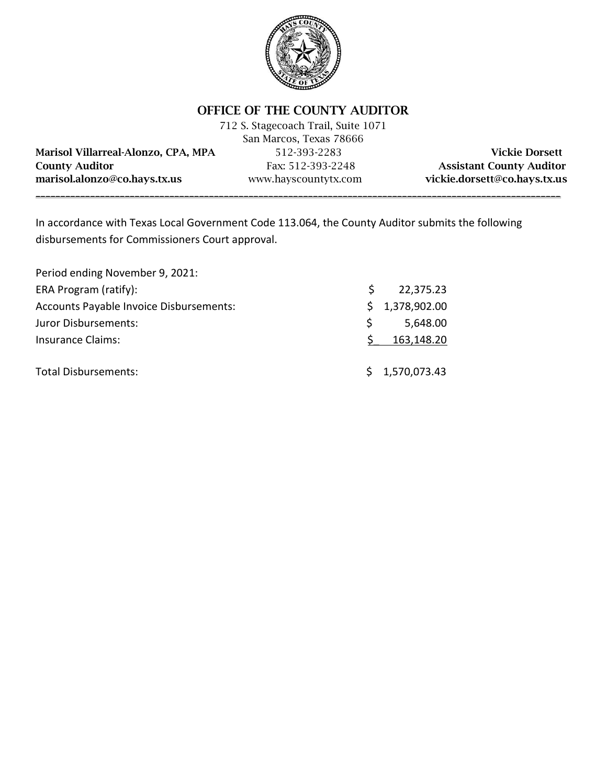

OFFICE OF THE COUNTY AUDITOR

|                                     | 712 S. Stagecoach Trail, Suite 1071 |                                 |
|-------------------------------------|-------------------------------------|---------------------------------|
|                                     | San Marcos, Texas 78666             |                                 |
| Marisol Villarreal-Alonzo, CPA, MPA | 512-393-2283                        | <b>Vickie Dorsett</b>           |
| <b>County Auditor</b>               | Fax: 512-393-2248                   | <b>Assistant County Auditor</b> |
| marisol.alonzo@co.hays.tx.us        | www.hayscountytx.com                | vickie.dorsett@co.hays.tx.us    |
|                                     |                                     |                                 |

In accordance with Texas Local Government Code 113.064, the County Auditor submits the following disbursements for Commissioners Court approval.

| Period ending November 9, 2021:         |    |                |
|-----------------------------------------|----|----------------|
| ERA Program (ratify):                   | S  | 22,375.23      |
| Accounts Payable Invoice Disbursements: |    | \$1,378,902.00 |
| Juror Disbursements:                    | S. | 5,648.00       |
| <b>Insurance Claims:</b>                |    | 163,148.20     |
| <b>Total Disbursements:</b>             |    | \$1,570,073.43 |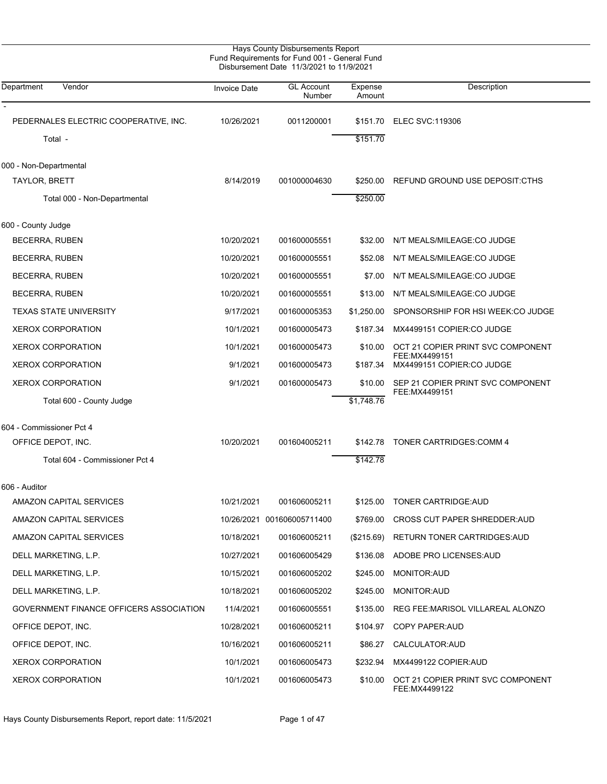| Department<br>Vendor                    | <b>Invoice Date</b> | <b>GL Account</b><br>Number | Expense<br>Amount | Description                                        |
|-----------------------------------------|---------------------|-----------------------------|-------------------|----------------------------------------------------|
| PEDERNALES ELECTRIC COOPERATIVE, INC.   | 10/26/2021          | 0011200001                  | \$151.70          | <b>ELEC SVC:119306</b>                             |
| Total -                                 |                     |                             | \$151.70          |                                                    |
| 000 - Non-Departmental                  |                     |                             |                   |                                                    |
| TAYLOR, BRETT                           | 8/14/2019           | 001000004630                | \$250.00          | REFUND GROUND USE DEPOSIT: CTHS                    |
| Total 000 - Non-Departmental            |                     |                             | \$250.00          |                                                    |
| 600 - County Judge                      |                     |                             |                   |                                                    |
| BECERRA, RUBEN                          | 10/20/2021          | 001600005551                | \$32.00           | N/T MEALS/MILEAGE:CO JUDGE                         |
| <b>BECERRA, RUBEN</b>                   | 10/20/2021          | 001600005551                | \$52.08           | N/T MEALS/MILEAGE:CO JUDGE                         |
| <b>BECERRA, RUBEN</b>                   | 10/20/2021          | 001600005551                | \$7.00            | N/T MEALS/MILEAGE:CO JUDGE                         |
| <b>BECERRA, RUBEN</b>                   | 10/20/2021          | 001600005551                | \$13.00           | N/T MEALS/MILEAGE:CO JUDGE                         |
| <b>TEXAS STATE UNIVERSITY</b>           | 9/17/2021           | 001600005353                | \$1,250.00        | SPONSORSHIP FOR HSI WEEK: CO JUDGE                 |
| XEROX CORPORATION                       | 10/1/2021           | 001600005473                | \$187.34          | MX4499151 COPIER:CO JUDGE                          |
| <b>XEROX CORPORATION</b>                | 10/1/2021           | 001600005473                | \$10.00           | OCT 21 COPIER PRINT SVC COMPONENT                  |
| <b>XEROX CORPORATION</b>                | 9/1/2021            | 001600005473                | \$187.34          | FEE: MX4499151<br>MX4499151 COPIER:CO JUDGE        |
| <b>XEROX CORPORATION</b>                | 9/1/2021            | 001600005473                | \$10.00           | SEP 21 COPIER PRINT SVC COMPONENT                  |
| Total 600 - County Judge                |                     |                             | \$1,748.76        | FEE: MX4499151                                     |
| 604 - Commissioner Pct 4                |                     |                             |                   |                                                    |
| OFFICE DEPOT, INC.                      | 10/20/2021          | 001604005211                | \$142.78          | <b>TONER CARTRIDGES:COMM 4</b>                     |
| Total 604 - Commissioner Pct 4          |                     |                             | \$142.78          |                                                    |
| 606 - Auditor                           |                     |                             |                   |                                                    |
| <b>AMAZON CAPITAL SERVICES</b>          | 10/21/2021          | 001606005211                | \$125.00          | TONER CARTRIDGE: AUD                               |
| <b>AMAZON CAPITAL SERVICES</b>          |                     | 10/26/2021 001606005711400  | \$769.00          | <b>CROSS CUT PAPER SHREDDER AUD</b>                |
| <b>AMAZON CAPITAL SERVICES</b>          | 10/18/2021          | 001606005211                |                   | (\$215.69) RETURN TONER CARTRIDGES:AUD             |
| DELL MARKETING, L.P.                    | 10/27/2021          | 001606005429                | \$136.08          | ADOBE PRO LICENSES: AUD                            |
| DELL MARKETING, L.P.                    | 10/15/2021          | 001606005202                | \$245.00          | MONITOR: AUD                                       |
| DELL MARKETING, L.P.                    | 10/18/2021          | 001606005202                | \$245.00          | <b>MONITOR: AUD</b>                                |
| GOVERNMENT FINANCE OFFICERS ASSOCIATION | 11/4/2021           | 001606005551                | \$135.00          | REG FEE: MARISOL VILLAREAL ALONZO                  |
| OFFICE DEPOT, INC.                      | 10/28/2021          | 001606005211                | \$104.97          | COPY PAPER: AUD                                    |
| OFFICE DEPOT, INC.                      | 10/16/2021          | 001606005211                |                   | \$86.27 CALCULATOR:AUD                             |
| <b>XEROX CORPORATION</b>                | 10/1/2021           | 001606005473                | \$232.94          | MX4499122 COPIER:AUD                               |
| <b>XEROX CORPORATION</b>                | 10/1/2021           | 001606005473                | \$10.00           | OCT 21 COPIER PRINT SVC COMPONENT<br>FEE:MX4499122 |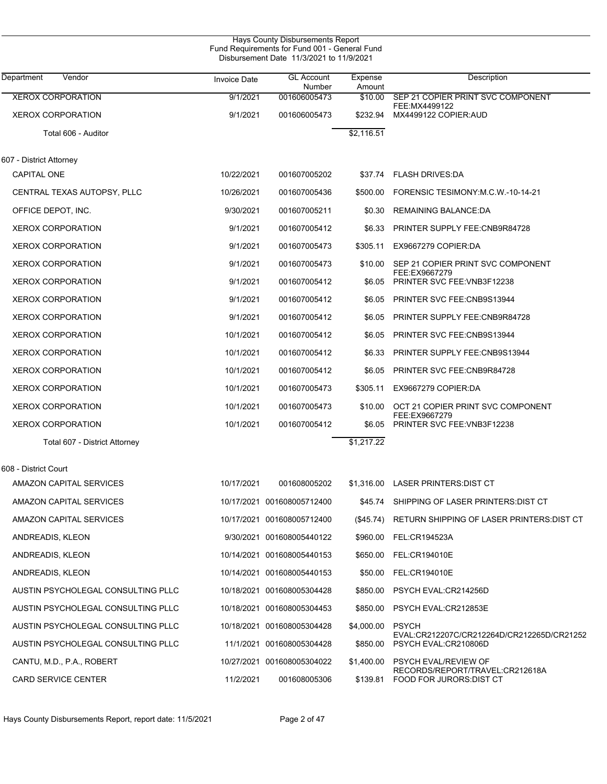| <b>Hays County Disbursements Report</b><br>Fund Requirements for Fund 001 - General Fund<br>Disbursement Date 11/3/2021 to 11/9/2021 |                     |                             |                   |                                                                    |  |  |
|--------------------------------------------------------------------------------------------------------------------------------------|---------------------|-----------------------------|-------------------|--------------------------------------------------------------------|--|--|
| Department<br>Vendor                                                                                                                 | <b>Invoice Date</b> | <b>GL Account</b><br>Number | Expense<br>Amount | Description                                                        |  |  |
| <b>XEROX CORPORATION</b>                                                                                                             | 9/1/2021            | 001606005473                | \$10.00           | SEP 21 COPIER PRINT SVC COMPONENT                                  |  |  |
| <b>XEROX CORPORATION</b>                                                                                                             | 9/1/2021            | 001606005473                | \$232.94          | FEE:MX4499122<br>MX4499122 COPIER:AUD                              |  |  |
| Total 606 - Auditor                                                                                                                  |                     |                             | \$2,116.51        |                                                                    |  |  |
| 607 - District Attornev                                                                                                              |                     |                             |                   |                                                                    |  |  |
| <b>CAPITAL ONE</b>                                                                                                                   | 10/22/2021          | 001607005202                | \$37.74           | <b>FLASH DRIVES:DA</b>                                             |  |  |
| CENTRAL TEXAS AUTOPSY, PLLC                                                                                                          | 10/26/2021          | 001607005436                | \$500.00          | FORENSIC TESIMONY M.C.W.-10-14-21                                  |  |  |
| OFFICE DEPOT, INC.                                                                                                                   | 9/30/2021           | 001607005211                | \$0.30            | <b>REMAINING BALANCE:DA</b>                                        |  |  |
| <b>XEROX CORPORATION</b>                                                                                                             | 9/1/2021            | 001607005412                | \$6.33            | PRINTER SUPPLY FEE:CNB9R84728                                      |  |  |
| <b>XEROX CORPORATION</b>                                                                                                             | 9/1/2021            | 001607005473                | \$305.11          | EX9667279 COPIER:DA                                                |  |  |
| <b>XEROX CORPORATION</b>                                                                                                             | 9/1/2021            | 001607005473                | \$10.00           | SEP 21 COPIER PRINT SVC COMPONENT                                  |  |  |
| <b>XEROX CORPORATION</b>                                                                                                             | 9/1/2021            | 001607005412                | \$6.05            | FEE:EX9667279<br>PRINTER SVC FEE: VNB3F12238                       |  |  |
| <b>XEROX CORPORATION</b>                                                                                                             | 9/1/2021            | 001607005412                | \$6.05            | PRINTER SVC FEE: CNB9S13944                                        |  |  |
| <b>XEROX CORPORATION</b>                                                                                                             | 9/1/2021            | 001607005412                | \$6.05            | PRINTER SUPPLY FEE:CNB9R84728                                      |  |  |
| <b>XEROX CORPORATION</b>                                                                                                             | 10/1/2021           | 001607005412                | \$6.05            | PRINTER SVC FEE: CNB9S13944                                        |  |  |
| <b>XEROX CORPORATION</b>                                                                                                             | 10/1/2021           | 001607005412                | \$6.33            | PRINTER SUPPLY FEE:CNB9S13944                                      |  |  |
| <b>XEROX CORPORATION</b>                                                                                                             | 10/1/2021           | 001607005412                | \$6.05            | PRINTER SVC FEE: CNB9R84728                                        |  |  |
| <b>XEROX CORPORATION</b>                                                                                                             | 10/1/2021           | 001607005473                | \$305.11          | EX9667279 COPIER:DA                                                |  |  |
| <b>XEROX CORPORATION</b>                                                                                                             | 10/1/2021           | 001607005473                | \$10.00           | OCT 21 COPIER PRINT SVC COMPONENT                                  |  |  |
| <b>XEROX CORPORATION</b>                                                                                                             | 10/1/2021           | 001607005412                | \$6.05            | FEE:EX9667279<br>PRINTER SVC FEE: VNB3F12238                       |  |  |
| Total 607 - District Attorney                                                                                                        |                     |                             | \$1,217.22        |                                                                    |  |  |
| 608 - District Court                                                                                                                 |                     |                             |                   |                                                                    |  |  |
| AMAZON CAPITAL SERVICES                                                                                                              | 10/17/2021          | 001608005202                |                   | \$1,316.00 LASER PRINTERS: DIST CT                                 |  |  |
| AMAZON CAPITAL SERVICES                                                                                                              |                     | 10/17/2021 001608005712400  | \$45.74           | SHIPPING OF LASER PRINTERS: DIST CT                                |  |  |
| AMAZON CAPITAL SERVICES                                                                                                              |                     | 10/17/2021 001608005712400  | (\$45.74)         | RETURN SHIPPING OF LASER PRINTERS: DIST CT                         |  |  |
| ANDREADIS, KLEON                                                                                                                     |                     | 9/30/2021 001608005440122   | \$960.00          | FEL:CR194523A                                                      |  |  |
| ANDREADIS, KLEON                                                                                                                     |                     | 10/14/2021 001608005440153  | \$650.00          | FEL:CR194010E                                                      |  |  |
| ANDREADIS, KLEON                                                                                                                     |                     | 10/14/2021 001608005440153  | \$50.00           | FEL:CR194010E                                                      |  |  |
| AUSTIN PSYCHOLEGAL CONSULTING PLLC                                                                                                   |                     | 10/18/2021 001608005304428  | \$850.00          | PSYCH EVAL:CR214256D                                               |  |  |
| AUSTIN PSYCHOLEGAL CONSULTING PLLC                                                                                                   |                     | 10/18/2021 001608005304453  | \$850.00          | PSYCH EVAL:CR212853E                                               |  |  |
| AUSTIN PSYCHOLEGAL CONSULTING PLLC                                                                                                   |                     | 10/18/2021 001608005304428  | \$4,000.00        | <b>PSYCH</b>                                                       |  |  |
| AUSTIN PSYCHOLEGAL CONSULTING PLLC                                                                                                   |                     | 11/1/2021 001608005304428   | \$850.00          | EVAL:CR212207C/CR212264D/CR212265D/CR21252<br>PSYCH EVAL:CR210806D |  |  |
| CANTU, M.D., P.A., ROBERT                                                                                                            |                     | 10/27/2021 001608005304022  | \$1,400.00        | <b>PSYCH EVAL/REVIEW OF</b>                                        |  |  |
| <b>CARD SERVICE CENTER</b>                                                                                                           | 11/2/2021           | 001608005306                | \$139.81          | RECORDS/REPORT/TRAVEL:CR212618A<br>FOOD FOR JURORS: DIST CT        |  |  |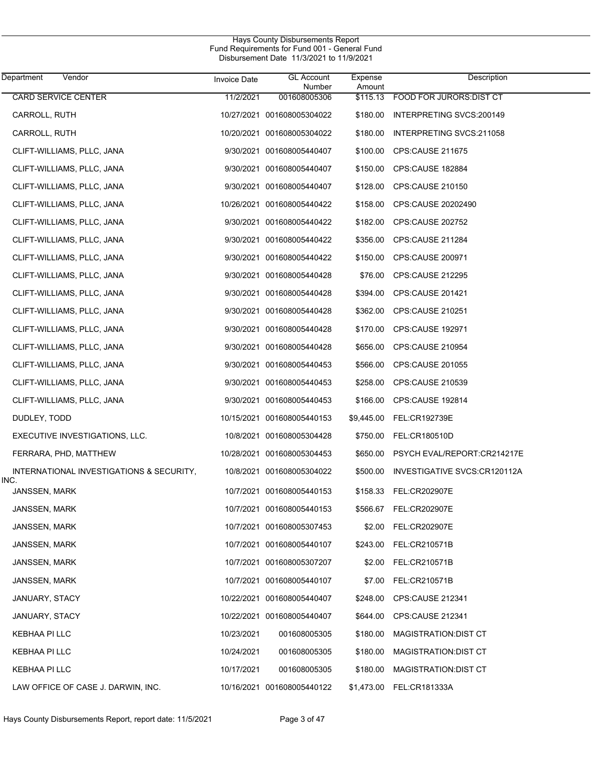| Department<br>Vendor                             | <b>Invoice Date</b> | <b>GL Account</b><br>Number | Expense<br>Amount | Description                      |
|--------------------------------------------------|---------------------|-----------------------------|-------------------|----------------------------------|
| CARD SERVICE CENTER                              | 11/2/2021           | 001608005306                |                   | \$115.13 FOOD FOR JURORS DIST CT |
| CARROLL, RUTH                                    |                     | 10/27/2021 001608005304022  | \$180.00          | INTERPRETING SVCS:200149         |
| CARROLL, RUTH                                    |                     | 10/20/2021 001608005304022  | \$180.00          | INTERPRETING SVCS:211058         |
| CLIFT-WILLIAMS, PLLC, JANA                       |                     | 9/30/2021 001608005440407   | \$100.00          | CPS:CAUSE 211675                 |
| CLIFT-WILLIAMS, PLLC, JANA                       |                     | 9/30/2021 001608005440407   | \$150.00          | CPS:CAUSE 182884                 |
| CLIFT-WILLIAMS, PLLC, JANA                       |                     | 9/30/2021 001608005440407   | \$128.00          | CPS:CAUSE 210150                 |
| CLIFT-WILLIAMS, PLLC, JANA                       |                     | 10/26/2021 001608005440422  | \$158.00          | CPS:CAUSE 20202490               |
| CLIFT-WILLIAMS, PLLC, JANA                       |                     | 9/30/2021 001608005440422   | \$182.00          | CPS:CAUSE 202752                 |
| CLIFT-WILLIAMS, PLLC, JANA                       |                     | 9/30/2021 001608005440422   | \$356.00          | CPS:CAUSE 211284                 |
| CLIFT-WILLIAMS, PLLC, JANA                       |                     | 9/30/2021 001608005440422   | \$150.00          | CPS:CAUSE 200971                 |
| CLIFT-WILLIAMS, PLLC, JANA                       |                     | 9/30/2021 001608005440428   | \$76.00           | <b>CPS:CAUSE 212295</b>          |
| CLIFT-WILLIAMS, PLLC, JANA                       |                     | 9/30/2021 001608005440428   | \$394.00          | CPS:CAUSE 201421                 |
| CLIFT-WILLIAMS, PLLC, JANA                       |                     | 9/30/2021 001608005440428   | \$362.00          | CPS:CAUSE 210251                 |
| CLIFT-WILLIAMS, PLLC, JANA                       |                     | 9/30/2021 001608005440428   | \$170.00          | CPS:CAUSE 192971                 |
| CLIFT-WILLIAMS, PLLC, JANA                       |                     | 9/30/2021 001608005440428   | \$656.00          | CPS:CAUSE 210954                 |
| CLIFT-WILLIAMS, PLLC, JANA                       |                     | 9/30/2021 001608005440453   | \$566.00          | CPS:CAUSE 201055                 |
| CLIFT-WILLIAMS, PLLC, JANA                       |                     | 9/30/2021 001608005440453   | \$258.00          | CPS:CAUSE 210539                 |
| CLIFT-WILLIAMS, PLLC, JANA                       |                     | 9/30/2021 001608005440453   | \$166.00          | CPS:CAUSE 192814                 |
| DUDLEY, TODD                                     |                     | 10/15/2021 001608005440153  | \$9,445.00        | FEL:CR192739E                    |
| EXECUTIVE INVESTIGATIONS, LLC.                   |                     | 10/8/2021 001608005304428   |                   | \$750.00 FEL:CR180510D           |
| FERRARA, PHD, MATTHEW                            |                     | 10/28/2021 001608005304453  | \$650.00          | PSYCH EVAL/REPORT:CR214217E      |
| INTERNATIONAL INVESTIGATIONS & SECURITY,<br>INC. |                     | 10/8/2021 001608005304022   | \$500.00          | INVESTIGATIVE SVCS:CR120112A     |
| JANSSEN, MARK                                    |                     | 10/7/2021 001608005440153   |                   | \$158.33 FEL:CR202907E           |
| JANSSEN, MARK                                    |                     | 10/7/2021 001608005440153   | \$566.67          | <b>FEL:CR202907E</b>             |
| JANSSEN, MARK                                    |                     | 10/7/2021 001608005307453   |                   | \$2.00 FEL:CR202907E             |
| JANSSEN, MARK                                    |                     | 10/7/2021 001608005440107   | \$243.00          | FEL:CR210571B                    |
| JANSSEN, MARK                                    |                     | 10/7/2021 001608005307207   | \$2.00            | FEL:CR210571B                    |
| JANSSEN, MARK                                    |                     | 10/7/2021 001608005440107   | \$7.00            | FEL:CR210571B                    |
| JANUARY, STACY                                   |                     | 10/22/2021 001608005440407  | \$248.00          | CPS:CAUSE 212341                 |
| JANUARY, STACY                                   |                     | 10/22/2021 001608005440407  | \$644.00          | <b>CPS:CAUSE 212341</b>          |
| KEBHAA PI LLC                                    | 10/23/2021          | 001608005305                | \$180.00          | MAGISTRATION: DIST CT            |
| KEBHAA PI LLC                                    | 10/24/2021          | 001608005305                | \$180.00          | MAGISTRATION: DIST CT            |
| KEBHAA PI LLC                                    | 10/17/2021          | 001608005305                | \$180.00          | MAGISTRATION: DIST CT            |
| LAW OFFICE OF CASE J. DARWIN, INC.               |                     | 10/16/2021 001608005440122  |                   | \$1,473.00 FEL:CR181333A         |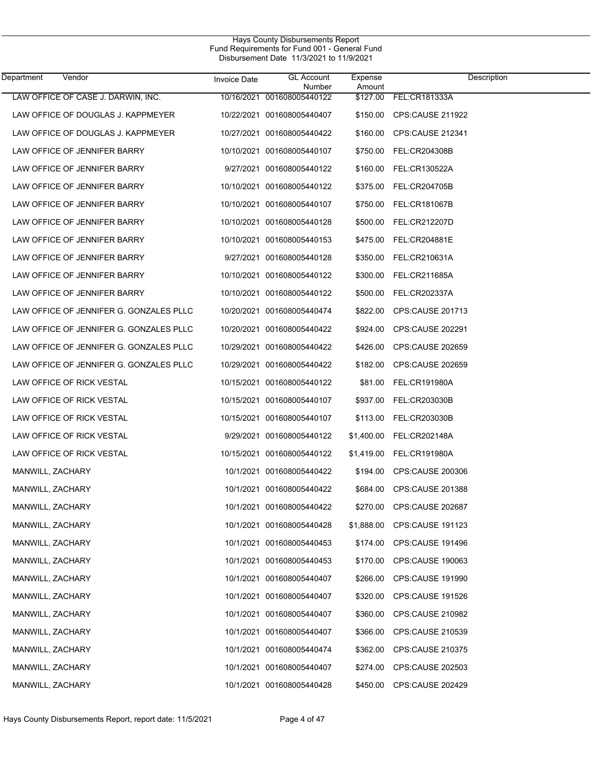| Department       | Vendor                                  | <b>Invoice Date</b> | <b>GL Account</b><br>Number | Expense<br>Amount | Description                 |
|------------------|-----------------------------------------|---------------------|-----------------------------|-------------------|-----------------------------|
|                  | LAW OFFICE OF CASE J. DARWIN, INC.      |                     | 10/16/2021 001608005440122  | \$127.00          | FEL:CR181333A               |
|                  | LAW OFFICE OF DOUGLAS J. KAPPMEYER      |                     | 10/22/2021 001608005440407  | \$150.00          | CPS:CAUSE 211922            |
|                  | LAW OFFICE OF DOUGLAS J. KAPPMEYER      |                     | 10/27/2021 001608005440422  | \$160.00          | CPS:CAUSE 212341            |
|                  | LAW OFFICE OF JENNIFER BARRY            |                     | 10/10/2021 001608005440107  | \$750.00          | FEL:CR204308B               |
|                  | LAW OFFICE OF JENNIFER BARRY            |                     | 9/27/2021 001608005440122   | \$160.00          | FEL:CR130522A               |
|                  | LAW OFFICE OF JENNIFER BARRY            |                     | 10/10/2021 001608005440122  | \$375.00          | FEL:CR204705B               |
|                  | LAW OFFICE OF JENNIFER BARRY            |                     | 10/10/2021 001608005440107  | \$750.00          | FEL:CR181067B               |
|                  | LAW OFFICE OF JENNIFER BARRY            |                     | 10/10/2021 001608005440128  | \$500.00          | FEL:CR212207D               |
|                  | LAW OFFICE OF JENNIFER BARRY            |                     | 10/10/2021 001608005440153  | \$475.00          | FEL:CR204881E               |
|                  | LAW OFFICE OF JENNIFER BARRY            |                     | 9/27/2021 001608005440128   | \$350.00          | FEL:CR210631A               |
|                  | LAW OFFICE OF JENNIFER BARRY            |                     | 10/10/2021 001608005440122  | \$300.00          | FEL:CR211685A               |
|                  | LAW OFFICE OF JENNIFER BARRY            |                     | 10/10/2021 001608005440122  | \$500.00          | FEL:CR202337A               |
|                  | LAW OFFICE OF JENNIFER G. GONZALES PLLC |                     | 10/20/2021 001608005440474  | \$822.00          | CPS:CAUSE 201713            |
|                  | LAW OFFICE OF JENNIFER G. GONZALES PLLC |                     | 10/20/2021 001608005440422  | \$924.00          | CPS:CAUSE 202291            |
|                  | LAW OFFICE OF JENNIFER G. GONZALES PLLC |                     | 10/29/2021 001608005440422  | \$426.00          | CPS:CAUSE 202659            |
|                  | LAW OFFICE OF JENNIFER G. GONZALES PLLC |                     | 10/29/2021 001608005440422  | \$182.00          | CPS:CAUSE 202659            |
|                  | LAW OFFICE OF RICK VESTAL               |                     | 10/15/2021 001608005440122  | \$81.00           | FEL:CR191980A               |
|                  | LAW OFFICE OF RICK VESTAL               |                     | 10/15/2021 001608005440107  | \$937.00          | FEL:CR203030B               |
|                  | LAW OFFICE OF RICK VESTAL               |                     | 10/15/2021 001608005440107  | \$113.00          | FEL:CR203030B               |
|                  | LAW OFFICE OF RICK VESTAL               |                     | 9/29/2021 001608005440122   | \$1,400.00        | FEL:CR202148A               |
|                  | LAW OFFICE OF RICK VESTAL               |                     | 10/15/2021 001608005440122  | \$1,419.00        | <b>FEL:CR191980A</b>        |
| MANWILL, ZACHARY |                                         |                     | 10/1/2021 001608005440422   | \$194.00          | CPS:CAUSE 200306            |
| MANWILL, ZACHARY |                                         |                     | 10/1/2021 001608005440422   | \$684.00          | CPS:CAUSE 201388            |
| MANWILL, ZACHARY |                                         |                     | 10/1/2021 001608005440422   | \$270.00          | <b>CPS:CAUSE 202687</b>     |
| MANWILL, ZACHARY |                                         |                     | 10/1/2021 001608005440428   |                   | \$1,888.00 CPS:CAUSE 191123 |
| MANWILL, ZACHARY |                                         |                     | 10/1/2021 001608005440453   | \$174.00          | CPS:CAUSE 191496            |
| MANWILL, ZACHARY |                                         |                     | 10/1/2021 001608005440453   | \$170.00          | <b>CPS:CAUSE 190063</b>     |
| MANWILL, ZACHARY |                                         |                     | 10/1/2021 001608005440407   | \$266.00          | <b>CPS:CAUSE 191990</b>     |
| MANWILL, ZACHARY |                                         |                     | 10/1/2021 001608005440407   | \$320.00          | CPS:CAUSE 191526            |
| MANWILL, ZACHARY |                                         |                     | 10/1/2021 001608005440407   | \$360.00          | CPS:CAUSE 210982            |
| MANWILL, ZACHARY |                                         |                     | 10/1/2021 001608005440407   | \$366.00          | CPS:CAUSE 210539            |
| MANWILL, ZACHARY |                                         |                     | 10/1/2021 001608005440474   | \$362.00          | <b>CPS:CAUSE 210375</b>     |
| MANWILL, ZACHARY |                                         |                     | 10/1/2021 001608005440407   | \$274.00          | CPS:CAUSE 202503            |
| MANWILL, ZACHARY |                                         |                     | 10/1/2021 001608005440428   | \$450.00          | <b>CPS:CAUSE 202429</b>     |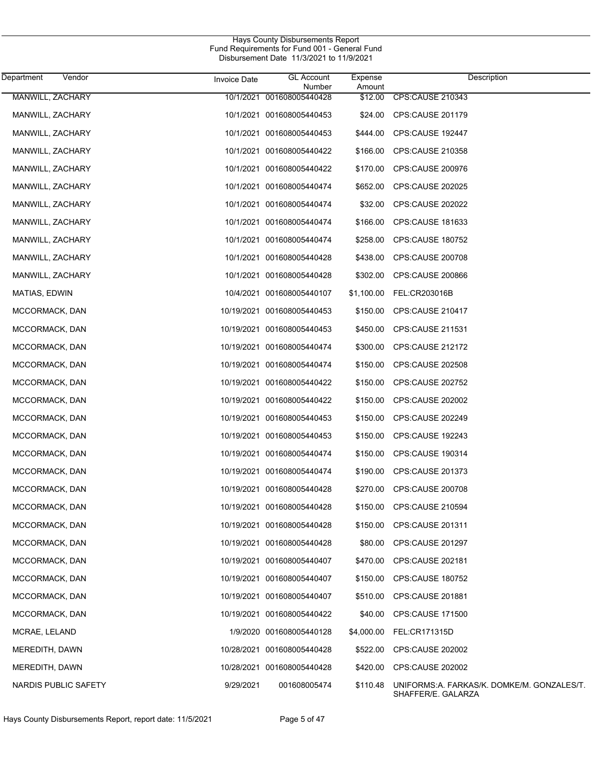| Department<br>Vendor | Invoice Date | <b>GL Account</b><br>Number | Expense<br>Amount | Description                                                       |
|----------------------|--------------|-----------------------------|-------------------|-------------------------------------------------------------------|
| MANWILL, ZACHARY     |              | 10/1/2021 001608005440428   | \$12.00           | <b>CPS CAUSE 210343</b>                                           |
| MANWILL, ZACHARY     |              | 10/1/2021 001608005440453   | \$24.00           | CPS:CAUSE 201179                                                  |
| MANWILL, ZACHARY     |              | 10/1/2021 001608005440453   | \$444.00          | CPS:CAUSE 192447                                                  |
| MANWILL, ZACHARY     |              | 10/1/2021 001608005440422   | \$166.00          | CPS:CAUSE 210358                                                  |
| MANWILL, ZACHARY     |              | 10/1/2021 001608005440422   | \$170.00          | CPS:CAUSE 200976                                                  |
| MANWILL, ZACHARY     |              | 10/1/2021 001608005440474   | \$652.00          | CPS:CAUSE 202025                                                  |
| MANWILL, ZACHARY     |              | 10/1/2021 001608005440474   | \$32.00           | CPS:CAUSE 202022                                                  |
| MANWILL, ZACHARY     |              | 10/1/2021 001608005440474   | \$166.00          | CPS:CAUSE 181633                                                  |
| MANWILL, ZACHARY     |              | 10/1/2021 001608005440474   | \$258.00          | <b>CPS:CAUSE 180752</b>                                           |
| MANWILL, ZACHARY     |              | 10/1/2021 001608005440428   | \$438.00          | CPS:CAUSE 200708                                                  |
| MANWILL, ZACHARY     |              | 10/1/2021 001608005440428   | \$302.00          | CPS:CAUSE 200866                                                  |
| MATIAS, EDWIN        |              | 10/4/2021 001608005440107   | \$1,100.00        | FEL:CR203016B                                                     |
| MCCORMACK, DAN       |              | 10/19/2021 001608005440453  | \$150.00          | CPS:CAUSE 210417                                                  |
| MCCORMACK, DAN       |              | 10/19/2021 001608005440453  | \$450.00          | CPS:CAUSE 211531                                                  |
| MCCORMACK, DAN       |              | 10/19/2021 001608005440474  | \$300.00          | CPS:CAUSE 212172                                                  |
| MCCORMACK, DAN       |              | 10/19/2021 001608005440474  | \$150.00          | CPS:CAUSE 202508                                                  |
| MCCORMACK, DAN       |              | 10/19/2021 001608005440422  | \$150.00          | CPS:CAUSE 202752                                                  |
| MCCORMACK, DAN       |              | 10/19/2021 001608005440422  | \$150.00          | CPS:CAUSE 202002                                                  |
| MCCORMACK, DAN       |              | 10/19/2021 001608005440453  | \$150.00          | CPS:CAUSE 202249                                                  |
| MCCORMACK, DAN       |              | 10/19/2021 001608005440453  | \$150.00          | CPS:CAUSE 192243                                                  |
| MCCORMACK, DAN       |              | 10/19/2021 001608005440474  | \$150.00          | <b>CPS:CAUSE 190314</b>                                           |
| MCCORMACK, DAN       |              | 10/19/2021 001608005440474  | \$190.00          | CPS:CAUSE 201373                                                  |
| MCCORMACK, DAN       |              | 10/19/2021 001608005440428  | \$270.00          | CPS:CAUSE 200708                                                  |
| MCCORMACK, DAN       |              | 10/19/2021 001608005440428  | \$150.00          | CPS:CAUSE 210594                                                  |
| MCCORMACK, DAN       |              | 10/19/2021 001608005440428  | \$150.00          | CPS:CAUSE 201311                                                  |
| MCCORMACK, DAN       |              | 10/19/2021 001608005440428  | \$80.00           | CPS:CAUSE 201297                                                  |
| MCCORMACK, DAN       |              | 10/19/2021 001608005440407  | \$470.00          | CPS:CAUSE 202181                                                  |
| MCCORMACK, DAN       |              | 10/19/2021 001608005440407  | \$150.00          | <b>CPS:CAUSE 180752</b>                                           |
| MCCORMACK, DAN       |              | 10/19/2021 001608005440407  | \$510.00          | CPS:CAUSE 201881                                                  |
| MCCORMACK, DAN       |              | 10/19/2021 001608005440422  | \$40.00           | CPS:CAUSE 171500                                                  |
| MCRAE, LELAND        |              | 1/9/2020 001608005440128    | \$4,000.00        | FEL:CR171315D                                                     |
| MEREDITH, DAWN       |              | 10/28/2021 001608005440428  | \$522.00          | CPS:CAUSE 202002                                                  |
| MEREDITH, DAWN       |              | 10/28/2021 001608005440428  | \$420.00          | <b>CPS:CAUSE 202002</b>                                           |
| NARDIS PUBLIC SAFETY | 9/29/2021    | 001608005474                | \$110.48          | UNIFORMS: A. FARKAS/K. DOMKE/M. GONZALES/T.<br>SHAFFER/E. GALARZA |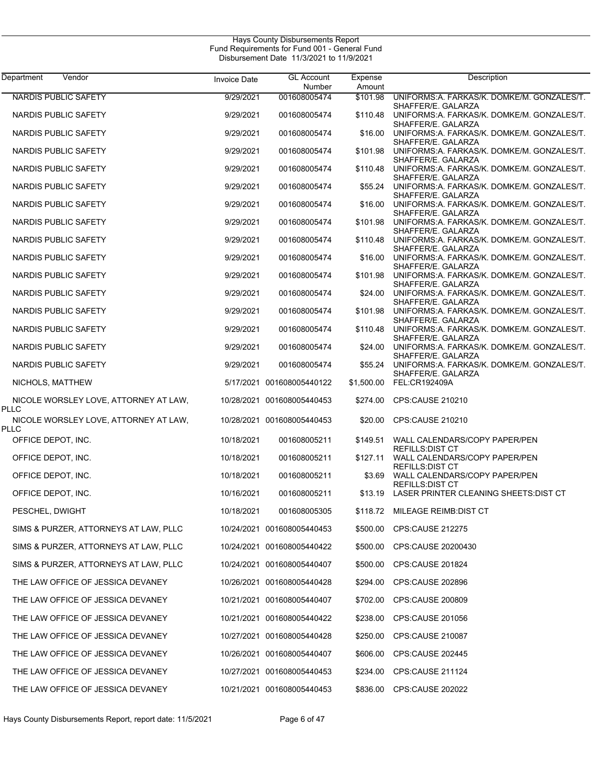| Department<br>Vendor                          | <b>Invoice Date</b> | <b>GL Account</b><br>Number | Expense<br>Amount | Description                                                                            |
|-----------------------------------------------|---------------------|-----------------------------|-------------------|----------------------------------------------------------------------------------------|
| <b>NARDIS PUBLIC SAFETY</b>                   | 9/29/2021           | 001608005474                | \$101.98          | UNIFORMS:A. FARKAS/K. DOMKE/M. GONZALES/T.<br>SHAFFER/E. GALARZA                       |
| NARDIS PUBLIC SAFETY                          | 9/29/2021           | 001608005474                | \$110.48          | UNIFORMS:A. FARKAS/K. DOMKE/M. GONZALES/T.                                             |
| NARDIS PUBLIC SAFETY                          | 9/29/2021           | 001608005474                | \$16.00           | SHAFFER/E. GALARZA<br>UNIFORMS:A. FARKAS/K. DOMKE/M. GONZALES/T.<br>SHAFFER/E. GALARZA |
| NARDIS PUBLIC SAFETY                          | 9/29/2021           | 001608005474                | \$101.98          | UNIFORMS:A. FARKAS/K. DOMKE/M. GONZALES/T.<br>SHAFFER/E. GALARZA                       |
| NARDIS PUBLIC SAFETY                          | 9/29/2021           | 001608005474                | \$110.48          | UNIFORMS:A. FARKAS/K. DOMKE/M. GONZALES/T.<br>SHAFFER/E. GALARZA                       |
| NARDIS PUBLIC SAFETY                          | 9/29/2021           | 001608005474                | \$55.24           | UNIFORMS:A. FARKAS/K. DOMKE/M. GONZALES/T.                                             |
| NARDIS PUBLIC SAFETY                          | 9/29/2021           | 001608005474                | \$16.00           | SHAFFER/E. GALARZA<br>UNIFORMS:A. FARKAS/K. DOMKE/M. GONZALES/T.                       |
| NARDIS PUBLIC SAFETY                          | 9/29/2021           | 001608005474                | \$101.98          | SHAFFER/E. GALARZA<br>UNIFORMS:A. FARKAS/K. DOMKE/M. GONZALES/T.                       |
| NARDIS PUBLIC SAFETY                          | 9/29/2021           | 001608005474                | \$110.48          | SHAFFER/E. GALARZA<br>UNIFORMS:A. FARKAS/K. DOMKE/M. GONZALES/T.                       |
| NARDIS PUBLIC SAFETY                          | 9/29/2021           | 001608005474                | \$16.00           | SHAFFER/E. GALARZA<br>UNIFORMS:A. FARKAS/K. DOMKE/M. GONZALES/T.                       |
| NARDIS PUBLIC SAFETY                          | 9/29/2021           | 001608005474                | \$101.98          | SHAFFER/E. GALARZA<br>UNIFORMS:A. FARKAS/K. DOMKE/M. GONZALES/T.                       |
| NARDIS PUBLIC SAFETY                          | 9/29/2021           | 001608005474                | \$24.00           | SHAFFER/E. GALARZA<br>UNIFORMS:A. FARKAS/K. DOMKE/M. GONZALES/T.                       |
| NARDIS PUBLIC SAFETY                          | 9/29/2021           | 001608005474                | \$101.98          | SHAFFER/E. GALARZA<br>UNIFORMS:A. FARKAS/K. DOMKE/M. GONZALES/T.                       |
| NARDIS PUBLIC SAFETY                          | 9/29/2021           | 001608005474                | \$110.48          | SHAFFER/E. GALARZA<br>UNIFORMS:A. FARKAS/K. DOMKE/M. GONZALES/T.                       |
| NARDIS PUBLIC SAFETY                          | 9/29/2021           | 001608005474                | \$24.00           | SHAFFER/E. GALARZA<br>UNIFORMS:A. FARKAS/K. DOMKE/M. GONZALES/T.<br>SHAFFER/E. GALARZA |
| NARDIS PUBLIC SAFETY                          | 9/29/2021           | 001608005474                | \$55.24           | UNIFORMS:A. FARKAS/K. DOMKE/M. GONZALES/T.                                             |
| NICHOLS, MATTHEW                              |                     | 5/17/2021 001608005440122   | \$1,500.00        | SHAFFER/E. GALARZA<br>FEL:CR192409A                                                    |
| NICOLE WORSLEY LOVE, ATTORNEY AT LAW,<br>PLLC |                     | 10/28/2021 001608005440453  | \$274.00          | CPS:CAUSE 210210                                                                       |
| NICOLE WORSLEY LOVE, ATTORNEY AT LAW,         |                     | 10/28/2021 001608005440453  | \$20.00           | CPS:CAUSE 210210                                                                       |
| PLLC<br>OFFICE DEPOT, INC.                    | 10/18/2021          | 001608005211                | \$149.51          | WALL CALENDARS/COPY PAPER/PEN                                                          |
| OFFICE DEPOT, INC.                            | 10/18/2021          | 001608005211                | \$127.11          | <b>REFILLS: DIST CT</b><br>WALL CALENDARS/COPY PAPER/PEN                               |
| OFFICE DEPOT, INC.                            | 10/18/2021          | 001608005211                | \$3.69            | REFILLS: DIST CT<br>WALL CALENDARS/COPY PAPER/PEN                                      |
| OFFICE DEPOT, INC.                            | 10/16/2021          | 001608005211                |                   | <b>REFILLS: DIST CT</b><br>\$13.19 LASER PRINTER CLEANING SHEETS DIST CT               |
| PESCHEL, DWIGHT                               | 10/18/2021          | 001608005305                |                   | \$118.72 MILEAGE REIMB:DIST CT                                                         |
| SIMS & PURZER, ATTORNEYS AT LAW, PLLC         |                     | 10/24/2021 001608005440453  |                   | \$500.00 CPS:CAUSE 212275                                                              |
| SIMS & PURZER, ATTORNEYS AT LAW, PLLC         |                     | 10/24/2021 001608005440422  | \$500.00          | CPS:CAUSE 20200430                                                                     |
| SIMS & PURZER, ATTORNEYS AT LAW, PLLC         |                     | 10/24/2021 001608005440407  | \$500.00          | CPS:CAUSE 201824                                                                       |
| THE LAW OFFICE OF JESSICA DEVANEY             |                     | 10/26/2021 001608005440428  | \$294.00          | CPS:CAUSE 202896                                                                       |
| THE LAW OFFICE OF JESSICA DEVANEY             |                     | 10/21/2021 001608005440407  | \$702.00          | CPS:CAUSE 200809                                                                       |
| THE LAW OFFICE OF JESSICA DEVANEY             |                     | 10/21/2021 001608005440422  | \$238.00          | CPS:CAUSE 201056                                                                       |
| THE LAW OFFICE OF JESSICA DEVANEY             |                     | 10/27/2021 001608005440428  | \$250.00          | CPS:CAUSE 210087                                                                       |
| THE LAW OFFICE OF JESSICA DEVANEY             |                     | 10/26/2021 001608005440407  | \$606.00          | CPS:CAUSE 202445                                                                       |
| THE LAW OFFICE OF JESSICA DEVANEY             |                     | 10/27/2021 001608005440453  | \$234.00          | CPS:CAUSE 211124                                                                       |
| THE LAW OFFICE OF JESSICA DEVANEY             |                     | 10/21/2021 001608005440453  | \$836.00          | CPS:CAUSE 202022                                                                       |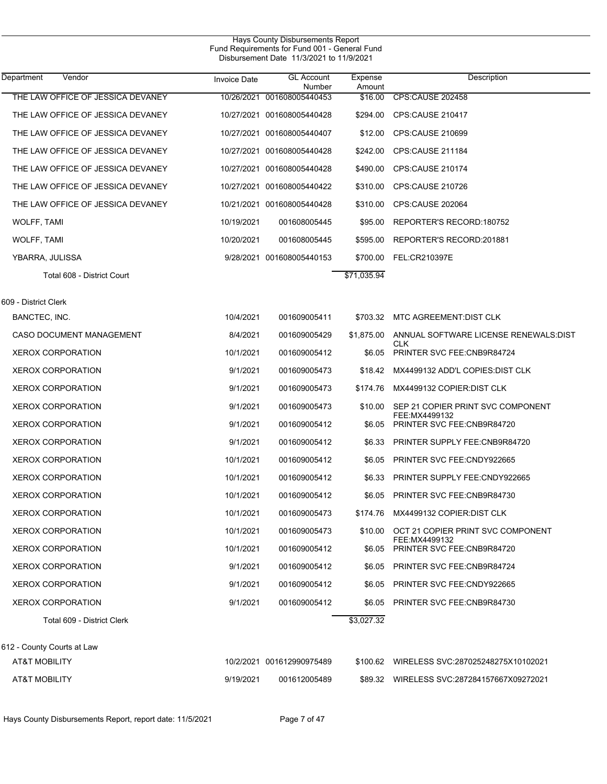| Department<br>Vendor              | <b>Invoice Date</b> | <b>GL Account</b><br>Number | Expense<br>Amount | Description                                         |
|-----------------------------------|---------------------|-----------------------------|-------------------|-----------------------------------------------------|
| THE LAW OFFICE OF JESSICA DEVANEY |                     | 10/26/2021 001608005440453  | \$16.00           | <b>CPS:CAUSE 202458</b>                             |
| THE LAW OFFICE OF JESSICA DEVANEY |                     | 10/27/2021 001608005440428  | \$294.00          | <b>CPS:CAUSE 210417</b>                             |
| THE LAW OFFICE OF JESSICA DEVANEY |                     | 10/27/2021 001608005440407  | \$12.00           | <b>CPS:CAUSE 210699</b>                             |
| THE LAW OFFICE OF JESSICA DEVANEY |                     | 10/27/2021 001608005440428  | \$242.00          | CPS:CAUSE 211184                                    |
| THE LAW OFFICE OF JESSICA DEVANEY |                     | 10/27/2021 001608005440428  | \$490.00          | <b>CPS:CAUSE 210174</b>                             |
| THE LAW OFFICE OF JESSICA DEVANEY |                     | 10/27/2021 001608005440422  | \$310.00          | <b>CPS:CAUSE 210726</b>                             |
| THE LAW OFFICE OF JESSICA DEVANEY |                     | 10/21/2021 001608005440428  | \$310.00          | <b>CPS:CAUSE 202064</b>                             |
| WOLFF, TAMI                       | 10/19/2021          | 001608005445                | \$95.00           | REPORTER'S RECORD: 180752                           |
| WOLFF, TAMI                       | 10/20/2021          | 001608005445                | \$595.00          | REPORTER'S RECORD:201881                            |
| YBARRA, JULISSA                   |                     | 9/28/2021 001608005440153   | \$700.00          | FEL:CR210397E                                       |
| Total 608 - District Court        |                     |                             | \$71,035.94       |                                                     |
| 609 - District Clerk              |                     |                             |                   |                                                     |
| BANCTEC, INC.                     | 10/4/2021           | 001609005411                |                   | \$703.32 MTC AGREEMENT DIST CLK                     |
| CASO DOCUMENT MANAGEMENT          | 8/4/2021            | 001609005429                | \$1,875.00        | ANNUAL SOFTWARE LICENSE RENEWALS:DIST               |
| <b>XEROX CORPORATION</b>          | 10/1/2021           | 001609005412                | \$6.05            | <b>CLK</b><br>PRINTER SVC FEE: CNB9R84724           |
| <b>XEROX CORPORATION</b>          | 9/1/2021            | 001609005473                |                   | \$18.42 MX4499132 ADD'L COPIES: DIST CLK            |
| <b>XEROX CORPORATION</b>          | 9/1/2021            | 001609005473                | \$174.76          | MX4499132 COPIER:DIST CLK                           |
| <b>XEROX CORPORATION</b>          | 9/1/2021            | 001609005473                | \$10.00           | SEP 21 COPIER PRINT SVC COMPONENT<br>FEE:MX4499132  |
| <b>XEROX CORPORATION</b>          | 9/1/2021            | 001609005412                | \$6.05            | PRINTER SVC FEE: CNB9R84720                         |
| <b>XEROX CORPORATION</b>          | 9/1/2021            | 001609005412                | \$6.33            | <b>PRINTER SUPPLY FEE:CNB9R84720</b>                |
| <b>XEROX CORPORATION</b>          | 10/1/2021           | 001609005412                | \$6.05            | <b>PRINTER SVC FEE:CNDY922665</b>                   |
| <b>XEROX CORPORATION</b>          | 10/1/2021           | 001609005412                | \$6.33            | PRINTER SUPPLY FEE:CNDY922665                       |
| <b>XEROX CORPORATION</b>          | 10/1/2021           | 001609005412                | \$6.05            | PRINTER SVC FEE: CNB9R84730                         |
| <b>XEROX CORPORATION</b>          | 10/1/2021           | 001609005473                |                   | \$174.76 MX4499132 COPIER:DIST CLK                  |
| <b>XEROX CORPORATION</b>          | 10/1/2021           | 001609005473                | \$10.00           | OCT 21 COPIER PRINT SVC COMPONENT<br>FEE: MX4499132 |
| <b>XEROX CORPORATION</b>          | 10/1/2021           | 001609005412                | \$6.05            | PRINTER SVC FEE: CNB9R84720                         |
| <b>XEROX CORPORATION</b>          | 9/1/2021            | 001609005412                |                   | \$6.05 PRINTER SVC FEE:CNB9R84724                   |
| <b>XEROX CORPORATION</b>          | 9/1/2021            | 001609005412                | \$6.05            | <b>PRINTER SVC FEE:CNDY922665</b>                   |
| <b>XEROX CORPORATION</b>          | 9/1/2021            | 001609005412                | \$6.05            | <b>PRINTER SVC FEE:CNB9R84730</b>                   |
| Total 609 - District Clerk        |                     |                             | \$3,027.32        |                                                     |
| 612 - County Courts at Law        |                     |                             |                   |                                                     |
| AT&T MOBILITY                     |                     | 10/2/2021 001612990975489   |                   | \$100.62 WIRELESS SVC:287025248275X10102021         |
| <b>AT&amp;T MOBILITY</b>          | 9/19/2021           | 001612005489                |                   | \$89.32 WIRELESS SVC:287284157667X09272021          |
|                                   |                     |                             |                   |                                                     |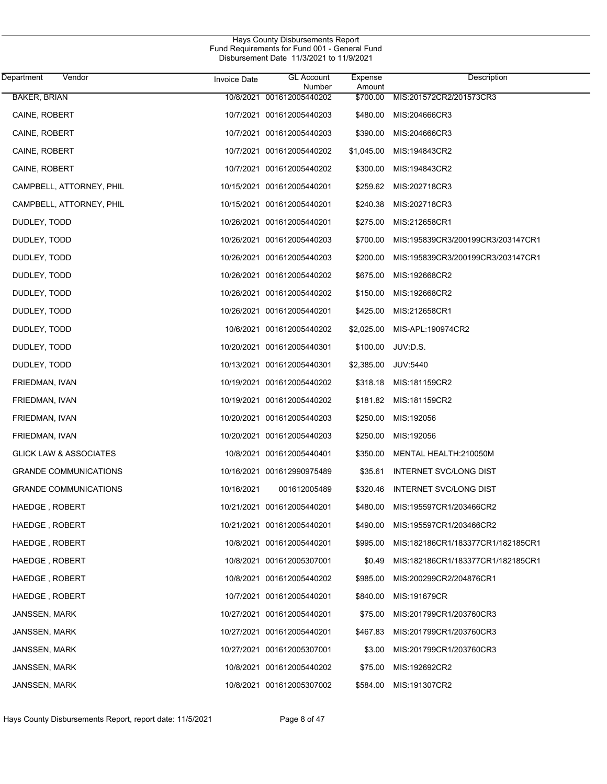| Department<br>Vendor              | <b>Invoice Date</b> | <b>GL Account</b><br>Number | Expense<br>Amount | Description                       |
|-----------------------------------|---------------------|-----------------------------|-------------------|-----------------------------------|
| <b>BAKER, BRIAN</b>               |                     | 10/8/2021 001612005440202   | \$700.00          | MIS:201572CR2/201573CR3           |
| CAINE, ROBERT                     |                     | 10/7/2021 001612005440203   | \$480.00          | MIS:204666CR3                     |
| CAINE, ROBERT                     |                     | 10/7/2021 001612005440203   | \$390.00          | MIS:204666CR3                     |
| CAINE, ROBERT                     |                     | 10/7/2021 001612005440202   | \$1,045.00        | MIS:194843CR2                     |
| CAINE, ROBERT                     |                     | 10/7/2021 001612005440202   | \$300.00          | MIS:194843CR2                     |
| CAMPBELL, ATTORNEY, PHIL          |                     | 10/15/2021 001612005440201  | \$259.62          | MIS:202718CR3                     |
| CAMPBELL, ATTORNEY, PHIL          |                     | 10/15/2021 001612005440201  | \$240.38          | MIS:202718CR3                     |
| DUDLEY, TODD                      |                     | 10/26/2021 001612005440201  | \$275.00          | MIS:212658CR1                     |
| DUDLEY, TODD                      |                     | 10/26/2021 001612005440203  | \$700.00          | MIS:195839CR3/200199CR3/203147CR1 |
| DUDLEY, TODD                      |                     | 10/26/2021 001612005440203  | \$200.00          | MIS:195839CR3/200199CR3/203147CR1 |
| DUDLEY, TODD                      |                     | 10/26/2021 001612005440202  | \$675.00          | MIS:192668CR2                     |
| DUDLEY, TODD                      |                     | 10/26/2021 001612005440202  | \$150.00          | MIS:192668CR2                     |
| DUDLEY, TODD                      |                     | 10/26/2021 001612005440201  | \$425.00          | MIS:212658CR1                     |
| DUDLEY, TODD                      |                     | 10/6/2021 001612005440202   | \$2,025.00        | MIS-APL:190974CR2                 |
| DUDLEY, TODD                      |                     | 10/20/2021 001612005440301  | \$100.00          | JUV:D.S.                          |
| DUDLEY, TODD                      |                     | 10/13/2021 001612005440301  | \$2,385.00        | JUV:5440                          |
| FRIEDMAN, IVAN                    |                     | 10/19/2021 001612005440202  | \$318.18          | MIS:181159CR2                     |
| FRIEDMAN, IVAN                    |                     | 10/19/2021 001612005440202  | \$181.82          | MIS:181159CR2                     |
| FRIEDMAN, IVAN                    |                     | 10/20/2021 001612005440203  | \$250.00          | MIS:192056                        |
| FRIEDMAN, IVAN                    |                     | 10/20/2021 001612005440203  | \$250.00          | MIS:192056                        |
| <b>GLICK LAW &amp; ASSOCIATES</b> |                     | 10/8/2021 001612005440401   | \$350.00          | MENTAL HEALTH:210050M             |
| <b>GRANDE COMMUNICATIONS</b>      |                     | 10/16/2021 001612990975489  | \$35.61           | <b>INTERNET SVC/LONG DIST</b>     |
| <b>GRANDE COMMUNICATIONS</b>      | 10/16/2021          | 001612005489                | \$320.46          | INTERNET SVC/LONG DIST            |
| HAEDGE, ROBERT                    |                     | 10/21/2021 001612005440201  | \$480.00          | MIS:195597CR1/203466CR2           |
| HAEDGE, ROBERT                    |                     | 10/21/2021 001612005440201  | \$490.00          | MIS:195597CR1/203466CR2           |
| HAEDGE, ROBERT                    |                     | 10/8/2021 001612005440201   | \$995.00          | MIS:182186CR1/183377CR1/182185CR1 |
| HAEDGE, ROBERT                    |                     | 10/8/2021 001612005307001   | \$0.49            | MIS:182186CR1/183377CR1/182185CR1 |
| HAEDGE, ROBERT                    |                     | 10/8/2021 001612005440202   | \$985.00          | MIS:200299CR2/204876CR1           |
| HAEDGE, ROBERT                    |                     | 10/7/2021 001612005440201   | \$840.00          | MIS:191679CR                      |
| <b>JANSSEN, MARK</b>              |                     | 10/27/2021 001612005440201  | \$75.00           | MIS:201799CR1/203760CR3           |
| <b>JANSSEN, MARK</b>              |                     | 10/27/2021 001612005440201  | \$467.83          | MIS:201799CR1/203760CR3           |
| <b>JANSSEN, MARK</b>              |                     | 10/27/2021 001612005307001  | \$3.00            | MIS:201799CR1/203760CR3           |
| <b>JANSSEN, MARK</b>              |                     | 10/8/2021 001612005440202   | \$75.00           | MIS:192692CR2                     |
| JANSSEN, MARK                     |                     | 10/8/2021 001612005307002   | \$584.00          | MIS:191307CR2                     |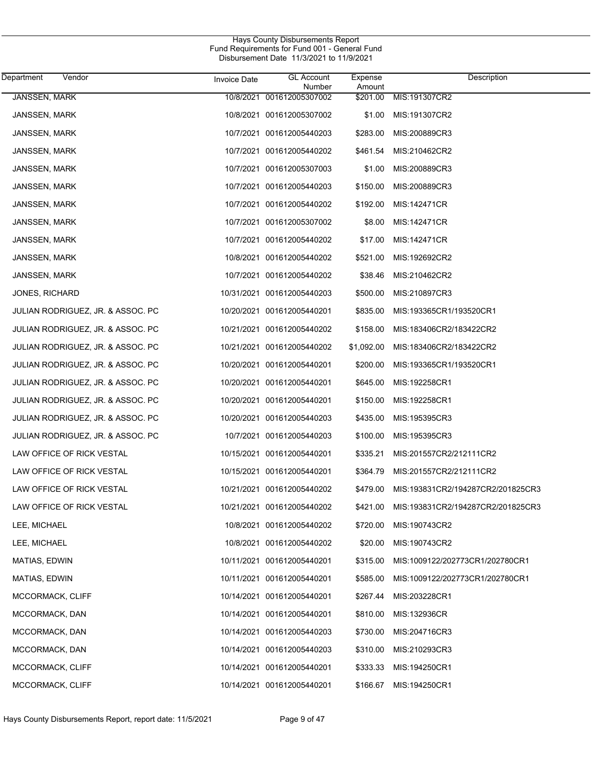| Department<br>Vendor              | Invoice Date | <b>GL</b> Account<br>Number | Expense<br>Amount | Description                       |
|-----------------------------------|--------------|-----------------------------|-------------------|-----------------------------------|
| <b>JANSSEN, MARK</b>              |              | 10/8/2021 001612005307002   | \$201.00          | MIS:191307CR2                     |
| JANSSEN, MARK                     |              | 10/8/2021 001612005307002   | \$1.00            | MIS:191307CR2                     |
| JANSSEN, MARK                     |              | 10/7/2021 001612005440203   | \$283.00          | MIS:200889CR3                     |
| JANSSEN, MARK                     |              | 10/7/2021 001612005440202   | \$461.54          | MIS:210462CR2                     |
| JANSSEN, MARK                     |              | 10/7/2021 001612005307003   | \$1.00            | MIS:200889CR3                     |
| JANSSEN, MARK                     |              | 10/7/2021 001612005440203   | \$150.00          | MIS:200889CR3                     |
| JANSSEN, MARK                     |              | 10/7/2021 001612005440202   | \$192.00          | MIS:142471CR                      |
| JANSSEN, MARK                     |              | 10/7/2021 001612005307002   | \$8.00            | MIS:142471CR                      |
| JANSSEN, MARK                     |              | 10/7/2021 001612005440202   | \$17.00           | MIS:142471CR                      |
| JANSSEN, MARK                     |              | 10/8/2021 001612005440202   | \$521.00          | MIS:192692CR2                     |
| JANSSEN, MARK                     |              | 10/7/2021 001612005440202   | \$38.46           | MIS:210462CR2                     |
| <b>JONES, RICHARD</b>             |              | 10/31/2021 001612005440203  | \$500.00          | MIS:210897CR3                     |
| JULIAN RODRIGUEZ, JR. & ASSOC. PC |              | 10/20/2021 001612005440201  | \$835.00          | MIS:193365CR1/193520CR1           |
| JULIAN RODRIGUEZ, JR. & ASSOC. PC |              | 10/21/2021 001612005440202  | \$158.00          | MIS:183406CR2/183422CR2           |
| JULIAN RODRIGUEZ, JR. & ASSOC. PC |              | 10/21/2021 001612005440202  | \$1,092.00        | MIS:183406CR2/183422CR2           |
| JULIAN RODRIGUEZ, JR. & ASSOC. PC |              | 10/20/2021 001612005440201  | \$200.00          | MIS:193365CR1/193520CR1           |
| JULIAN RODRIGUEZ, JR. & ASSOC. PC |              | 10/20/2021 001612005440201  | \$645.00          | MIS:192258CR1                     |
| JULIAN RODRIGUEZ, JR. & ASSOC. PC |              | 10/20/2021 001612005440201  | \$150.00          | MIS:192258CR1                     |
| JULIAN RODRIGUEZ, JR. & ASSOC. PC |              | 10/20/2021 001612005440203  | \$435.00          | MIS:195395CR3                     |
| JULIAN RODRIGUEZ, JR. & ASSOC. PC |              | 10/7/2021 001612005440203   | \$100.00          | MIS:195395CR3                     |
| LAW OFFICE OF RICK VESTAL         |              | 10/15/2021 001612005440201  | \$335.21          | MIS:201557CR2/212111CR2           |
| LAW OFFICE OF RICK VESTAL         |              | 10/15/2021 001612005440201  | \$364.79          | MIS:201557CR2/212111CR2           |
| LAW OFFICE OF RICK VESTAL         |              | 10/21/2021 001612005440202  | \$479.00          | MIS:193831CR2/194287CR2/201825CR3 |
| LAW OFFICE OF RICK VESTAL         |              | 10/21/2021 001612005440202  | \$421.00          | MIS:193831CR2/194287CR2/201825CR3 |
| LEE, MICHAEL                      |              | 10/8/2021 001612005440202   | \$720.00          | MIS:190743CR2                     |
| LEE, MICHAEL                      |              | 10/8/2021 001612005440202   | \$20.00           | MIS:190743CR2                     |
| MATIAS, EDWIN                     |              | 10/11/2021 001612005440201  | \$315.00          | MIS:1009122/202773CR1/202780CR1   |
| MATIAS, EDWIN                     |              | 10/11/2021 001612005440201  | \$585.00          | MIS:1009122/202773CR1/202780CR1   |
| MCCORMACK, CLIFF                  |              | 10/14/2021 001612005440201  | \$267.44          | MIS:203228CR1                     |
| MCCORMACK, DAN                    |              | 10/14/2021 001612005440201  | \$810.00          | MIS:132936CR                      |
| MCCORMACK, DAN                    |              | 10/14/2021 001612005440203  | \$730.00          | MIS:204716CR3                     |
| MCCORMACK, DAN                    |              | 10/14/2021 001612005440203  | \$310.00          | MIS:210293CR3                     |
| MCCORMACK, CLIFF                  |              | 10/14/2021 001612005440201  | \$333.33          | MIS:194250CR1                     |
| MCCORMACK, CLIFF                  |              | 10/14/2021 001612005440201  | \$166.67          | MIS:194250CR1                     |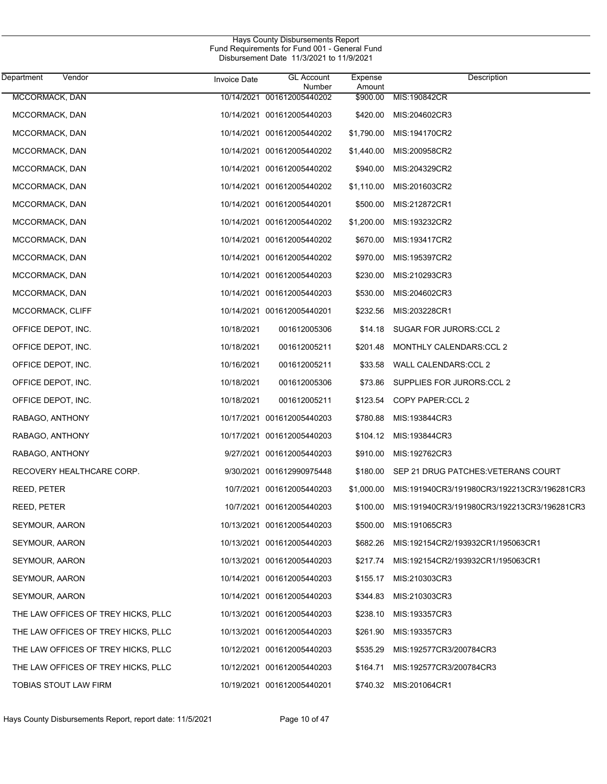| Department<br>Vendor                | <b>Invoice Date</b> | <b>GL Account</b><br>Number | Expense<br>Amount | Description                                 |
|-------------------------------------|---------------------|-----------------------------|-------------------|---------------------------------------------|
| MCCORMACK, DAN                      |                     | 10/14/2021 001612005440202  | \$900.00          | MIS:190842CR                                |
| MCCORMACK, DAN                      |                     | 10/14/2021 001612005440203  | \$420.00          | MIS:204602CR3                               |
| MCCORMACK, DAN                      |                     | 10/14/2021 001612005440202  | \$1,790.00        | MIS:194170CR2                               |
| MCCORMACK, DAN                      |                     | 10/14/2021 001612005440202  | \$1,440.00        | MIS:200958CR2                               |
| MCCORMACK, DAN                      |                     | 10/14/2021 001612005440202  | \$940.00          | MIS:204329CR2                               |
| MCCORMACK, DAN                      |                     | 10/14/2021 001612005440202  | \$1,110.00        | MIS:201603CR2                               |
| MCCORMACK, DAN                      |                     | 10/14/2021 001612005440201  | \$500.00          | MIS:212872CR1                               |
| MCCORMACK, DAN                      |                     | 10/14/2021 001612005440202  | \$1,200.00        | MIS:193232CR2                               |
| MCCORMACK, DAN                      |                     | 10/14/2021 001612005440202  | \$670.00          | MIS:193417CR2                               |
| MCCORMACK, DAN                      |                     | 10/14/2021 001612005440202  | \$970.00          | MIS:195397CR2                               |
| MCCORMACK, DAN                      |                     | 10/14/2021 001612005440203  | \$230.00          | MIS:210293CR3                               |
| MCCORMACK, DAN                      |                     | 10/14/2021 001612005440203  | \$530.00          | MIS:204602CR3                               |
| MCCORMACK, CLIFF                    |                     | 10/14/2021 001612005440201  | \$232.56          | MIS:203228CR1                               |
| OFFICE DEPOT, INC.                  | 10/18/2021          | 001612005306                | \$14.18           | SUGAR FOR JURORS: CCL 2                     |
| OFFICE DEPOT, INC.                  | 10/18/2021          | 001612005211                | \$201.48          | MONTHLY CALENDARS: CCL 2                    |
| OFFICE DEPOT, INC.                  | 10/16/2021          | 001612005211                | \$33.58           | WALL CALENDARS:CCL 2                        |
| OFFICE DEPOT, INC.                  | 10/18/2021          | 001612005306                | \$73.86           | SUPPLIES FOR JURORS:CCL 2                   |
| OFFICE DEPOT, INC.                  | 10/18/2021          | 001612005211                | \$123.54          | COPY PAPER:CCL 2                            |
| RABAGO, ANTHONY                     |                     | 10/17/2021 001612005440203  | \$780.88          | MIS:193844CR3                               |
| RABAGO, ANTHONY                     |                     | 10/17/2021 001612005440203  | \$104.12          | MIS:193844CR3                               |
| RABAGO, ANTHONY                     |                     | 9/27/2021 001612005440203   | \$910.00          | MIS:192762CR3                               |
| RECOVERY HEALTHCARE CORP.           |                     | 9/30/2021 001612990975448   | \$180.00          | SEP 21 DRUG PATCHES: VETERANS COURT         |
| REED, PETER                         |                     | 10/7/2021 001612005440203   | \$1,000.00        | MIS:191940CR3/191980CR3/192213CR3/196281CR3 |
| REED, PETER                         |                     | 10/7/2021 001612005440203   | \$100.00          | MIS:191940CR3/191980CR3/192213CR3/196281CR3 |
| SEYMOUR, AARON                      |                     | 10/13/2021 001612005440203  | \$500.00          | MIS:191065CR3                               |
| SEYMOUR, AARON                      |                     | 10/13/2021 001612005440203  | \$682.26          | MIS:192154CR2/193932CR1/195063CR1           |
| SEYMOUR, AARON                      |                     | 10/13/2021 001612005440203  | \$217.74          | MIS:192154CR2/193932CR1/195063CR1           |
| SEYMOUR, AARON                      |                     | 10/14/2021 001612005440203  | \$155.17          | MIS:210303CR3                               |
| SEYMOUR, AARON                      |                     | 10/14/2021 001612005440203  | \$344.83          | MIS:210303CR3                               |
| THE LAW OFFICES OF TREY HICKS, PLLC |                     | 10/13/2021 001612005440203  | \$238.10          | MIS:193357CR3                               |
| THE LAW OFFICES OF TREY HICKS, PLLC |                     | 10/13/2021 001612005440203  | \$261.90          | MIS:193357CR3                               |
| THE LAW OFFICES OF TREY HICKS, PLLC |                     | 10/12/2021 001612005440203  | \$535.29          | MIS:192577CR3/200784CR3                     |
| THE LAW OFFICES OF TREY HICKS, PLLC |                     | 10/12/2021 001612005440203  | \$164.71          | MIS:192577CR3/200784CR3                     |
| TOBIAS STOUT LAW FIRM               |                     | 10/19/2021 001612005440201  | \$740.32          | MIS:201064CR1                               |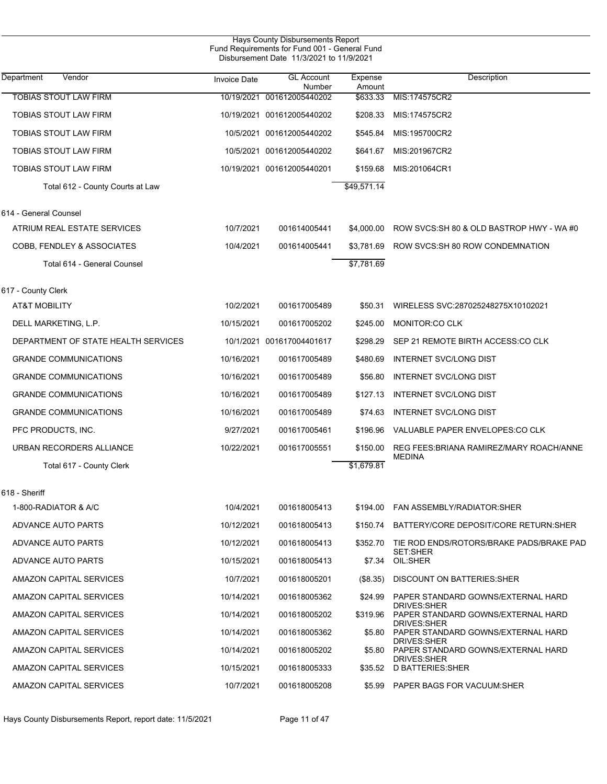| Hays County Disbursements Report<br>Fund Requirements for Fund 001 - General Fund<br>Disbursement Date 11/3/2021 to 11/9/2021 |                     |                             |                   |                                                                                |  |  |  |
|-------------------------------------------------------------------------------------------------------------------------------|---------------------|-----------------------------|-------------------|--------------------------------------------------------------------------------|--|--|--|
| Department<br>Vendor                                                                                                          | <b>Invoice Date</b> | <b>GL Account</b><br>Number | Expense<br>Amount | Description                                                                    |  |  |  |
| <b>TOBIAS STOUT LAW FIRM</b>                                                                                                  | 10/19/2021          | 001612005440202             | \$633.33          | MIS:174575CR2                                                                  |  |  |  |
| <b>TOBIAS STOUT LAW FIRM</b>                                                                                                  |                     | 10/19/2021 001612005440202  | \$208.33          | MIS:174575CR2                                                                  |  |  |  |
| <b>TOBIAS STOUT LAW FIRM</b>                                                                                                  |                     | 10/5/2021 001612005440202   | \$545.84          | MIS:195700CR2                                                                  |  |  |  |
| <b>TOBIAS STOUT LAW FIRM</b>                                                                                                  |                     | 10/5/2021 001612005440202   | \$641.67          | MIS:201967CR2                                                                  |  |  |  |
| TOBIAS STOUT LAW FIRM                                                                                                         |                     | 10/19/2021 001612005440201  | \$159.68          | MIS:201064CR1                                                                  |  |  |  |
| Total 612 - County Courts at Law                                                                                              |                     |                             | \$49,571.14       |                                                                                |  |  |  |
| 614 - General Counsel                                                                                                         |                     |                             |                   |                                                                                |  |  |  |
| ATRIUM REAL ESTATE SERVICES                                                                                                   | 10/7/2021           | 001614005441                | \$4,000.00        | ROW SVCS: SH 80 & OLD BASTROP HWY - WA #0                                      |  |  |  |
| COBB, FENDLEY & ASSOCIATES                                                                                                    | 10/4/2021           | 001614005441                | \$3,781.69        | ROW SVCS:SH 80 ROW CONDEMNATION                                                |  |  |  |
| Total 614 - General Counsel                                                                                                   |                     |                             | \$7,781.69        |                                                                                |  |  |  |
| 617 - County Clerk                                                                                                            |                     |                             |                   |                                                                                |  |  |  |
| <b>AT&amp;T MOBILITY</b>                                                                                                      | 10/2/2021           | 001617005489                | \$50.31           | WIRELESS SVC:287025248275X10102021                                             |  |  |  |
| DELL MARKETING, L.P.                                                                                                          | 10/15/2021          | 001617005202                | \$245.00          | MONITOR:CO CLK                                                                 |  |  |  |
| DEPARTMENT OF STATE HEALTH SERVICES                                                                                           |                     | 10/1/2021 001617004401617   | \$298.29          | SEP 21 REMOTE BIRTH ACCESS: CO CLK                                             |  |  |  |
| <b>GRANDE COMMUNICATIONS</b>                                                                                                  | 10/16/2021          | 001617005489                | \$480.69          | <b>INTERNET SVC/LONG DIST</b>                                                  |  |  |  |
| <b>GRANDE COMMUNICATIONS</b>                                                                                                  | 10/16/2021          | 001617005489                | \$56.80           | <b>INTERNET SVC/LONG DIST</b>                                                  |  |  |  |
| <b>GRANDE COMMUNICATIONS</b>                                                                                                  | 10/16/2021          | 001617005489                | \$127.13          | <b>INTERNET SVC/LONG DIST</b>                                                  |  |  |  |
| <b>GRANDE COMMUNICATIONS</b>                                                                                                  | 10/16/2021          | 001617005489                | \$74.63           | <b>INTERNET SVC/LONG DIST</b>                                                  |  |  |  |
| PFC PRODUCTS, INC.                                                                                                            | 9/27/2021           | 001617005461                | \$196.96          | VALUABLE PAPER ENVELOPES: CO CLK                                               |  |  |  |
| URBAN RECORDERS ALLIANCE                                                                                                      | 10/22/2021          | 001617005551                | \$150.00          | REG FEES: BRIANA RAMIREZ/MARY ROACH/ANNE                                       |  |  |  |
| Total 617 - County Clerk                                                                                                      |                     |                             | \$1,679.81        | <b>MEDINA</b>                                                                  |  |  |  |
| 618 - Sheriff                                                                                                                 |                     |                             |                   |                                                                                |  |  |  |
| 1-800-RADIATOR & A/C                                                                                                          | 10/4/2021           | 001618005413                | \$194.00          | FAN ASSEMBLY/RADIATOR:SHER                                                     |  |  |  |
| ADVANCE AUTO PARTS                                                                                                            | 10/12/2021          | 001618005413                | \$150.74          | BATTERY/CORE DEPOSIT/CORE RETURN:SHER                                          |  |  |  |
| ADVANCE AUTO PARTS                                                                                                            | 10/12/2021          | 001618005413                | \$352.70          | TIE ROD ENDS/ROTORS/BRAKE PADS/BRAKE PAD                                       |  |  |  |
| ADVANCE AUTO PARTS                                                                                                            | 10/15/2021          | 001618005413                | \$7.34            | <b>SET:SHER</b><br>OIL:SHER                                                    |  |  |  |
| AMAZON CAPITAL SERVICES                                                                                                       | 10/7/2021           | 001618005201                | (\$8.35)          | DISCOUNT ON BATTERIES: SHER                                                    |  |  |  |
| AMAZON CAPITAL SERVICES                                                                                                       | 10/14/2021          | 001618005362                | \$24.99           | PAPER STANDARD GOWNS/EXTERNAL HARD                                             |  |  |  |
| AMAZON CAPITAL SERVICES                                                                                                       | 10/14/2021          | 001618005202                | \$319.96          | <b>DRIVES:SHER</b><br>PAPER STANDARD GOWNS/EXTERNAL HARD                       |  |  |  |
| AMAZON CAPITAL SERVICES                                                                                                       | 10/14/2021          | 001618005362                | \$5.80            | <b>DRIVES:SHER</b><br>PAPER STANDARD GOWNS/EXTERNAL HARD<br><b>DRIVES:SHER</b> |  |  |  |
| AMAZON CAPITAL SERVICES                                                                                                       | 10/14/2021          | 001618005202                | \$5.80            | PAPER STANDARD GOWNS/EXTERNAL HARD                                             |  |  |  |
| AMAZON CAPITAL SERVICES                                                                                                       | 10/15/2021          | 001618005333                | \$35.52           | <b>DRIVES:SHER</b><br><b>D BATTERIES SHER</b>                                  |  |  |  |
| AMAZON CAPITAL SERVICES                                                                                                       | 10/7/2021           | 001618005208                |                   | \$5.99 PAPER BAGS FOR VACUUM:SHER                                              |  |  |  |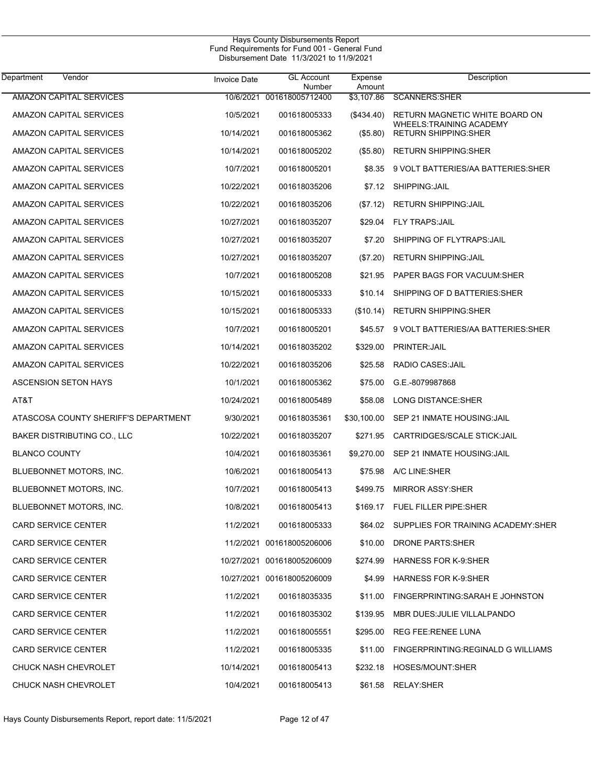| Vendor<br>Department                 | <b>Invoice Date</b> | <b>GL Account</b><br>Number | Expense<br>Amount | Description                                            |
|--------------------------------------|---------------------|-----------------------------|-------------------|--------------------------------------------------------|
| <b>AMAZON CAPITAL SERVICES</b>       |                     | 10/6/2021 001618005712400   | \$3,107.86        | <b>SCANNERS SHER</b>                                   |
| AMAZON CAPITAL SERVICES              | 10/5/2021           | 001618005333                | $(\$434.40)$      | RETURN MAGNETIC WHITE BOARD ON                         |
| AMAZON CAPITAL SERVICES              | 10/14/2021          | 001618005362                | $($ \$5.80)       | WHEELS:TRAINING ACADEMY<br><b>RETURN SHIPPING:SHER</b> |
| AMAZON CAPITAL SERVICES              | 10/14/2021          | 001618005202                | (\$5.80)          | <b>RETURN SHIPPING: SHER</b>                           |
| AMAZON CAPITAL SERVICES              | 10/7/2021           | 001618005201                | \$8.35            | 9 VOLT BATTERIES/AA BATTERIES:SHER                     |
| AMAZON CAPITAL SERVICES              | 10/22/2021          | 001618035206                | \$7.12            | SHIPPING: JAIL                                         |
| AMAZON CAPITAL SERVICES              | 10/22/2021          | 001618035206                | (\$7.12)          | <b>RETURN SHIPPING: JAIL</b>                           |
| AMAZON CAPITAL SERVICES              | 10/27/2021          | 001618035207                | \$29.04           | <b>FLY TRAPS:JAIL</b>                                  |
| AMAZON CAPITAL SERVICES              | 10/27/2021          | 001618035207                | \$7.20            | SHIPPING OF FLYTRAPS: JAIL                             |
| AMAZON CAPITAL SERVICES              | 10/27/2021          | 001618035207                | (\$7.20)          | <b>RETURN SHIPPING: JAIL</b>                           |
| AMAZON CAPITAL SERVICES              | 10/7/2021           | 001618005208                | \$21.95           | PAPER BAGS FOR VACUUM:SHER                             |
| AMAZON CAPITAL SERVICES              | 10/15/2021          | 001618005333                | \$10.14           | SHIPPING OF D BATTERIES: SHER                          |
| AMAZON CAPITAL SERVICES              | 10/15/2021          | 001618005333                | (\$10.14)         | <b>RETURN SHIPPING: SHER</b>                           |
| AMAZON CAPITAL SERVICES              | 10/7/2021           | 001618005201                | \$45.57           | 9 VOLT BATTERIES/AA BATTERIES: SHER                    |
| AMAZON CAPITAL SERVICES              | 10/14/2021          | 001618035202                | \$329.00          | PRINTER: JAIL                                          |
| AMAZON CAPITAL SERVICES              | 10/22/2021          | 001618035206                | \$25.58           | RADIO CASES: JAIL                                      |
| ASCENSION SETON HAYS                 | 10/1/2021           | 001618005362                | \$75.00           | G.E.-8079987868                                        |
| AT&T                                 | 10/24/2021          | 001618005489                | \$58.08           | LONG DISTANCE:SHER                                     |
| ATASCOSA COUNTY SHERIFF'S DEPARTMENT | 9/30/2021           | 001618035361                | \$30,100.00       | SEP 21 INMATE HOUSING: JAIL                            |
| <b>BAKER DISTRIBUTING CO., LLC</b>   | 10/22/2021          | 001618035207                | \$271.95          | CARTRIDGES/SCALE STICK: JAIL                           |
| <b>BLANCO COUNTY</b>                 | 10/4/2021           | 001618035361                | \$9,270.00        | SEP 21 INMATE HOUSING: JAIL                            |
| BLUEBONNET MOTORS, INC.              | 10/6/2021           | 001618005413                | \$75.98           | A/C LINE:SHER                                          |
| BLUEBONNET MOTORS, INC.              | 10/7/2021           | 001618005413                | \$499.75          | <b>MIRROR ASSY:SHER</b>                                |
| BLUEBONNET MOTORS, INC.              | 10/8/2021           | 001618005413                | \$169.17          | FUEL FILLER PIPE:SHER                                  |
| <b>CARD SERVICE CENTER</b>           | 11/2/2021           | 001618005333                |                   | \$64.02 SUPPLIES FOR TRAINING ACADEMY:SHER             |
| <b>CARD SERVICE CENTER</b>           |                     | 11/2/2021 001618005206006   | \$10.00           | DRONE PARTS: SHER                                      |
| <b>CARD SERVICE CENTER</b>           |                     | 10/27/2021 001618005206009  | \$274.99          | <b>HARNESS FOR K-9 SHER</b>                            |
| <b>CARD SERVICE CENTER</b>           |                     | 10/27/2021 001618005206009  | \$4.99            | <b>HARNESS FOR K-9 SHER</b>                            |
| <b>CARD SERVICE CENTER</b>           | 11/2/2021           | 001618035335                | \$11.00           | FINGERPRINTING: SARAH E JOHNSTON                       |
| <b>CARD SERVICE CENTER</b>           | 11/2/2021           | 001618035302                | \$139.95          | MBR DUES: JULIE VILLALPANDO                            |
| <b>CARD SERVICE CENTER</b>           | 11/2/2021           | 001618005551                | \$295.00          | REG FEE:RENEE LUNA                                     |
| <b>CARD SERVICE CENTER</b>           | 11/2/2021           | 001618005335                | \$11.00           | FINGERPRINTING:REGINALD G WILLIAMS                     |
| CHUCK NASH CHEVROLET                 | 10/14/2021          | 001618005413                | \$232.18          | HOSES/MOUNT:SHER                                       |
| CHUCK NASH CHEVROLET                 | 10/4/2021           | 001618005413                | \$61.58           | RELAY:SHER                                             |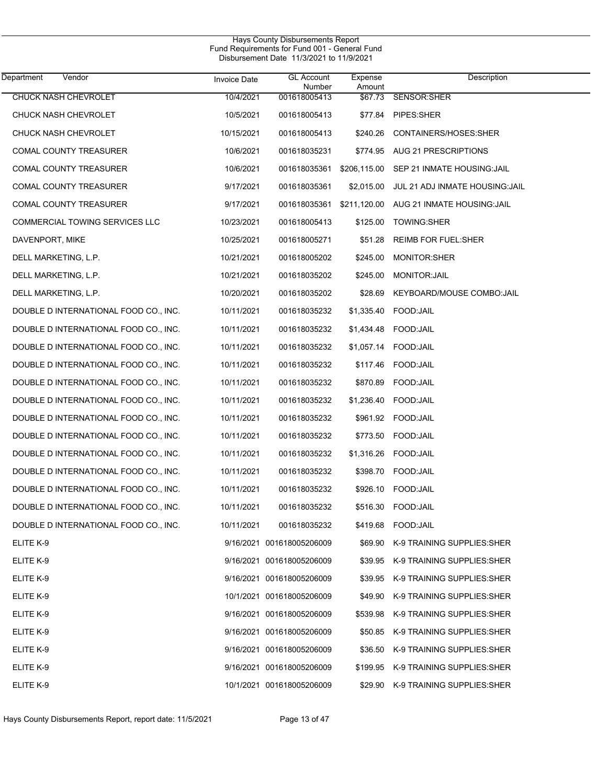| Department<br>Vendor                  | <b>Invoice Date</b> | <b>GL</b> Account<br>Number | Expense<br>Amount | Description                             |
|---------------------------------------|---------------------|-----------------------------|-------------------|-----------------------------------------|
| <b>CHUCK NASH CHEVROLET</b>           | 10/4/2021           | 001618005413                | \$67.73           | SENSOR:SHER                             |
| <b>CHUCK NASH CHEVROLET</b>           | 10/5/2021           | 001618005413                | \$77.84           | PIPES:SHER                              |
| <b>CHUCK NASH CHEVROLET</b>           | 10/15/2021          | 001618005413                | \$240.26          | CONTAINERS/HOSES:SHER                   |
| COMAL COUNTY TREASURER                | 10/6/2021           | 001618035231                |                   | \$774.95 AUG 21 PRESCRIPTIONS           |
| COMAL COUNTY TREASURER                | 10/6/2021           | 001618035361                | \$206,115.00      | SEP 21 INMATE HOUSING: JAIL             |
| COMAL COUNTY TREASURER                | 9/17/2021           | 001618035361                | \$2,015.00        | JUL 21 ADJ INMATE HOUSING:JAIL          |
| COMAL COUNTY TREASURER                | 9/17/2021           | 001618035361                |                   | \$211,120.00 AUG 21 INMATE HOUSING:JAIL |
| COMMERCIAL TOWING SERVICES LLC        | 10/23/2021          | 001618005413                | \$125.00          | TOWING:SHER                             |
| DAVENPORT, MIKE                       | 10/25/2021          | 001618005271                | \$51.28           | <b>REIMB FOR FUEL:SHER</b>              |
| DELL MARKETING, L.P.                  | 10/21/2021          | 001618005202                | \$245.00          | MONITOR:SHER                            |
| DELL MARKETING, L.P.                  | 10/21/2021          | 001618035202                | \$245.00          | MONITOR: JAIL                           |
| DELL MARKETING, L.P.                  | 10/20/2021          | 001618035202                | \$28.69           | KEYBOARD/MOUSE COMBO:JAIL               |
| DOUBLE D INTERNATIONAL FOOD CO., INC. | 10/11/2021          | 001618035232                | \$1,335.40        | FOOD:JAIL                               |
| DOUBLE D INTERNATIONAL FOOD CO., INC. | 10/11/2021          | 001618035232                | \$1,434.48        | FOOD:JAIL                               |
| DOUBLE D INTERNATIONAL FOOD CO., INC. | 10/11/2021          | 001618035232                | \$1,057.14        | FOOD: JAIL                              |
| DOUBLE D INTERNATIONAL FOOD CO., INC. | 10/11/2021          | 001618035232                | \$117.46          | FOOD:JAIL                               |
| DOUBLE D INTERNATIONAL FOOD CO., INC. | 10/11/2021          | 001618035232                | \$870.89          | FOOD:JAIL                               |
| DOUBLE D INTERNATIONAL FOOD CO., INC. | 10/11/2021          | 001618035232                | \$1,236.40        | FOOD:JAIL                               |
| DOUBLE D INTERNATIONAL FOOD CO., INC. | 10/11/2021          | 001618035232                |                   | \$961.92 FOOD:JAIL                      |
| DOUBLE D INTERNATIONAL FOOD CO., INC. | 10/11/2021          | 001618035232                | \$773.50          | FOOD:JAIL                               |
| DOUBLE D INTERNATIONAL FOOD CO., INC. | 10/11/2021          | 001618035232                | \$1,316.26        | FOOD:JAIL                               |
| DOUBLE D INTERNATIONAL FOOD CO., INC. | 10/11/2021          | 001618035232                | \$398.70          | FOOD:JAIL                               |
| DOUBLE D INTERNATIONAL FOOD CO., INC. | 10/11/2021          | 001618035232                | \$926.10          | FOOD:JAIL                               |
| DOUBLE D INTERNATIONAL FOOD CO., INC. | 10/11/2021          | 001618035232                | \$516.30          | FOOD:JAIL                               |
| DOUBLE D INTERNATIONAL FOOD CO., INC. | 10/11/2021          | 001618035232                |                   | \$419.68 FOOD: JAIL                     |
| ELITE K-9                             |                     | 9/16/2021 001618005206009   | \$69.90           | K-9 TRAINING SUPPLIES: SHER             |
| ELITE K-9                             |                     | 9/16/2021 001618005206009   | \$39.95           | K-9 TRAINING SUPPLIES:SHER              |
| ELITE K-9                             |                     | 9/16/2021 001618005206009   | \$39.95           | K-9 TRAINING SUPPLIES:SHER              |
| ELITE K-9                             |                     | 10/1/2021 001618005206009   | \$49.90           | K-9 TRAINING SUPPLIES: SHER             |
| ELITE K-9                             |                     | 9/16/2021 001618005206009   | \$539.98          | K-9 TRAINING SUPPLIES: SHER             |
| ELITE K-9                             |                     | 9/16/2021 001618005206009   | \$50.85           | K-9 TRAINING SUPPLIES: SHER             |
| ELITE K-9                             |                     | 9/16/2021 001618005206009   | \$36.50           | K-9 TRAINING SUPPLIES: SHER             |
| ELITE K-9                             |                     | 9/16/2021 001618005206009   | \$199.95          | K-9 TRAINING SUPPLIES:SHER              |
| ELITE K-9                             |                     | 10/1/2021 001618005206009   |                   | \$29.90 K-9 TRAINING SUPPLIES: SHER     |
|                                       |                     |                             |                   |                                         |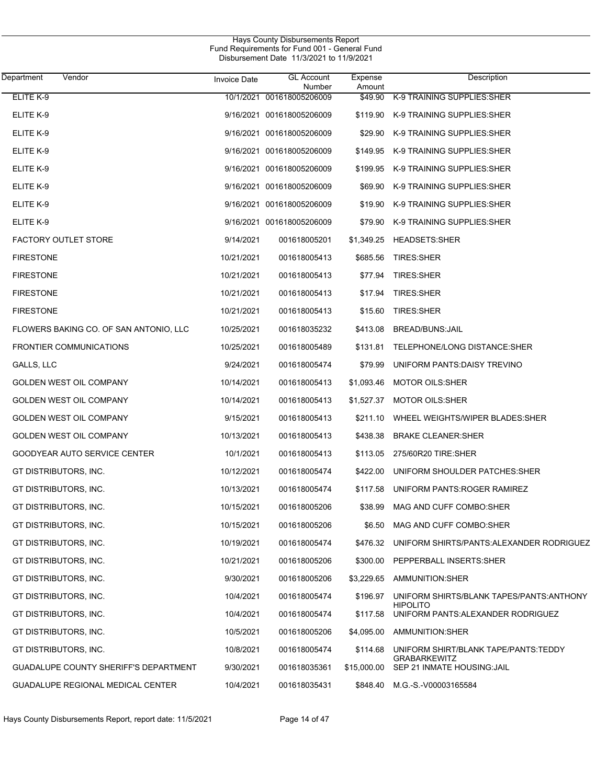| Department<br>Vendor                         | <b>Invoice Date</b> | <b>GL</b> Account<br>Number | Expense<br>Amount | Description                                                  |
|----------------------------------------------|---------------------|-----------------------------|-------------------|--------------------------------------------------------------|
| ELITE K-9                                    |                     | 10/1/2021 001618005206009   | \$49.90           | K-9 TRAINING SUPPLIES: SHER                                  |
| ELITE K-9                                    |                     | 9/16/2021 001618005206009   |                   | \$119.90 K-9 TRAINING SUPPLIES: SHER                         |
| ELITE K-9                                    |                     | 9/16/2021 001618005206009   |                   | \$29.90 K-9 TRAINING SUPPLIES:SHER                           |
| ELITE K-9                                    |                     | 9/16/2021 001618005206009   |                   | \$149.95 K-9 TRAINING SUPPLIES: SHER                         |
| ELITE K-9                                    |                     | 9/16/2021 001618005206009   |                   | \$199.95 K-9 TRAINING SUPPLIES: SHER                         |
| ELITE K-9                                    |                     | 9/16/2021 001618005206009   |                   | \$69.90 K-9 TRAINING SUPPLIES: SHER                          |
| ELITE K-9                                    |                     | 9/16/2021 001618005206009   |                   | \$19.90 K-9 TRAINING SUPPLIES: SHER                          |
| ELITE K-9                                    |                     | 9/16/2021 001618005206009   |                   | \$79.90 K-9 TRAINING SUPPLIES: SHER                          |
| <b>FACTORY OUTLET STORE</b>                  | 9/14/2021           | 001618005201                |                   | \$1,349.25 HEADSETS:SHER                                     |
| <b>FIRESTONE</b>                             | 10/21/2021          | 001618005413                | \$685.56          | TIRES: SHER                                                  |
| <b>FIRESTONE</b>                             | 10/21/2021          | 001618005413                | \$77.94           | <b>TIRES:SHER</b>                                            |
| <b>FIRESTONE</b>                             | 10/21/2021          | 001618005413                | \$17.94           | <b>TIRES:SHER</b>                                            |
| <b>FIRESTONE</b>                             | 10/21/2021          | 001618005413                | \$15.60           | TIRES:SHER                                                   |
| FLOWERS BAKING CO. OF SAN ANTONIO, LLC       | 10/25/2021          | 001618035232                | \$413.08          | BREAD/BUNS: JAIL                                             |
| <b>FRONTIER COMMUNICATIONS</b>               | 10/25/2021          | 001618005489                |                   | \$131.81 TELEPHONE/LONG DISTANCE:SHER                        |
| GALLS, LLC                                   | 9/24/2021           | 001618005474                | \$79.99           | UNIFORM PANTS: DAISY TREVINO                                 |
| GOLDEN WEST OIL COMPANY                      | 10/14/2021          | 001618005413                |                   | \$1,093.46 MOTOR OILS:SHER                                   |
| <b>GOLDEN WEST OIL COMPANY</b>               | 10/14/2021          | 001618005413                |                   | \$1,527.37 MOTOR OILS:SHER                                   |
| <b>GOLDEN WEST OIL COMPANY</b>               | 9/15/2021           | 001618005413                |                   | \$211.10 WHEEL WEIGHTS/WIPER BLADES:SHER                     |
| <b>GOLDEN WEST OIL COMPANY</b>               | 10/13/2021          | 001618005413                | \$438.38          | <b>BRAKE CLEANER: SHER</b>                                   |
| GOODYEAR AUTO SERVICE CENTER                 | 10/1/2021           | 001618005413                | \$113.05          | 275/60R20 TIRE:SHER                                          |
| GT DISTRIBUTORS, INC.                        | 10/12/2021          | 001618005474                | \$422.00          | UNIFORM SHOULDER PATCHES: SHER                               |
| GT DISTRIBUTORS, INC.                        | 10/13/2021          | 001618005474                | \$117.58          | UNIFORM PANTS: ROGER RAMIREZ                                 |
| GT DISTRIBUTORS, INC.                        | 10/15/2021          | 001618005206                | \$38.99           | MAG AND CUFF COMBO:SHER                                      |
| GT DISTRIBUTORS, INC.                        | 10/15/2021          | 001618005206                |                   | \$6.50 MAG AND CUFF COMBO SHER                               |
| GT DISTRIBUTORS, INC.                        | 10/19/2021          | 001618005474                |                   | \$476.32 UNIFORM SHIRTS/PANTS: ALEXANDER RODRIGUEZ           |
| GT DISTRIBUTORS, INC.                        | 10/21/2021          | 001618005206                |                   | \$300.00 PEPPERBALL INSERTS: SHER                            |
| GT DISTRIBUTORS, INC.                        | 9/30/2021           | 001618005206                | \$3,229.65        | AMMUNITION:SHER                                              |
| GT DISTRIBUTORS, INC.                        | 10/4/2021           | 001618005474                | \$196.97          | UNIFORM SHIRTS/BLANK TAPES/PANTS: ANTHONY<br><b>HIPOLITO</b> |
| GT DISTRIBUTORS, INC.                        | 10/4/2021           | 001618005474                | \$117.58          | UNIFORM PANTS: ALEXANDER RODRIGUEZ                           |
| GT DISTRIBUTORS, INC.                        | 10/5/2021           | 001618005206                |                   | \$4,095.00 AMMUNITION:SHER                                   |
| GT DISTRIBUTORS, INC.                        | 10/8/2021           | 001618005474                | \$114.68          | UNIFORM SHIRT/BLANK TAPE/PANTS:TEDDY                         |
| <b>GUADALUPE COUNTY SHERIFF'S DEPARTMENT</b> | 9/30/2021           | 001618035361                | \$15,000.00       | <b>GRABARKEWITZ</b><br>SEP 21 INMATE HOUSING: JAIL           |
| GUADALUPE REGIONAL MEDICAL CENTER            | 10/4/2021           | 001618035431                |                   | \$848.40 M.G.-S.-V00003165584                                |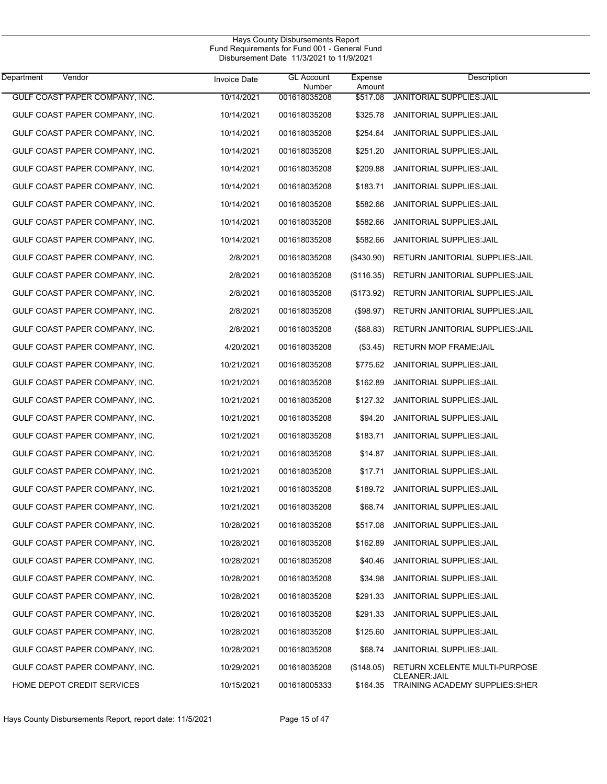| Department<br>Vendor           | <b>Invoice Date</b> | <b>GL Account</b><br>Number | Expense<br>Amount | Description                                                   |
|--------------------------------|---------------------|-----------------------------|-------------------|---------------------------------------------------------------|
| GULF COAST PAPER COMPANY, INC. | 10/14/2021          | 001618035208                | \$517.08          | <b>JANITORIAL SUPPLIES: JAIL</b>                              |
| GULF COAST PAPER COMPANY, INC. | 10/14/2021          | 001618035208                | \$325.78          | <b>JANITORIAL SUPPLIES: JAIL</b>                              |
| GULF COAST PAPER COMPANY, INC. | 10/14/2021          | 001618035208                | \$254.64          | <b>JANITORIAL SUPPLIES: JAIL</b>                              |
| GULF COAST PAPER COMPANY, INC. | 10/14/2021          | 001618035208                | \$251.20          | <b>JANITORIAL SUPPLIES: JAIL</b>                              |
| GULF COAST PAPER COMPANY, INC. | 10/14/2021          | 001618035208                | \$209.88          | <b>JANITORIAL SUPPLIES: JAIL</b>                              |
| GULF COAST PAPER COMPANY, INC. | 10/14/2021          | 001618035208                | \$183.71          | <b>JANITORIAL SUPPLIES: JAIL</b>                              |
| GULF COAST PAPER COMPANY, INC. | 10/14/2021          | 001618035208                | \$582.66          | <b>JANITORIAL SUPPLIES: JAIL</b>                              |
| GULF COAST PAPER COMPANY, INC. | 10/14/2021          | 001618035208                | \$582.66          | <b>JANITORIAL SUPPLIES: JAIL</b>                              |
| GULF COAST PAPER COMPANY, INC. | 10/14/2021          | 001618035208                | \$582.66          | <b>JANITORIAL SUPPLIES: JAIL</b>                              |
| GULF COAST PAPER COMPANY, INC. | 2/8/2021            | 001618035208                | $(\$430.90)$      | RETURN JANITORIAL SUPPLIES: JAIL                              |
| GULF COAST PAPER COMPANY, INC. | 2/8/2021            | 001618035208                | (\$116.35)        | RETURN JANITORIAL SUPPLIES: JAIL                              |
| GULF COAST PAPER COMPANY, INC. | 2/8/2021            | 001618035208                | (\$173.92)        | RETURN JANITORIAL SUPPLIES: JAIL                              |
| GULF COAST PAPER COMPANY, INC. | 2/8/2021            | 001618035208                | (\$98.97)         | RETURN JANITORIAL SUPPLIES: JAIL                              |
| GULF COAST PAPER COMPANY, INC. | 2/8/2021            | 001618035208                | (\$88.83)         | RETURN JANITORIAL SUPPLIES: JAIL                              |
| GULF COAST PAPER COMPANY, INC. | 4/20/2021           | 001618035208                | (\$3.45)          | <b>RETURN MOP FRAME:JAIL</b>                                  |
| GULF COAST PAPER COMPANY, INC. | 10/21/2021          | 001618035208                | \$775.62          | <b>JANITORIAL SUPPLIES: JAIL</b>                              |
| GULF COAST PAPER COMPANY, INC. | 10/21/2021          | 001618035208                | \$162.89          | <b>JANITORIAL SUPPLIES: JAIL</b>                              |
| GULF COAST PAPER COMPANY, INC. | 10/21/2021          | 001618035208                | \$127.32          | <b>JANITORIAL SUPPLIES: JAIL</b>                              |
| GULF COAST PAPER COMPANY, INC. | 10/21/2021          | 001618035208                | \$94.20           | <b>JANITORIAL SUPPLIES: JAIL</b>                              |
| GULF COAST PAPER COMPANY, INC. | 10/21/2021          | 001618035208                | \$183.71          | <b>JANITORIAL SUPPLIES: JAIL</b>                              |
| GULF COAST PAPER COMPANY, INC. | 10/21/2021          | 001618035208                | \$14.87           | <b>JANITORIAL SUPPLIES: JAIL</b>                              |
| GULF COAST PAPER COMPANY, INC. | 10/21/2021          | 001618035208                | \$17.71           | <b>JANITORIAL SUPPLIES: JAIL</b>                              |
| GULF COAST PAPER COMPANY, INC. | 10/21/2021          | 001618035208                | \$189.72          | <b>JANITORIAL SUPPLIES: JAIL</b>                              |
| GULF COAST PAPER COMPANY, INC. | 10/21/2021          | 001618035208                | \$68.74           | <b>JANITORIAL SUPPLIES: JAIL</b>                              |
| GULF COAST PAPER COMPANY, INC. | 10/28/2021          | 001618035208                | \$517.08          | <b>JANITORIAL SUPPLIES: JAIL</b>                              |
| GULF COAST PAPER COMPANY, INC. | 10/28/2021          | 001618035208                | \$162.89          | JANITORIAL SUPPLIES: JAIL                                     |
| GULF COAST PAPER COMPANY, INC. | 10/28/2021          | 001618035208                | \$40.46           | <b>JANITORIAL SUPPLIES: JAIL</b>                              |
| GULF COAST PAPER COMPANY, INC. | 10/28/2021          | 001618035208                | \$34.98           | <b>JANITORIAL SUPPLIES: JAIL</b>                              |
| GULF COAST PAPER COMPANY, INC. | 10/28/2021          | 001618035208                | \$291.33          | JANITORIAL SUPPLIES: JAIL                                     |
| GULF COAST PAPER COMPANY, INC. | 10/28/2021          | 001618035208                | \$291.33          | JANITORIAL SUPPLIES: JAIL                                     |
| GULF COAST PAPER COMPANY, INC. | 10/28/2021          | 001618035208                | \$125.60          | <b>JANITORIAL SUPPLIES: JAIL</b>                              |
| GULF COAST PAPER COMPANY, INC. | 10/28/2021          | 001618035208                | \$68.74           | <b>JANITORIAL SUPPLIES: JAIL</b>                              |
| GULF COAST PAPER COMPANY, INC. | 10/29/2021          | 001618035208                | (\$148.05)        | RETURN XCELENTE MULTI-PURPOSE                                 |
| HOME DEPOT CREDIT SERVICES     | 10/15/2021          | 001618005333                | \$164.35          | <b>CLEANER: JAIL</b><br><b>TRAINING ACADEMY SUPPLIES:SHER</b> |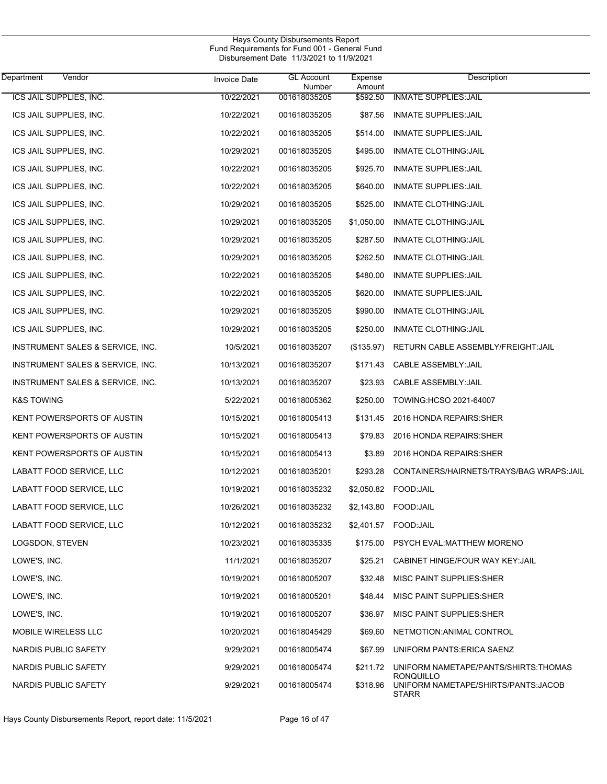| Department<br>Vendor             | <b>Invoice Date</b> | <b>GL Account</b><br>Number | Expense<br>Amount | Description                                          |
|----------------------------------|---------------------|-----------------------------|-------------------|------------------------------------------------------|
| ICS JAIL SUPPLIES, INC.          | 10/22/2021          | 001618035205                | \$592.50          | <b>INMATE SUPPLIES: JAIL</b>                         |
| ICS JAIL SUPPLIES, INC.          | 10/22/2021          | 001618035205                | \$87.56           | <b>INMATE SUPPLIES: JAIL</b>                         |
| ICS JAIL SUPPLIES, INC.          | 10/22/2021          | 001618035205                | \$514.00          | <b>INMATE SUPPLIES: JAIL</b>                         |
| ICS JAIL SUPPLIES, INC.          | 10/29/2021          | 001618035205                | \$495.00          | INMATE CLOTHING: JAIL                                |
| ICS JAIL SUPPLIES, INC.          | 10/22/2021          | 001618035205                | \$925.70          | INMATE SUPPLIES: JAIL                                |
| ICS JAIL SUPPLIES, INC.          | 10/22/2021          | 001618035205                | \$640.00          | <b>INMATE SUPPLIES: JAIL</b>                         |
| ICS JAIL SUPPLIES, INC.          | 10/29/2021          | 001618035205                | \$525.00          | <b>INMATE CLOTHING: JAIL</b>                         |
| ICS JAIL SUPPLIES, INC.          | 10/29/2021          | 001618035205                | \$1,050.00        | <b>INMATE CLOTHING: JAIL</b>                         |
| ICS JAIL SUPPLIES, INC.          | 10/29/2021          | 001618035205                | \$287.50          | <b>INMATE CLOTHING: JAIL</b>                         |
| ICS JAIL SUPPLIES, INC.          | 10/29/2021          | 001618035205                | \$262.50          | <b>INMATE CLOTHING: JAIL</b>                         |
| ICS JAIL SUPPLIES, INC.          | 10/22/2021          | 001618035205                | \$480.00          | <b>INMATE SUPPLIES: JAIL</b>                         |
| ICS JAIL SUPPLIES, INC.          | 10/22/2021          | 001618035205                | \$620.00          | INMATE SUPPLIES: JAIL                                |
| ICS JAIL SUPPLIES, INC.          | 10/29/2021          | 001618035205                | \$990.00          | <b>INMATE CLOTHING: JAIL</b>                         |
| ICS JAIL SUPPLIES, INC.          | 10/29/2021          | 001618035205                | \$250.00          | <b>INMATE CLOTHING: JAIL</b>                         |
| INSTRUMENT SALES & SERVICE, INC. | 10/5/2021           | 001618035207                | (\$135.97)        | RETURN CABLE ASSEMBLY/FREIGHT: JAIL                  |
| INSTRUMENT SALES & SERVICE, INC. | 10/13/2021          | 001618035207                | \$171.43          | CABLE ASSEMBLY: JAIL                                 |
| INSTRUMENT SALES & SERVICE, INC. | 10/13/2021          | 001618035207                | \$23.93           | <b>CABLE ASSEMBLY: JAIL</b>                          |
| <b>K&amp;S TOWING</b>            | 5/22/2021           | 001618005362                | \$250.00          | TOWING:HCSO 2021-64007                               |
| KENT POWERSPORTS OF AUSTIN       | 10/15/2021          | 001618005413                | \$131.45          | 2016 HONDA REPAIRS: SHER                             |
| KENT POWERSPORTS OF AUSTIN       | 10/15/2021          | 001618005413                | \$79.83           | 2016 HONDA REPAIRS: SHER                             |
| KENT POWERSPORTS OF AUSTIN       | 10/15/2021          | 001618005413                | \$3.89            | 2016 HONDA REPAIRS: SHER                             |
| LABATT FOOD SERVICE, LLC         | 10/12/2021          | 001618035201                | \$293.28          | CONTAINERS/HAIRNETS/TRAYS/BAG WRAPS.JAIL             |
| LABATT FOOD SERVICE, LLC         | 10/19/2021          | 001618035232                | \$2,050.82        | FOOD:JAIL                                            |
| LABATT FOOD SERVICE, LLC         | 10/26/2021          | 001618035232                | \$2,143.80        | FOOD:JAIL                                            |
| LABATT FOOD SERVICE, LLC         | 10/12/2021          | 001618035232                |                   | \$2,401.57 FOOD:JAIL                                 |
| LOGSDON, STEVEN                  | 10/23/2021          | 001618035335                | \$175.00          | PSYCH EVAL:MATTHEW MORENO                            |
| LOWE'S, INC.                     | 11/1/2021           | 001618035207                | \$25.21           | CABINET HINGE/FOUR WAY KEY: JAIL                     |
| LOWE'S, INC.                     | 10/19/2021          | 001618005207                | \$32.48           | MISC PAINT SUPPLIES: SHER                            |
| LOWE'S, INC.                     | 10/19/2021          | 001618005201                | \$48.44           | MISC PAINT SUPPLIES: SHER                            |
| LOWE'S, INC.                     | 10/19/2021          | 001618005207                | \$36.97           | MISC PAINT SUPPLIES: SHER                            |
| <b>MOBILE WIRELESS LLC</b>       | 10/20/2021          | 001618045429                | \$69.60           | NETMOTION: ANIMAL CONTROL                            |
| NARDIS PUBLIC SAFETY             | 9/29/2021           | 001618005474                | \$67.99           | UNIFORM PANTS: ERICA SAENZ                           |
| NARDIS PUBLIC SAFETY             | 9/29/2021           | 001618005474                | \$211.72          | UNIFORM NAMETAPE/PANTS/SHIRTS:THOMAS<br>RONQUILLO    |
| NARDIS PUBLIC SAFETY             | 9/29/2021           | 001618005474                | \$318.96          | UNIFORM NAMETAPE/SHIRTS/PANTS: JACOB<br><b>STARR</b> |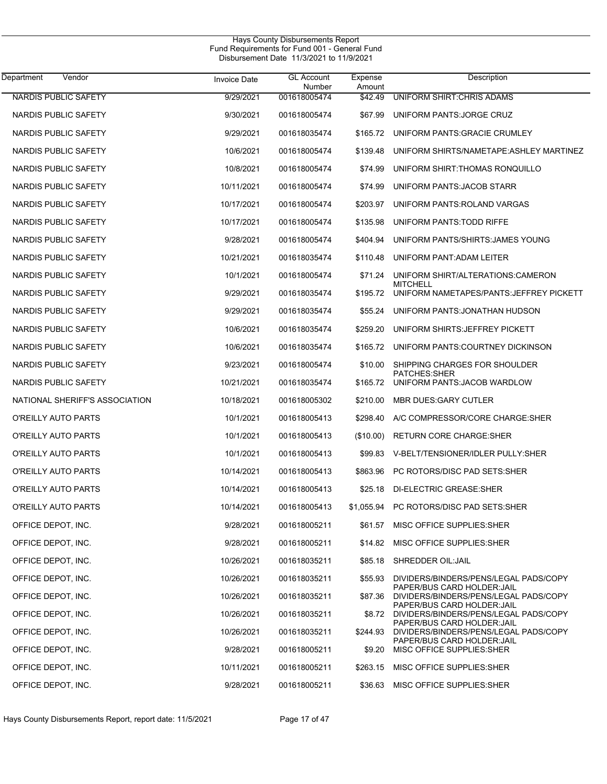| Department<br>Vendor           | <b>Invoice Date</b> | <b>GL Account</b><br>Number | Expense<br>Amount | Description                                                          |
|--------------------------------|---------------------|-----------------------------|-------------------|----------------------------------------------------------------------|
| <b>NARDIS PUBLIC SAFETY</b>    | 9/29/2021           | 001618005474                | \$42.49           | UNIFORM SHIRT: CHRIS ADAMS                                           |
| NARDIS PUBLIC SAFETY           | 9/30/2021           | 001618005474                | \$67.99           | UNIFORM PANTS: JORGE CRUZ                                            |
| NARDIS PUBLIC SAFETY           | 9/29/2021           | 001618035474                | \$165.72          | UNIFORM PANTS: GRACIE CRUMLEY                                        |
| NARDIS PUBLIC SAFETY           | 10/6/2021           | 001618005474                | \$139.48          | UNIFORM SHIRTS/NAMETAPE: ASHLEY MARTINEZ                             |
| NARDIS PUBLIC SAFETY           | 10/8/2021           | 001618005474                | \$74.99           | UNIFORM SHIRT: THOMAS RONQUILLO                                      |
| NARDIS PUBLIC SAFETY           | 10/11/2021          | 001618005474                | \$74.99           | UNIFORM PANTS: JACOB STARR                                           |
| NARDIS PUBLIC SAFETY           | 10/17/2021          | 001618005474                | \$203.97          | UNIFORM PANTS: ROLAND VARGAS                                         |
| NARDIS PUBLIC SAFETY           | 10/17/2021          | 001618005474                | \$135.98          | UNIFORM PANTS TODD RIFFE                                             |
| NARDIS PUBLIC SAFETY           | 9/28/2021           | 001618005474                | \$404.94          | UNIFORM PANTS/SHIRTS: JAMES YOUNG                                    |
| NARDIS PUBLIC SAFETY           | 10/21/2021          | 001618035474                | \$110.48          | UNIFORM PANT: ADAM LEITER                                            |
| NARDIS PUBLIC SAFETY           | 10/1/2021           | 001618005474                | \$71.24           | UNIFORM SHIRT/ALTERATIONS:CAMERON<br><b>MITCHELL</b>                 |
| NARDIS PUBLIC SAFETY           | 9/29/2021           | 001618035474                | \$195.72          | UNIFORM NAMETAPES/PANTS: JEFFREY PICKETT                             |
| NARDIS PUBLIC SAFETY           | 9/29/2021           | 001618035474                | \$55.24           | UNIFORM PANTS: JONATHAN HUDSON                                       |
| NARDIS PUBLIC SAFETY           | 10/6/2021           | 001618035474                | \$259.20          | UNIFORM SHIRTS: JEFFREY PICKETT                                      |
| NARDIS PUBLIC SAFETY           | 10/6/2021           | 001618035474                | \$165.72          | UNIFORM PANTS: COURTNEY DICKINSON                                    |
| NARDIS PUBLIC SAFETY           | 9/23/2021           | 001618005474                | \$10.00           | SHIPPING CHARGES FOR SHOULDER<br><b>PATCHES:SHER</b>                 |
| NARDIS PUBLIC SAFETY           | 10/21/2021          | 001618035474                | \$165.72          | UNIFORM PANTS: JACOB WARDLOW                                         |
| NATIONAL SHERIFF'S ASSOCIATION | 10/18/2021          | 001618005302                | \$210.00          | <b>MBR DUES GARY CUTLER</b>                                          |
| O'REILLY AUTO PARTS            | 10/1/2021           | 001618005413                | \$298.40          | A/C COMPRESSOR/CORE CHARGE:SHER                                      |
| O'REILLY AUTO PARTS            | 10/1/2021           | 001618005413                | (\$10.00)         | RETURN CORE CHARGE: SHER                                             |
| O'REILLY AUTO PARTS            | 10/1/2021           | 001618005413                | \$99.83           | V-BELT/TENSIONER/IDLER PULLY:SHER                                    |
| O'REILLY AUTO PARTS            | 10/14/2021          | 001618005413                | \$863.96          | PC ROTORS/DISC PAD SETS SHER                                         |
| O'REILLY AUTO PARTS            | 10/14/2021          | 001618005413                | \$25.18           | DI-ELECTRIC GREASE SHER                                              |
| O'REILLY AUTO PARTS            | 10/14/2021          | 001618005413                | \$1,055.94        | PC ROTORS/DISC PAD SETS: SHER                                        |
| OFFICE DEPOT, INC.             | 9/28/2021           | 001618005211                |                   | \$61.57 MISC OFFICE SUPPLIES:SHER                                    |
| OFFICE DEPOT, INC.             | 9/28/2021           | 001618005211                | \$14.82           | MISC OFFICE SUPPLIES: SHER                                           |
| OFFICE DEPOT, INC.             | 10/26/2021          | 001618035211                | \$85.18           | SHREDDER OIL: JAIL                                                   |
| OFFICE DEPOT, INC.             | 10/26/2021          | 001618035211                | \$55.93           | DIVIDERS/BINDERS/PENS/LEGAL PADS/COPY                                |
| OFFICE DEPOT, INC.             | 10/26/2021          | 001618035211                | \$87.36           | PAPER/BUS CARD HOLDER: JAIL<br>DIVIDERS/BINDERS/PENS/LEGAL PADS/COPY |
| OFFICE DEPOT, INC.             | 10/26/2021          | 001618035211                | \$8.72            | PAPER/BUS CARD HOLDER:JAIL<br>DIVIDERS/BINDERS/PENS/LEGAL PADS/COPY  |
| OFFICE DEPOT, INC.             | 10/26/2021          | 001618035211                | \$244.93          | PAPER/BUS CARD HOLDER:JAIL<br>DIVIDERS/BINDERS/PENS/LEGAL PADS/COPY  |
| OFFICE DEPOT, INC.             | 9/28/2021           | 001618005211                | \$9.20            | PAPER/BUS CARD HOLDER: JAIL<br>MISC OFFICE SUPPLIES: SHER            |
| OFFICE DEPOT, INC.             | 10/11/2021          | 001618005211                | \$263.15          | MISC OFFICE SUPPLIES: SHER                                           |
| OFFICE DEPOT, INC.             | 9/28/2021           | 001618005211                | \$36.63           | MISC OFFICE SUPPLIES: SHER                                           |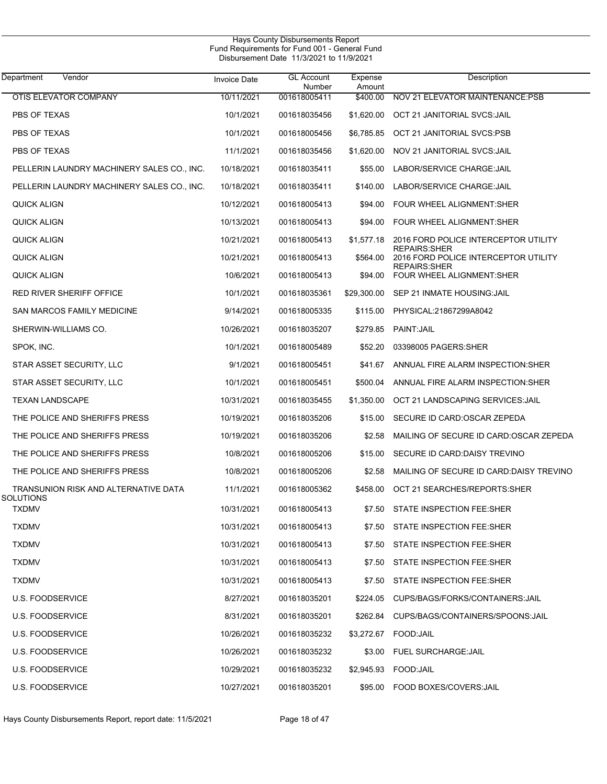| Department<br>Vendor                       | <b>Invoice Date</b> | <b>GL Account</b><br>Number | Expense<br>Amount | Description                                                  |
|--------------------------------------------|---------------------|-----------------------------|-------------------|--------------------------------------------------------------|
| <b>OTIS ELEVATOR COMPANY</b>               | 10/11/2021          | 001618005411                | \$400.00          | NOV 21 ELEVATOR MAINTENANCE:PSB                              |
| PBS OF TEXAS                               | 10/1/2021           | 001618035456                | \$1,620.00        | OCT 21 JANITORIAL SVCS: JAIL                                 |
| PBS OF TEXAS                               | 10/1/2021           | 001618005456                | \$6,785.85        | OCT 21 JANITORIAL SVCS.PSB                                   |
| PBS OF TEXAS                               | 11/1/2021           | 001618035456                | \$1,620.00        | NOV 21 JANITORIAL SVCS: JAIL                                 |
| PELLERIN LAUNDRY MACHINERY SALES CO., INC. | 10/18/2021          | 001618035411                | \$55.00           | LABOR/SERVICE CHARGE: JAIL                                   |
| PELLERIN LAUNDRY MACHINERY SALES CO., INC. | 10/18/2021          | 001618035411                | \$140.00          | LABOR/SERVICE CHARGE: JAIL                                   |
| <b>QUICK ALIGN</b>                         | 10/12/2021          | 001618005413                | \$94.00           | FOUR WHEEL ALIGNMENT:SHER                                    |
| QUICK ALIGN                                | 10/13/2021          | 001618005413                | \$94.00           | FOUR WHEEL ALIGNMENT:SHER                                    |
| <b>QUICK ALIGN</b>                         | 10/21/2021          | 001618005413                | \$1,577.18        | 2016 FORD POLICE INTERCEPTOR UTILITY                         |
| <b>QUICK ALIGN</b>                         | 10/21/2021          | 001618005413                | \$564.00          | <b>REPAIRS: SHER</b><br>2016 FORD POLICE INTERCEPTOR UTILITY |
| QUICK ALIGN                                | 10/6/2021           | 001618005413                | \$94.00           | <b>REPAIRS: SHER</b><br>FOUR WHEEL ALIGNMENT:SHER            |
| <b>RED RIVER SHERIFF OFFICE</b>            | 10/1/2021           | 001618035361                | \$29,300.00       | SEP 21 INMATE HOUSING: JAIL                                  |
| SAN MARCOS FAMILY MEDICINE                 | 9/14/2021           | 001618005335                | \$115.00          | PHYSICAL:21867299A8042                                       |
| SHERWIN-WILLIAMS CO.                       | 10/26/2021          | 001618035207                | \$279.85          | PAINT: JAIL                                                  |
| SPOK, INC.                                 | 10/1/2021           | 001618005489                | \$52.20           | 03398005 PAGERS: SHER                                        |
| STAR ASSET SECURITY, LLC                   | 9/1/2021            | 001618005451                | \$41.67           | ANNUAL FIRE ALARM INSPECTION: SHER                           |
| STAR ASSET SECURITY, LLC                   | 10/1/2021           | 001618005451                | \$500.04          | ANNUAL FIRE ALARM INSPECTION: SHER                           |
| <b>TEXAN LANDSCAPE</b>                     | 10/31/2021          | 001618035455                | \$1,350.00        | OCT 21 LANDSCAPING SERVICES: JAIL                            |
| THE POLICE AND SHERIFFS PRESS              | 10/19/2021          | 001618035206                | \$15.00           | SECURE ID CARD: OSCAR ZEPEDA                                 |
| THE POLICE AND SHERIFFS PRESS              | 10/19/2021          | 001618035206                | \$2.58            | MAILING OF SECURE ID CARD: OSCAR ZEPEDA                      |
| THE POLICE AND SHERIFFS PRESS              | 10/8/2021           | 001618005206                | \$15.00           | SECURE ID CARD: DAISY TREVINO                                |
| THE POLICE AND SHERIFFS PRESS              | 10/8/2021           | 001618005206                | \$2.58            | MAILING OF SECURE ID CARD: DAISY TREVINO                     |
| TRANSUNION RISK AND ALTERNATIVE DATA       | 11/1/2021           | 001618005362                | \$458.00          | OCT 21 SEARCHES/REPORTS:SHER                                 |
| <b>SOLUTIONS</b><br><b>TXDMV</b>           | 10/31/2021          | 001618005413                | \$7.50            | STATE INSPECTION FEE:SHER                                    |
| <b>TXDMV</b>                               | 10/31/2021          | 001618005413                |                   | \$7.50 STATE INSPECTION FEE:SHER                             |
| <b>TXDMV</b>                               | 10/31/2021          | 001618005413                |                   | \$7.50 STATE INSPECTION FEE:SHER                             |
| <b>TXDMV</b>                               | 10/31/2021          | 001618005413                |                   | \$7.50 STATE INSPECTION FEE:SHER                             |
| <b>TXDMV</b>                               | 10/31/2021          | 001618005413                | \$7.50            | STATE INSPECTION FEE:SHER                                    |
| U.S. FOODSERVICE                           | 8/27/2021           | 001618035201                |                   | \$224.05 CUPS/BAGS/FORKS/CONTAINERS:JAIL                     |
| U.S. FOODSERVICE                           | 8/31/2021           | 001618035201                |                   | \$262.84 CUPS/BAGS/CONTAINERS/SPOONS:JAIL                    |
| <b>U.S. FOODSERVICE</b>                    | 10/26/2021          | 001618035232                |                   | \$3,272.67 FOOD:JAIL                                         |
| U.S. FOODSERVICE                           | 10/26/2021          | 001618035232                |                   | \$3.00 FUEL SURCHARGE: JAIL                                  |
| U.S. FOODSERVICE                           | 10/29/2021          | 001618035232                |                   | \$2,945.93    FOOD:JAIL                                      |
| <b>U.S. FOODSERVICE</b>                    | 10/27/2021          | 001618035201                |                   | \$95.00 FOOD BOXES/COVERS: JAIL                              |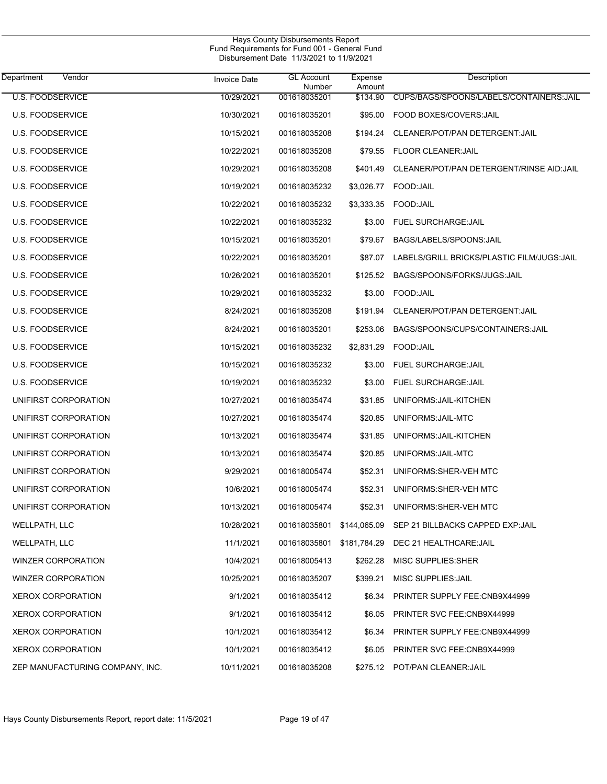|                                 | Hays County Disbursements Report<br>Fund Requirements for Fund 001 - General Fund<br>Disbursement Date 11/3/2021 to 11/9/2021 |                             |                   |                                                            |
|---------------------------------|-------------------------------------------------------------------------------------------------------------------------------|-----------------------------|-------------------|------------------------------------------------------------|
| Vendor<br>Department            | <b>Invoice Date</b>                                                                                                           | <b>GL Account</b><br>Number | Expense<br>Amount | Description                                                |
| <b>U.S. FOODSERVICE</b>         | 10/29/2021                                                                                                                    | 001618035201                | \$134.90          | CUPS/BAGS/SPOONS/LABELS/CONTAINERS:JAIL                    |
| <b>U.S. FOODSERVICE</b>         | 10/30/2021                                                                                                                    | 001618035201                | \$95.00           | FOOD BOXES/COVERS: JAIL                                    |
| <b>U.S. FOODSERVICE</b>         | 10/15/2021                                                                                                                    | 001618035208                | \$194.24          | CLEANER/POT/PAN DETERGENT: JAIL                            |
| <b>U.S. FOODSERVICE</b>         | 10/22/2021                                                                                                                    | 001618035208                | \$79.55           | <b>FLOOR CLEANER: JAIL</b>                                 |
| <b>U.S. FOODSERVICE</b>         | 10/29/2021                                                                                                                    | 001618035208                | \$401.49          | CLEANER/POT/PAN DETERGENT/RINSE AID: JAIL                  |
| <b>U.S. FOODSERVICE</b>         | 10/19/2021                                                                                                                    | 001618035232                | \$3,026.77        | FOOD: JAIL                                                 |
| U.S. FOODSERVICE                | 10/22/2021                                                                                                                    | 001618035232                | \$3,333.35        | FOOD:JAIL                                                  |
| <b>U.S. FOODSERVICE</b>         | 10/22/2021                                                                                                                    | 001618035232                | \$3.00            | <b>FUEL SURCHARGE: JAIL</b>                                |
| <b>U.S. FOODSERVICE</b>         | 10/15/2021                                                                                                                    | 001618035201                | \$79.67           | BAGS/LABELS/SPOONS: JAIL                                   |
| <b>U.S. FOODSERVICE</b>         | 10/22/2021                                                                                                                    | 001618035201                | \$87.07           | LABELS/GRILL BRICKS/PLASTIC FILM/JUGS: JAIL                |
| U.S. FOODSERVICE                | 10/26/2021                                                                                                                    | 001618035201                | \$125.52          | BAGS/SPOONS/FORKS/JUGS: JAIL                               |
| <b>U.S. FOODSERVICE</b>         | 10/29/2021                                                                                                                    | 001618035232                | \$3.00            | FOOD: JAIL                                                 |
| U.S. FOODSERVICE                | 8/24/2021                                                                                                                     | 001618035208                | \$191.94          | CLEANER/POT/PAN DETERGENT: JAIL                            |
| <b>U.S. FOODSERVICE</b>         | 8/24/2021                                                                                                                     | 001618035201                | \$253.06          | BAGS/SPOONS/CUPS/CONTAINERS: JAIL                          |
| <b>U.S. FOODSERVICE</b>         | 10/15/2021                                                                                                                    | 001618035232                | \$2,831.29        | FOOD: JAIL                                                 |
| <b>U.S. FOODSERVICE</b>         | 10/15/2021                                                                                                                    | 001618035232                | \$3.00            | FUEL SURCHARGE: JAIL                                       |
| U.S. FOODSERVICE                | 10/19/2021                                                                                                                    | 001618035232                | \$3.00            | FUEL SURCHARGE: JAIL                                       |
| UNIFIRST CORPORATION            | 10/27/2021                                                                                                                    | 001618035474                | \$31.85           | UNIFORMS: JAIL-KITCHEN                                     |
| UNIFIRST CORPORATION            | 10/27/2021                                                                                                                    | 001618035474                | \$20.85           | UNIFORMS: JAIL-MTC                                         |
| UNIFIRST CORPORATION            | 10/13/2021                                                                                                                    | 001618035474                | \$31.85           | UNIFORMS: JAIL-KITCHEN                                     |
| UNIFIRST CORPORATION            | 10/13/2021                                                                                                                    | 001618035474                | \$20.85           | UNIFORMS: JAIL-MTC                                         |
| UNIFIRST CORPORATION            | 9/29/2021                                                                                                                     | 001618005474                | \$52.31           | UNIFORMS: SHER-VEH MTC                                     |
| UNIFIRST CORPORATION            | 10/6/2021                                                                                                                     | 001618005474                |                   | \$52.31 UNIFORMS: SHER-VEH MTC                             |
| UNIFIRST CORPORATION            | 10/13/2021                                                                                                                    | 001618005474                | \$52.31           | UNIFORMS: SHER-VEH MTC                                     |
| WELLPATH, LLC                   | 10/28/2021                                                                                                                    |                             |                   | 001618035801 \$144,065.09 SEP 21 BILLBACKS CAPPED EXP:JAIL |
| WELLPATH, LLC                   | 11/1/2021                                                                                                                     | 001618035801 \$181,784.29   |                   | DEC 21 HEALTHCARE: JAIL                                    |
| <b>WINZER CORPORATION</b>       | 10/4/2021                                                                                                                     | 001618005413                | \$262.28          | MISC SUPPLIES:SHER                                         |
| <b>WINZER CORPORATION</b>       | 10/25/2021                                                                                                                    | 001618035207                | \$399.21          | MISC SUPPLIES: JAIL                                        |
| <b>XEROX CORPORATION</b>        | 9/1/2021                                                                                                                      | 001618035412                | \$6.34            | PRINTER SUPPLY FEE:CNB9X44999                              |
| <b>XEROX CORPORATION</b>        | 9/1/2021                                                                                                                      | 001618035412                | \$6.05            | PRINTER SVC FEE:CNB9X44999                                 |
| <b>XEROX CORPORATION</b>        | 10/1/2021                                                                                                                     | 001618035412                | \$6.34            | PRINTER SUPPLY FEE:CNB9X44999                              |
| <b>XEROX CORPORATION</b>        | 10/1/2021                                                                                                                     | 001618035412                | \$6.05            | PRINTER SVC FEE:CNB9X44999                                 |
| ZEP MANUFACTURING COMPANY, INC. | 10/11/2021                                                                                                                    | 001618035208                |                   | \$275.12 POT/PAN CLEANER: JAIL                             |

J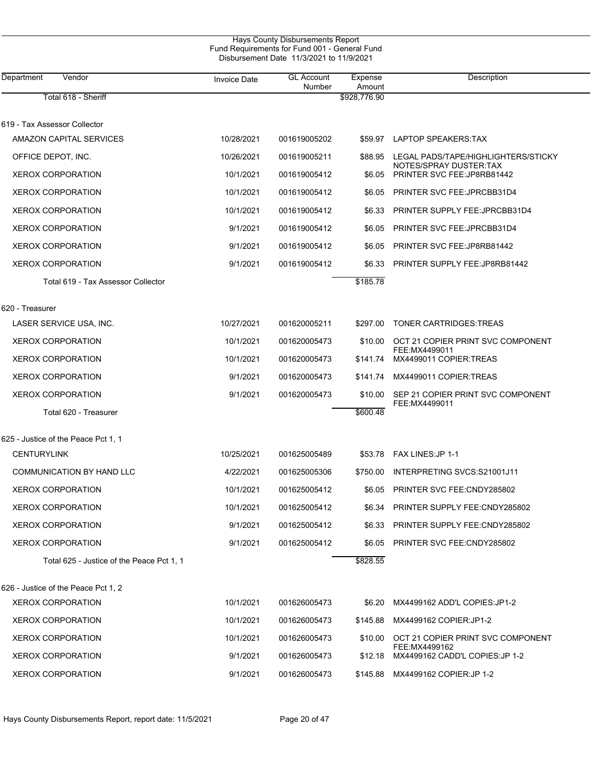| Vendor<br>Department                      | <b>Invoice Date</b> | <b>GL Account</b><br>Number | Expense<br>Amount | Description                                                   |
|-------------------------------------------|---------------------|-----------------------------|-------------------|---------------------------------------------------------------|
| Total 618 - Sheriff                       |                     |                             | \$928,776.90      |                                                               |
| 619 - Tax Assessor Collector              |                     |                             |                   |                                                               |
| AMAZON CAPITAL SERVICES                   | 10/28/2021          | 001619005202                | \$59.97           | LAPTOP SPEAKERS: TAX                                          |
| OFFICE DEPOT, INC.                        | 10/26/2021          | 001619005211                | \$88.95           | LEGAL PADS/TAPE/HIGHLIGHTERS/STICKY<br>NOTES/SPRAY DUSTER TAX |
| <b>XEROX CORPORATION</b>                  | 10/1/2021           | 001619005412                | \$6.05            | PRINTER SVC FEE: JP8RB81442                                   |
| <b>XEROX CORPORATION</b>                  | 10/1/2021           | 001619005412                | \$6.05            | PRINTER SVC FEE: JPRCBB31D4                                   |
| <b>XEROX CORPORATION</b>                  | 10/1/2021           | 001619005412                | \$6.33            | PRINTER SUPPLY FEE: JPRCBB31D4                                |
| <b>XEROX CORPORATION</b>                  | 9/1/2021            | 001619005412                | \$6.05            | PRINTER SVC FEE: JPRCBB31D4                                   |
| <b>XEROX CORPORATION</b>                  | 9/1/2021            | 001619005412                | \$6.05            | PRINTER SVC FEE: JP8RB81442                                   |
| <b>XEROX CORPORATION</b>                  | 9/1/2021            | 001619005412                | \$6.33            | PRINTER SUPPLY FEE: JP8RB81442                                |
| Total 619 - Tax Assessor Collector        |                     |                             | \$185.78          |                                                               |
| 620 - Treasurer                           |                     |                             |                   |                                                               |
| LASER SERVICE USA, INC.                   | 10/27/2021          | 001620005211                | \$297.00          | <b>TONER CARTRIDGES: TREAS</b>                                |
| <b>XEROX CORPORATION</b>                  | 10/1/2021           | 001620005473                | \$10.00           | OCT 21 COPIER PRINT SVC COMPONENT<br>FEE: MX4499011           |
| <b>XEROX CORPORATION</b>                  | 10/1/2021           | 001620005473                | \$141.74          | MX4499011 COPIER TREAS                                        |
| <b>XEROX CORPORATION</b>                  | 9/1/2021            | 001620005473                | \$141.74          | MX4499011 COPIER:TREAS                                        |
| <b>XEROX CORPORATION</b>                  | 9/1/2021            | 001620005473                | \$10.00           | SEP 21 COPIER PRINT SVC COMPONENT<br>FEE: MX4499011           |
| Total 620 - Treasurer                     |                     |                             | \$600.48          |                                                               |
| 625 - Justice of the Peace Pct 1, 1       |                     |                             |                   |                                                               |
| <b>CENTURYLINK</b>                        | 10/25/2021          | 001625005489                | \$53.78           | FAX LINES: JP 1-1                                             |
| COMMUNICATION BY HAND LLC                 | 4/22/2021           | 001625005306                | \$750.00          | INTERPRETING SVCS:S21001J11                                   |
| <b>XEROX CORPORATION</b>                  | 10/1/2021           | 001625005412                | \$6.05            | <b>PRINTER SVC FEE: CNDY285802</b>                            |
| <b>XEROX CORPORATION</b>                  | 10/1/2021           | 001625005412                | \$6.34            | PRINTER SUPPLY FEE:CNDY285802                                 |
| <b>XEROX CORPORATION</b>                  | 9/1/2021            | 001625005412                | \$6.33            | PRINTER SUPPLY FEE:CNDY285802                                 |
| <b>XEROX CORPORATION</b>                  | 9/1/2021            | 001625005412                | \$6.05            | PRINTER SVC FEE:CNDY285802                                    |
| Total 625 - Justice of the Peace Pct 1, 1 |                     |                             | \$828.55          |                                                               |
| 626 - Justice of the Peace Pct 1, 2       |                     |                             |                   |                                                               |
| <b>XEROX CORPORATION</b>                  | 10/1/2021           | 001626005473                | \$6.20            | MX4499162 ADD'L COPIES: JP1-2                                 |
| <b>XEROX CORPORATION</b>                  | 10/1/2021           | 001626005473                | \$145.88          | MX4499162 COPIER: JP1-2                                       |
| <b>XEROX CORPORATION</b>                  | 10/1/2021           | 001626005473                | \$10.00           | OCT 21 COPIER PRINT SVC COMPONENT<br>FEE: MX4499162           |
| <b>XEROX CORPORATION</b>                  | 9/1/2021            | 001626005473                | \$12.18           | MX4499162 CADD'L COPIES: JP 1-2                               |
| <b>XEROX CORPORATION</b>                  | 9/1/2021            | 001626005473                |                   | \$145.88 MX4499162 COPIER:JP 1-2                              |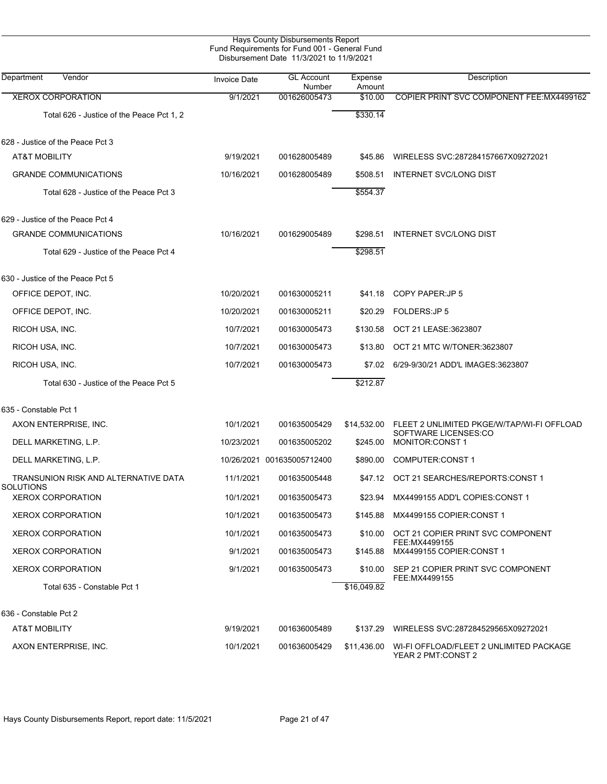| Hays County Disbursements Report<br>Fund Requirements for Fund 001 - General Fund<br>Disbursement Date 11/3/2021 to 11/9/2021 |                     |                             |                   |                                                               |  |  |  |
|-------------------------------------------------------------------------------------------------------------------------------|---------------------|-----------------------------|-------------------|---------------------------------------------------------------|--|--|--|
| Department<br>Vendor                                                                                                          | <b>Invoice Date</b> | <b>GL Account</b><br>Number | Expense<br>Amount | <b>Description</b>                                            |  |  |  |
| <b>XEROX CORPORATION</b>                                                                                                      | 9/1/2021            | 001626005473                | \$10.00           | COPIER PRINT SVC COMPONENT FEE: MX4499162                     |  |  |  |
| Total 626 - Justice of the Peace Pct 1, 2                                                                                     |                     |                             | \$330.14          |                                                               |  |  |  |
| 628 - Justice of the Peace Pct 3                                                                                              |                     |                             |                   |                                                               |  |  |  |
| <b>AT&amp;T MOBILITY</b>                                                                                                      | 9/19/2021           | 001628005489                | \$45.86           | WIRELESS SVC:287284157667X09272021                            |  |  |  |
| <b>GRANDE COMMUNICATIONS</b>                                                                                                  | 10/16/2021          | 001628005489                | \$508.51          | <b>INTERNET SVC/LONG DIST</b>                                 |  |  |  |
| Total 628 - Justice of the Peace Pct 3                                                                                        |                     |                             | \$554.37          |                                                               |  |  |  |
| 629 - Justice of the Peace Pct 4                                                                                              |                     |                             |                   |                                                               |  |  |  |
| <b>GRANDE COMMUNICATIONS</b>                                                                                                  | 10/16/2021          | 001629005489                | \$298.51          | <b>INTERNET SVC/LONG DIST</b>                                 |  |  |  |
| Total 629 - Justice of the Peace Pct 4                                                                                        |                     |                             | \$298.51          |                                                               |  |  |  |
| 630 - Justice of the Peace Pct 5                                                                                              |                     |                             |                   |                                                               |  |  |  |
| OFFICE DEPOT, INC.                                                                                                            | 10/20/2021          | 001630005211                | \$41.18           | COPY PAPER: JP 5                                              |  |  |  |
| OFFICE DEPOT, INC.                                                                                                            | 10/20/2021          | 001630005211                | \$20.29           | FOLDERS: JP 5                                                 |  |  |  |
| RICOH USA, INC.                                                                                                               | 10/7/2021           | 001630005473                | \$130.58          | OCT 21 LEASE:3623807                                          |  |  |  |
| RICOH USA, INC.                                                                                                               | 10/7/2021           | 001630005473                | \$13.80           | OCT 21 MTC W/TONER:3623807                                    |  |  |  |
| RICOH USA, INC.                                                                                                               | 10/7/2021           | 001630005473                | \$7.02            | 6/29-9/30/21 ADD'L IMAGES:3623807                             |  |  |  |
| Total 630 - Justice of the Peace Pct 5                                                                                        |                     |                             | \$212.87          |                                                               |  |  |  |
| 635 - Constable Pct 1                                                                                                         |                     |                             |                   |                                                               |  |  |  |
| AXON ENTERPRISE, INC.                                                                                                         | 10/1/2021           | 001635005429                | \$14,532.00       | FLEET 2 UNLIMITED PKGE/W/TAP/WI-FI OFFLOAD                    |  |  |  |
| DELL MARKETING, L.P.                                                                                                          | 10/23/2021          | 001635005202                | \$245.00          | SOFTWARE LICENSES:CO<br>MONITOR: CONST 1                      |  |  |  |
| DELL MARKETING, L.P.                                                                                                          |                     | 10/26/2021 001635005712400  | \$890.00          | <b>COMPUTER:CONST 1</b>                                       |  |  |  |
| TRANSUNION RISK AND ALTERNATIVE DATA<br><b>SOLUTIONS</b>                                                                      | 11/1/2021           | 001635005448                |                   | \$47.12 OCT 21 SEARCHES/REPORTS:CONST 1                       |  |  |  |
| <b>XEROX CORPORATION</b>                                                                                                      | 10/1/2021           | 001635005473                | \$23.94           | MX4499155 ADD'L COPIES:CONST 1                                |  |  |  |
| <b>XEROX CORPORATION</b>                                                                                                      | 10/1/2021           | 001635005473                | \$145.88          | MX4499155 COPIER:CONST 1                                      |  |  |  |
| <b>XEROX CORPORATION</b>                                                                                                      | 10/1/2021           | 001635005473                | \$10.00           | OCT 21 COPIER PRINT SVC COMPONENT                             |  |  |  |
| <b>XEROX CORPORATION</b>                                                                                                      | 9/1/2021            | 001635005473                | \$145.88          | FEE:MX4499155<br>MX4499155 COPIER:CONST 1                     |  |  |  |
| <b>XEROX CORPORATION</b>                                                                                                      | 9/1/2021            | 001635005473                | \$10.00           | SEP 21 COPIER PRINT SVC COMPONENT                             |  |  |  |
| Total 635 - Constable Pct 1                                                                                                   |                     |                             | \$16,049.82       | FEE: MX4499155                                                |  |  |  |
| 636 - Constable Pct 2                                                                                                         |                     |                             |                   |                                                               |  |  |  |
| AT&T MOBILITY                                                                                                                 | 9/19/2021           | 001636005489                | \$137.29          | WIRELESS SVC:287284529565X09272021                            |  |  |  |
| AXON ENTERPRISE, INC.                                                                                                         | 10/1/2021           | 001636005429                | \$11,436.00       | WI-FI OFFLOAD/FLEET 2 UNLIMITED PACKAGE<br>YEAR 2 PMT:CONST 2 |  |  |  |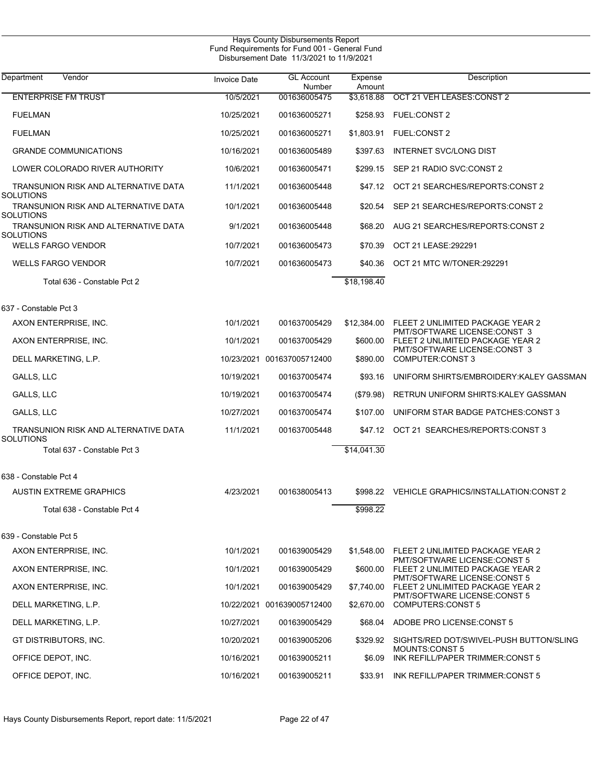| <b>Hays County Disbursements Report</b><br>Fund Requirements for Fund 001 - General Fund<br>Disbursement Date 11/3/2021 to 11/9/2021 |              |                             |                   |                                                                  |  |  |  |
|--------------------------------------------------------------------------------------------------------------------------------------|--------------|-----------------------------|-------------------|------------------------------------------------------------------|--|--|--|
| Department<br>Vendor                                                                                                                 | Invoice Date | <b>GL Account</b><br>Number | Expense<br>Amount | Description                                                      |  |  |  |
| <b>ENTERPRISE FM TRUST</b>                                                                                                           | 10/5/2021    | 001636005475                | \$3,618.88        | OCT 21 VEH LEASES: CONST 2                                       |  |  |  |
| <b>FUELMAN</b>                                                                                                                       | 10/25/2021   | 001636005271                | \$258.93          | <b>FUEL:CONST 2</b>                                              |  |  |  |
| <b>FUELMAN</b>                                                                                                                       | 10/25/2021   | 001636005271                | \$1,803.91        | FUEL:CONST 2                                                     |  |  |  |
| <b>GRANDE COMMUNICATIONS</b>                                                                                                         | 10/16/2021   | 001636005489                | \$397.63          | <b>INTERNET SVC/LONG DIST</b>                                    |  |  |  |
| LOWER COLORADO RIVER AUTHORITY                                                                                                       | 10/6/2021    | 001636005471                | \$299.15          | SEP 21 RADIO SVC:CONST 2                                         |  |  |  |
| TRANSUNION RISK AND ALTERNATIVE DATA<br><b>SOLUTIONS</b>                                                                             | 11/1/2021    | 001636005448                | \$47.12           | OCT 21 SEARCHES/REPORTS: CONST 2                                 |  |  |  |
| TRANSUNION RISK AND ALTERNATIVE DATA<br><b>SOLUTIONS</b>                                                                             | 10/1/2021    | 001636005448                | \$20.54           | SEP 21 SEARCHES/REPORTS: CONST 2                                 |  |  |  |
| TRANSUNION RISK AND ALTERNATIVE DATA<br><b>SOLUTIONS</b>                                                                             | 9/1/2021     | 001636005448                | \$68.20           | AUG 21 SEARCHES/REPORTS:CONST 2                                  |  |  |  |
| <b>WELLS FARGO VENDOR</b>                                                                                                            | 10/7/2021    | 001636005473                | \$70.39           | OCT 21 LEASE: 292291                                             |  |  |  |
| <b>WELLS FARGO VENDOR</b>                                                                                                            | 10/7/2021    | 001636005473                | \$40.36           | OCT 21 MTC W/TONER:292291                                        |  |  |  |
| Total 636 - Constable Pct 2                                                                                                          |              |                             | \$18,198.40       |                                                                  |  |  |  |
| 637 - Constable Pct 3                                                                                                                |              |                             |                   |                                                                  |  |  |  |
| AXON ENTERPRISE, INC.                                                                                                                | 10/1/2021    | 001637005429                | \$12,384.00       | FLEET 2 UNLIMITED PACKAGE YEAR 2                                 |  |  |  |
| AXON ENTERPRISE, INC.                                                                                                                | 10/1/2021    | 001637005429                | \$600.00          | PMT/SOFTWARE LICENSE:CONST 3<br>FLEET 2 UNLIMITED PACKAGE YEAR 2 |  |  |  |
| DELL MARKETING, L.P.                                                                                                                 |              | 10/23/2021 001637005712400  | \$890.00          | PMT/SOFTWARE LICENSE:CONST 3<br>COMPUTER:CONST 3                 |  |  |  |
| GALLS, LLC                                                                                                                           | 10/19/2021   | 001637005474                | \$93.16           | UNIFORM SHIRTS/EMBROIDERY: KALEY GASSMAN                         |  |  |  |
| GALLS, LLC                                                                                                                           | 10/19/2021   | 001637005474                | (\$79.98)         | RETRUN UNIFORM SHIRTS: KALEY GASSMAN                             |  |  |  |
| GALLS, LLC                                                                                                                           | 10/27/2021   | 001637005474                | \$107.00          | UNIFORM STAR BADGE PATCHES: CONST 3                              |  |  |  |
| TRANSUNION RISK AND ALTERNATIVE DATA<br><b>SOLUTIONS</b>                                                                             | 11/1/2021    | 001637005448                | \$47.12           | OCT 21 SEARCHES/REPORTS:CONST 3                                  |  |  |  |
| Total 637 - Constable Pct 3                                                                                                          |              |                             | \$14,041.30       |                                                                  |  |  |  |
| 638 - Constable Pct 4                                                                                                                |              |                             |                   |                                                                  |  |  |  |
| <b>AUSTIN EXTREME GRAPHICS</b>                                                                                                       | 4/23/2021    | 001638005413                |                   | \$998.22 VEHICLE GRAPHICS/INSTALLATION:CONST 2                   |  |  |  |
| Total 638 - Constable Pct 4                                                                                                          |              |                             | \$998.22          |                                                                  |  |  |  |
| 639 - Constable Pct 5                                                                                                                |              |                             |                   |                                                                  |  |  |  |
| AXON ENTERPRISE, INC.                                                                                                                | 10/1/2021    | 001639005429                | \$1,548.00        | FLEET 2 UNLIMITED PACKAGE YEAR 2                                 |  |  |  |
| AXON ENTERPRISE, INC.                                                                                                                | 10/1/2021    | 001639005429                | \$600.00          | PMT/SOFTWARE LICENSE:CONST 5<br>FLEET 2 UNLIMITED PACKAGE YEAR 2 |  |  |  |
| AXON ENTERPRISE, INC.                                                                                                                | 10/1/2021    | 001639005429                | \$7,740.00        | PMT/SOFTWARE LICENSE:CONST 5<br>FLEET 2 UNLIMITED PACKAGE YEAR 2 |  |  |  |
| DELL MARKETING, L.P.                                                                                                                 |              | 10/22/2021 001639005712400  | \$2,670.00        | PMT/SOFTWARE LICENSE:CONST 5<br><b>COMPUTERS:CONST 5</b>         |  |  |  |
| DELL MARKETING, L.P.                                                                                                                 | 10/27/2021   | 001639005429                |                   | \$68.04 ADOBE PRO LICENSE: CONST 5                               |  |  |  |
| GT DISTRIBUTORS, INC.                                                                                                                | 10/20/2021   | 001639005206                |                   | \$329.92 SIGHTS/RED DOT/SWIVEL-PUSH BUTTON/SLING                 |  |  |  |
| OFFICE DEPOT, INC.                                                                                                                   | 10/16/2021   | 001639005211                | \$6.09            | <b>MOUNTS:CONST 5</b><br>INK REFILL/PAPER TRIMMER:CONST 5        |  |  |  |
| OFFICE DEPOT, INC.                                                                                                                   | 10/16/2021   | 001639005211                | \$33.91           | INK REFILL/PAPER TRIMMER:CONST 5                                 |  |  |  |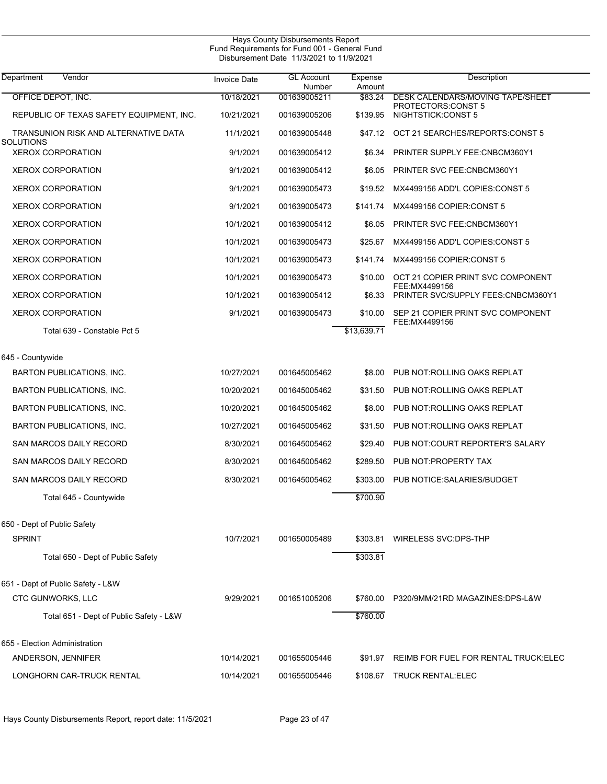| Hays County Disbursements Report              |  |
|-----------------------------------------------|--|
| Fund Requirements for Fund 001 - General Fund |  |
| Disbursement Date 11/3/2021 to 11/9/2021      |  |

| <b>Department</b><br>Vendor                       | <b>Invoice Date</b> | <b>GL Account</b><br>Number | Expense<br>Amount | Description                                                   |
|---------------------------------------------------|---------------------|-----------------------------|-------------------|---------------------------------------------------------------|
| OFFICE DEPOT, INC.                                | 10/18/2021          | 001639005211                | \$83.24           | <b>DESK CALENDARS/MOVING TAPE/SHEET</b><br>PROTECTORS:CONST 5 |
| REPUBLIC OF TEXAS SAFETY EQUIPMENT, INC.          | 10/21/2021          | 001639005206                | \$139.95          | NIGHTSTICK:CONST 5                                            |
| TRANSUNION RISK AND ALTERNATIVE DATA<br>SOLUTIONS | 11/1/2021           | 001639005448                | \$47.12           | OCT 21 SEARCHES/REPORTS:CONST 5                               |
| <b>XEROX CORPORATION</b>                          | 9/1/2021            | 001639005412                | \$6.34            | PRINTER SUPPLY FEE: CNBCM360Y1                                |
| <b>XEROX CORPORATION</b>                          | 9/1/2021            | 001639005412                | \$6.05            | PRINTER SVC FEE:CNBCM360Y1                                    |
| <b>XEROX CORPORATION</b>                          | 9/1/2021            | 001639005473                | \$19.52           | MX4499156 ADD'L COPIES:CONST 5                                |
| <b>XEROX CORPORATION</b>                          | 9/1/2021            | 001639005473                | \$141.74          | MX4499156 COPIER:CONST 5                                      |
| <b>XEROX CORPORATION</b>                          | 10/1/2021           | 001639005412                | \$6.05            | PRINTER SVC FEE:CNBCM360Y1                                    |
| <b>XEROX CORPORATION</b>                          | 10/1/2021           | 001639005473                | \$25.67           | MX4499156 ADD'L COPIES: CONST 5                               |
| <b>XEROX CORPORATION</b>                          | 10/1/2021           | 001639005473                | \$141.74          | MX4499156 COPIER:CONST 5                                      |
| <b>XEROX CORPORATION</b>                          | 10/1/2021           | 001639005473                | \$10.00           | OCT 21 COPIER PRINT SVC COMPONENT                             |
| <b>XEROX CORPORATION</b>                          | 10/1/2021           | 001639005412                | \$6.33            | FEE: MX4499156<br>PRINTER SVC/SUPPLY FEES: CNBCM360Y1         |
| <b>XEROX CORPORATION</b>                          | 9/1/2021            | 001639005473                | \$10.00           | SEP 21 COPIER PRINT SVC COMPONENT                             |
| Total 639 - Constable Pct 5                       |                     |                             | \$13,639.71       | FEE: MX4499156                                                |
| 645 - Countywide                                  |                     |                             |                   |                                                               |
| BARTON PUBLICATIONS, INC.                         | 10/27/2021          | 001645005462                | \$8.00            | PUB NOT: ROLLING OAKS REPLAT                                  |
| <b>BARTON PUBLICATIONS, INC.</b>                  | 10/20/2021          | 001645005462                | \$31.50           | PUB NOT: ROLLING OAKS REPLAT                                  |
| <b>BARTON PUBLICATIONS, INC.</b>                  | 10/20/2021          | 001645005462                | \$8.00            | PUB NOT: ROLLING OAKS REPLAT                                  |
| <b>BARTON PUBLICATIONS, INC.</b>                  | 10/27/2021          | 001645005462                | \$31.50           | PUB NOT: ROLLING OAKS REPLAT                                  |
| SAN MARCOS DAILY RECORD                           | 8/30/2021           | 001645005462                | \$29.40           | PUB NOT:COURT REPORTER'S SALARY                               |
| SAN MARCOS DAILY RECORD                           | 8/30/2021           | 001645005462                | \$289.50          | PUB NOT PROPERTY TAX                                          |
| SAN MARCOS DAILY RECORD                           | 8/30/2021           | 001645005462                | \$303.00          | PUB NOTICE: SALARIES/BUDGET                                   |
| Total 645 - Countywide                            |                     |                             | \$700.90          |                                                               |
|                                                   |                     |                             |                   |                                                               |
| 650 - Dept of Public Safety<br><b>SPRINT</b>      | 10/7/2021           | 001650005489                |                   | \$303.81 WIRELESS SVC.DPS-THP                                 |
| Total 650 - Dept of Public Safety                 |                     |                             | \$303.81          |                                                               |
|                                                   |                     |                             |                   |                                                               |
| 651 - Dept of Public Safety - L&W                 |                     |                             |                   |                                                               |
| CTC GUNWORKS, LLC                                 | 9/29/2021           | 001651005206                |                   | \$760.00 P320/9MM/21RD MAGAZINES:DPS-L&W                      |
| Total 651 - Dept of Public Safety - L&W           |                     |                             | \$760.00          |                                                               |
| 655 - Election Administration                     |                     |                             |                   |                                                               |
| ANDERSON, JENNIFER                                | 10/14/2021          | 001655005446                |                   | \$91.97 REIMB FOR FUEL FOR RENTAL TRUCK: ELEC                 |
| LONGHORN CAR-TRUCK RENTAL                         | 10/14/2021          | 001655005446                |                   | \$108.67 TRUCK RENTAL:ELEC                                    |
|                                                   |                     |                             |                   |                                                               |

Hays County Disbursements Report, report date: 11/5/2021 Page 23 of 47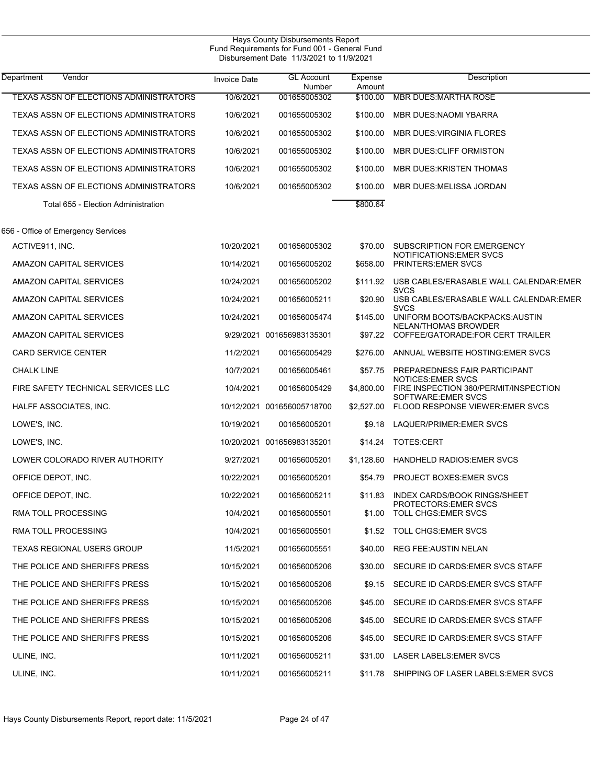| <b>Hays County Disbursements Report</b><br>Fund Requirements for Fund 001 - General Fund<br>Disbursement Date 11/3/2021 to 11/9/2021 |              |                             |                   |                                                                         |  |
|--------------------------------------------------------------------------------------------------------------------------------------|--------------|-----------------------------|-------------------|-------------------------------------------------------------------------|--|
| Department<br>Vendor                                                                                                                 | Invoice Date | <b>GL Account</b><br>Number | Expense<br>Amount | Description                                                             |  |
| <b>TEXAS ASSN OF ELECTIONS ADMINISTRATORS</b>                                                                                        | 10/6/2021    | 001655005302                | \$100.00          | <b>MBR DUES MARTHA ROSE</b>                                             |  |
| TEXAS ASSN OF ELECTIONS ADMINISTRATORS                                                                                               | 10/6/2021    | 001655005302                | \$100.00          | <b>MBR DUES:NAOMI YBARRA</b>                                            |  |
| TEXAS ASSN OF ELECTIONS ADMINISTRATORS                                                                                               | 10/6/2021    | 001655005302                | \$100.00          | <b>MBR DUES: VIRGINIA FLORES</b>                                        |  |
| TEXAS ASSN OF ELECTIONS ADMINISTRATORS                                                                                               | 10/6/2021    | 001655005302                | \$100.00          | MBR DUES: CLIFF ORMISTON                                                |  |
| TEXAS ASSN OF ELECTIONS ADMINISTRATORS                                                                                               | 10/6/2021    | 001655005302                | \$100.00          | <b>MBR DUES: KRISTEN THOMAS</b>                                         |  |
| TEXAS ASSN OF ELECTIONS ADMINISTRATORS                                                                                               | 10/6/2021    | 001655005302                | \$100.00          | MBR DUES: MELISSA JORDAN                                                |  |
| Total 655 - Election Administration                                                                                                  |              |                             | \$800.64          |                                                                         |  |
| 656 - Office of Emergency Services                                                                                                   |              |                             |                   |                                                                         |  |
| ACTIVE911, INC.                                                                                                                      | 10/20/2021   | 001656005302                | \$70.00           | SUBSCRIPTION FOR EMERGENCY                                              |  |
| AMAZON CAPITAL SERVICES                                                                                                              | 10/14/2021   | 001656005202                | \$658.00          | <b>NOTIFICATIONS: EMER SVCS</b><br>PRINTERS: EMER SVCS                  |  |
| AMAZON CAPITAL SERVICES                                                                                                              | 10/24/2021   | 001656005202                | \$111.92          | USB CABLES/ERASABLE WALL CALENDAR: EMER                                 |  |
| AMAZON CAPITAL SERVICES                                                                                                              | 10/24/2021   | 001656005211                | \$20.90           | <b>SVCS</b><br>USB CABLES/ERASABLE WALL CALENDAR: EMER                  |  |
| AMAZON CAPITAL SERVICES                                                                                                              | 10/24/2021   | 001656005474                | \$145.00          | <b>SVCS</b><br>UNIFORM BOOTS/BACKPACKS: AUSTIN                          |  |
| AMAZON CAPITAL SERVICES                                                                                                              |              | 9/29/2021 001656983135301   |                   | <b>NELAN/THOMAS BROWDER</b><br>\$97.22 COFFEE/GATORADE:FOR CERT TRAILER |  |
| <b>CARD SERVICE CENTER</b>                                                                                                           | 11/2/2021    | 001656005429                | \$276.00          | ANNUAL WEBSITE HOSTING EMER SVCS                                        |  |
| <b>CHALK LINE</b>                                                                                                                    | 10/7/2021    | 001656005461                | \$57.75           | PREPAREDNESS FAIR PARTICIPANT                                           |  |
| FIRE SAFETY TECHNICAL SERVICES LLC                                                                                                   | 10/4/2021    | 001656005429                | \$4,800.00        | <b>NOTICES: EMER SVCS</b><br>FIRE INSPECTION 360/PERMIT/INSPECTION      |  |
| HALFF ASSOCIATES, INC.                                                                                                               |              | 10/12/2021 001656005718700  | \$2,527.00        | SOFTWARE:EMER SVCS<br><b>FLOOD RESPONSE VIEWER EMER SVCS</b>            |  |
| LOWE'S, INC.                                                                                                                         | 10/19/2021   | 001656005201                | \$9.18            | LAQUER/PRIMER: EMER SVCS                                                |  |
| LOWE'S, INC.                                                                                                                         |              | 10/20/2021 001656983135201  | \$14.24           | TOTES:CERT                                                              |  |
| LOWER COLORADO RIVER AUTHORITY                                                                                                       | 9/27/2021    | 001656005201                | \$1,128.60        | <b>HANDHELD RADIOS: EMER SVCS</b>                                       |  |
| OFFICE DEPOT, INC.                                                                                                                   | 10/22/2021   | 001656005201                |                   | \$54.79 PROJECT BOXES:EMER SVCS                                         |  |
| OFFICE DEPOT, INC.                                                                                                                   | 10/22/2021   | 001656005211                | \$11.83           | INDEX CARDS/BOOK RINGS/SHEET<br>PROTECTORS EMER SVCS                    |  |
| RMA TOLL PROCESSING                                                                                                                  | 10/4/2021    | 001656005501                | \$1.00            | TOLL CHGS:EMER SVCS                                                     |  |
| RMA TOLL PROCESSING                                                                                                                  | 10/4/2021    | 001656005501                |                   | \$1.52 TOLL CHGS: EMER SVCS                                             |  |
| TEXAS REGIONAL USERS GROUP                                                                                                           | 11/5/2021    | 001656005551                | \$40.00           | <b>REG FEE: AUSTIN NELAN</b>                                            |  |
| THE POLICE AND SHERIFFS PRESS                                                                                                        | 10/15/2021   | 001656005206                | \$30.00           | SECURE ID CARDS EMER SVCS STAFF                                         |  |
| THE POLICE AND SHERIFFS PRESS                                                                                                        | 10/15/2021   | 001656005206                | \$9.15            | SECURE ID CARDS EMER SVCS STAFF                                         |  |
| THE POLICE AND SHERIFFS PRESS                                                                                                        | 10/15/2021   | 001656005206                | \$45.00           | SECURE ID CARDS EMER SVCS STAFF                                         |  |
| THE POLICE AND SHERIFFS PRESS                                                                                                        | 10/15/2021   | 001656005206                | \$45.00           | SECURE ID CARDS EMER SVCS STAFF                                         |  |
| THE POLICE AND SHERIFFS PRESS                                                                                                        | 10/15/2021   | 001656005206                | \$45.00           | SECURE ID CARDS EMER SVCS STAFF                                         |  |
| ULINE, INC.                                                                                                                          | 10/11/2021   | 001656005211                | \$31.00           | LASER LABELS: EMER SVCS                                                 |  |
| ULINE, INC.                                                                                                                          | 10/11/2021   | 001656005211                | \$11.78           | SHIPPING OF LASER LABELS EMER SVCS                                      |  |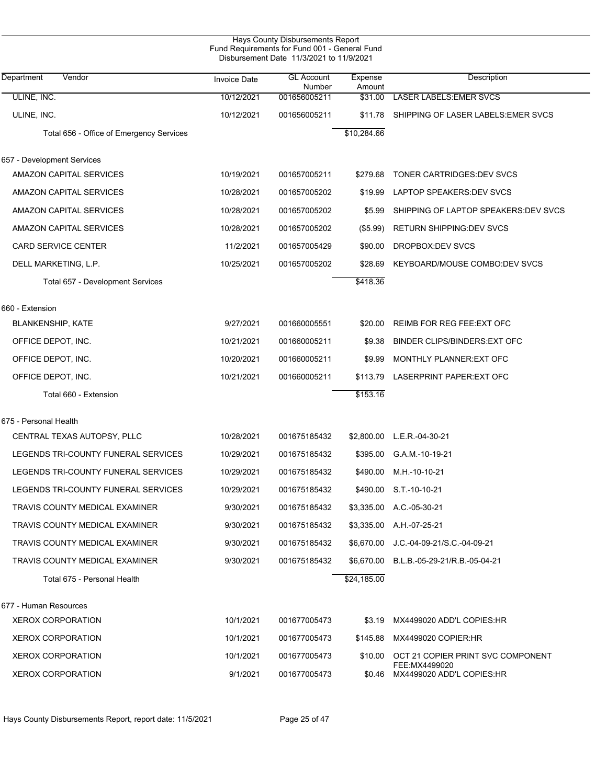|                                          | Fund Requirements for Fund 001 - General Fund | Disbursement Date 11/3/2021 to 11/9/2021 |                   |                                            |
|------------------------------------------|-----------------------------------------------|------------------------------------------|-------------------|--------------------------------------------|
| Vendor<br>Department                     | <b>Invoice Date</b>                           | <b>GL Account</b><br>Number              | Expense<br>Amount | Description                                |
| ULINE, INC.                              | 10/12/2021                                    | 001656005211                             | \$31.00           | <b>LASER LABELS: EMER SVCS</b>             |
| ULINE, INC.                              | 10/12/2021                                    | 001656005211                             | \$11.78           | SHIPPING OF LASER LABELS EMER SVCS         |
| Total 656 - Office of Emergency Services |                                               |                                          | \$10,284.66       |                                            |
| 657 - Development Services               |                                               |                                          |                   |                                            |
| AMAZON CAPITAL SERVICES                  | 10/19/2021                                    | 001657005211                             | \$279.68          | TONER CARTRIDGES DEV SVCS                  |
| AMAZON CAPITAL SERVICES                  | 10/28/2021                                    | 001657005202                             | \$19.99           | LAPTOP SPEAKERS DEV SVCS                   |
| AMAZON CAPITAL SERVICES                  | 10/28/2021                                    | 001657005202                             | \$5.99            | SHIPPING OF LAPTOP SPEAKERS DEV SVCS       |
| AMAZON CAPITAL SERVICES                  | 10/28/2021                                    | 001657005202                             | $(\$5.99)$        | RETURN SHIPPING DEV SVCS                   |
| <b>CARD SERVICE CENTER</b>               | 11/2/2021                                     | 001657005429                             | \$90.00           | DROPBOX: DEV SVCS                          |
| DELL MARKETING, L.P.                     | 10/25/2021                                    | 001657005202                             | \$28.69           | KEYBOARD/MOUSE COMBO:DEV SVCS              |
| Total 657 - Development Services         |                                               |                                          | \$418.36          |                                            |
| 660 - Extension                          |                                               |                                          |                   |                                            |
| <b>BLANKENSHIP, KATE</b>                 | 9/27/2021                                     | 001660005551                             | \$20.00           | REIMB FOR REG FEE: EXT OFC                 |
| OFFICE DEPOT, INC.                       | 10/21/2021                                    | 001660005211                             | \$9.38            | BINDER CLIPS/BINDERS: EXT OFC              |
| OFFICE DEPOT, INC.                       | 10/20/2021                                    | 001660005211                             | \$9.99            | MONTHLY PLANNER: EXT OFC                   |
| OFFICE DEPOT, INC.                       | 10/21/2021                                    | 001660005211                             | \$113.79          | LASERPRINT PAPER: EXT OFC                  |
| Total 660 - Extension                    |                                               |                                          | \$153.16          |                                            |
| 675 - Personal Health                    |                                               |                                          |                   |                                            |
| CENTRAL TEXAS AUTOPSY, PLLC              | 10/28/2021                                    | 001675185432                             |                   | \$2,800.00 L.E.R.-04-30-21                 |
| LEGENDS TRI-COUNTY FUNERAL SERVICES      | 10/29/2021                                    | 001675185432                             | \$395.00          | G.A.M.-10-19-21                            |
| LEGENDS TRI-COUNTY FUNERAL SERVICES      | 10/29/2021                                    | 001675185432                             | \$490.00          | M.H.-10-10-21                              |
| LEGENDS TRI-COUNTY FUNERAL SERVICES      | 10/29/2021                                    | 001675185432                             |                   | \$490.00 S.T.-10-10-21                     |
| TRAVIS COUNTY MEDICAL EXAMINER           | 9/30/2021                                     | 001675185432                             |                   | \$3,335.00 A.C.-05-30-21                   |
| TRAVIS COUNTY MEDICAL EXAMINER           | 9/30/2021                                     | 001675185432                             |                   | \$3,335.00 A.H.-07-25-21                   |
| TRAVIS COUNTY MEDICAL EXAMINER           | 9/30/2021                                     | 001675185432                             | \$6,670.00        | J.C.-04-09-21/S.C.-04-09-21                |
| TRAVIS COUNTY MEDICAL EXAMINER           | 9/30/2021                                     | 001675185432                             |                   | \$6,670.00 B.L.B.-05-29-21/R.B.-05-04-21   |
| Total 675 - Personal Health              |                                               |                                          | \$24,185.00       |                                            |
| 677 - Human Resources                    |                                               |                                          |                   |                                            |
| <b>XEROX CORPORATION</b>                 | 10/1/2021                                     | 001677005473                             | \$3.19            | MX4499020 ADD'L COPIES:HR                  |
| <b>XEROX CORPORATION</b>                 | 10/1/2021                                     | 001677005473                             | \$145.88          | MX4499020 COPIER:HR                        |
| <b>XEROX CORPORATION</b>                 | 10/1/2021                                     | 001677005473                             | \$10.00           | OCT 21 COPIER PRINT SVC COMPONENT          |
| <b>XEROX CORPORATION</b>                 | 9/1/2021                                      | 001677005473                             | \$0.46            | FEE:MX4499020<br>MX4499020 ADD'L COPIES:HR |

Hays County Disbursements Report, report date: 11/5/2021 Page 25 of 47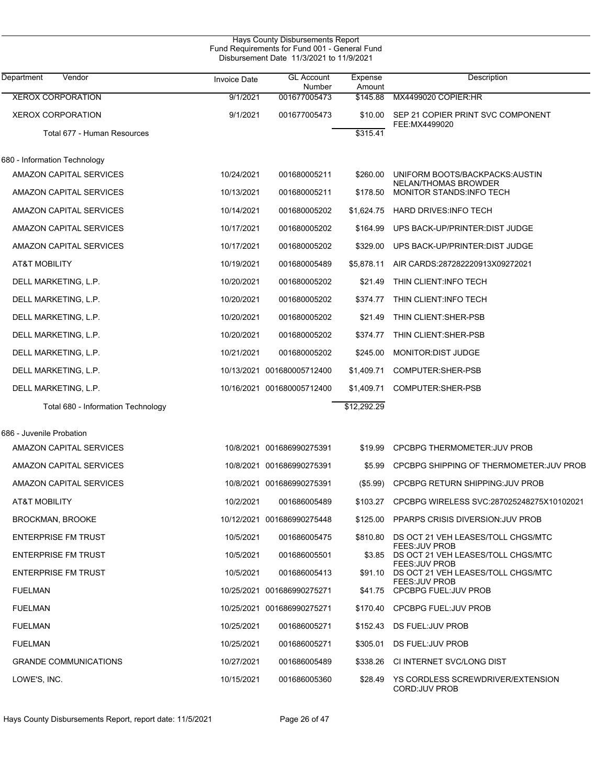| Hays County Disbursements Report<br>Fund Requirements for Fund 001 - General Fund<br>Disbursement Date 11/3/2021 to 11/9/2021 |                     |                             |                   |                                                                |  |
|-------------------------------------------------------------------------------------------------------------------------------|---------------------|-----------------------------|-------------------|----------------------------------------------------------------|--|
| Department<br>Vendor                                                                                                          | <b>Invoice Date</b> | <b>GL Account</b><br>Number | Expense<br>Amount | Description                                                    |  |
| <b>XEROX CORPORATION</b>                                                                                                      | 9/1/2021            | 001677005473                | \$145.88          | MX4499020 COPIER:HR                                            |  |
| <b>XEROX CORPORATION</b>                                                                                                      | 9/1/2021            | 001677005473                | \$10.00           | SEP 21 COPIER PRINT SVC COMPONENT<br>FEE:MX4499020             |  |
| Total 677 - Human Resources                                                                                                   |                     |                             | \$315.41          |                                                                |  |
| 680 - Information Technology                                                                                                  |                     |                             |                   |                                                                |  |
| AMAZON CAPITAL SERVICES                                                                                                       | 10/24/2021          | 001680005211                | \$260.00          | UNIFORM BOOTS/BACKPACKS: AUSTIN<br><b>NELAN/THOMAS BROWDER</b> |  |
| AMAZON CAPITAL SERVICES                                                                                                       | 10/13/2021          | 001680005211                | \$178.50          | MONITOR STANDS: INFO TECH                                      |  |
| <b>AMAZON CAPITAL SERVICES</b>                                                                                                | 10/14/2021          | 001680005202                | \$1,624.75        | HARD DRIVES: INFO TECH                                         |  |
| <b>AMAZON CAPITAL SERVICES</b>                                                                                                | 10/17/2021          | 001680005202                | \$164.99          | UPS BACK-UP/PRINTER: DIST JUDGE                                |  |
| <b>AMAZON CAPITAL SERVICES</b>                                                                                                | 10/17/2021          | 001680005202                | \$329.00          | UPS BACK-UP/PRINTER: DIST JUDGE                                |  |
| <b>AT&amp;T MOBILITY</b>                                                                                                      | 10/19/2021          | 001680005489                | \$5,878.11        | AIR CARDS:287282220913X09272021                                |  |
| DELL MARKETING, L.P.                                                                                                          | 10/20/2021          | 001680005202                | \$21.49           | THIN CLIENT: INFO TECH                                         |  |
| DELL MARKETING, L.P.                                                                                                          | 10/20/2021          | 001680005202                | \$374.77          | THIN CLIENT: INFO TECH                                         |  |
| DELL MARKETING, L.P.                                                                                                          | 10/20/2021          | 001680005202                | \$21.49           | THIN CLIENT: SHER-PSB                                          |  |
| DELL MARKETING, L.P.                                                                                                          | 10/20/2021          | 001680005202                | \$374.77          | THIN CLIENT: SHER-PSB                                          |  |
| DELL MARKETING, L.P.                                                                                                          | 10/21/2021          | 001680005202                | \$245.00          | MONITOR: DIST JUDGE                                            |  |
| DELL MARKETING, L.P.                                                                                                          |                     | 10/13/2021 001680005712400  | \$1,409.71        | COMPUTER:SHER-PSB                                              |  |
| DELL MARKETING, L.P.                                                                                                          |                     | 10/16/2021 001680005712400  | \$1,409.71        | COMPUTER:SHER-PSB                                              |  |
| Total 680 - Information Technology                                                                                            |                     |                             | \$12,292.29       |                                                                |  |
| 686 - Juvenile Probation                                                                                                      |                     |                             |                   |                                                                |  |
| <b>AMAZON CAPITAL SERVICES</b>                                                                                                |                     | 10/8/2021 001686990275391   | \$19.99           | <b>CPCBPG THERMOMETER: JUV PROB</b>                            |  |
| <b>AMAZON CAPITAL SERVICES</b>                                                                                                |                     | 10/8/2021 001686990275391   | \$5.99            | CPCBPG SHIPPING OF THERMOMETER: JUV PROB                       |  |
| AMAZON CAPITAL SERVICES                                                                                                       |                     | 10/8/2021 001686990275391   |                   | (\$5.99) CPCBPG RETURN SHIPPING: JUV PROB                      |  |
| AT&T MOBILITY                                                                                                                 | 10/2/2021           | 001686005489                |                   | \$103.27 CPCBPG WIRELESS SVC:287025248275X10102021             |  |
| <b>BROCKMAN, BROOKE</b>                                                                                                       |                     | 10/12/2021 001686990275448  | \$125.00          | PPARPS CRISIS DIVERSION: JUV PROB                              |  |
| <b>ENTERPRISE FM TRUST</b>                                                                                                    | 10/5/2021           | 001686005475                | \$810.80          | DS OCT 21 VEH LEASES/TOLL CHGS/MTC                             |  |
| <b>ENTERPRISE FM TRUST</b>                                                                                                    | 10/5/2021           | 001686005501                | \$3.85            | FEES: JUV PROB<br>DS OCT 21 VEH LEASES/TOLL CHGS/MTC           |  |
| <b>ENTERPRISE FM TRUST</b>                                                                                                    | 10/5/2021           | 001686005413                | \$91.10           | FEES: JUV PROB<br>DS OCT 21 VEH LEASES/TOLL CHGS/MTC           |  |
| <b>FUELMAN</b>                                                                                                                |                     | 10/25/2021 001686990275271  | \$41.75           | <b>FEES: JUV PROB</b><br><b>CPCBPG FUEL: JUV PROB</b>          |  |
| <b>FUELMAN</b>                                                                                                                |                     | 10/25/2021 001686990275271  |                   | \$170.40 CPCBPG FUEL:JUV PROB                                  |  |
| <b>FUELMAN</b>                                                                                                                | 10/25/2021          | 001686005271                | \$152.43          | DS FUEL: JUV PROB                                              |  |
| <b>FUELMAN</b>                                                                                                                | 10/25/2021          | 001686005271                | \$305.01          | DS FUEL: JUV PROB                                              |  |
| <b>GRANDE COMMUNICATIONS</b>                                                                                                  | 10/27/2021          | 001686005489                | \$338.26          | CI INTERNET SVC/LONG DIST                                      |  |
| LOWE'S, INC.                                                                                                                  | 10/15/2021          | 001686005360                | \$28.49           | YS CORDLESS SCREWDRIVER/EXTENSION<br>CORD: JUV PROB            |  |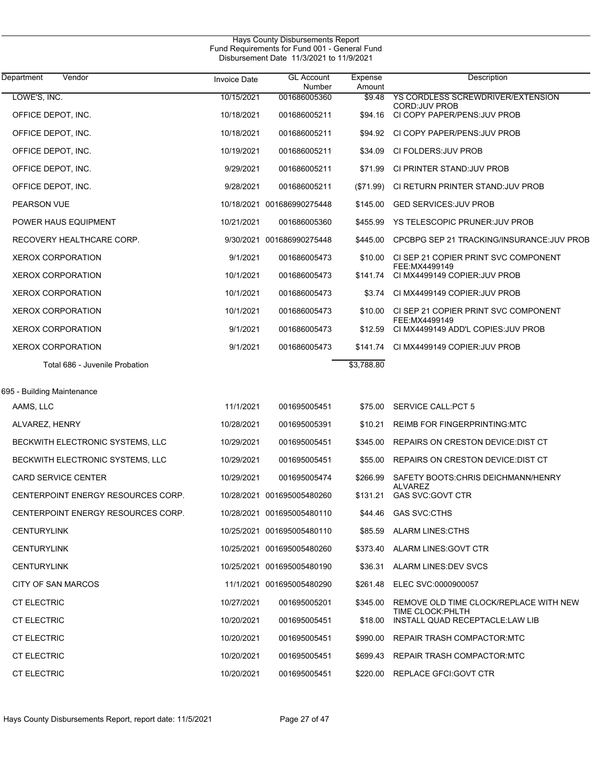| Hays County Disbursements Report<br>Fund Requirements for Fund 001 - General Fund<br>Disbursement Date 11/3/2021 to 11/9/2021 |                     |                             |                   |                                                             |  |  |
|-------------------------------------------------------------------------------------------------------------------------------|---------------------|-----------------------------|-------------------|-------------------------------------------------------------|--|--|
| Department<br>Vendor                                                                                                          | <b>Invoice Date</b> | <b>GL Account</b><br>Number | Expense<br>Amount | Description                                                 |  |  |
| LOWE'S, INC.                                                                                                                  | 10/15/2021          | 001686005360                | \$9.48            | YS CORDLESS SCREWDRIVER/EXTENSION                           |  |  |
| OFFICE DEPOT, INC.                                                                                                            | 10/18/2021          | 001686005211                | \$94.16           | CORD: JUV PROB<br>CI COPY PAPER/PENS: JUV PROB              |  |  |
| OFFICE DEPOT, INC.                                                                                                            | 10/18/2021          | 001686005211                | \$94.92           | CI COPY PAPER/PENS: JUV PROB                                |  |  |
| OFFICE DEPOT, INC.                                                                                                            | 10/19/2021          | 001686005211                | \$34.09           | CI FOLDERS: JUV PROB                                        |  |  |
| OFFICE DEPOT, INC.                                                                                                            | 9/29/2021           | 001686005211                | \$71.99           | CI PRINTER STAND: JUV PROB                                  |  |  |
| OFFICE DEPOT, INC.                                                                                                            | 9/28/2021           | 001686005211                | (\$71.99)         | CI RETURN PRINTER STAND: JUV PROB                           |  |  |
| PEARSON VUE                                                                                                                   |                     | 10/18/2021 001686990275448  | \$145.00          | <b>GED SERVICES: JUV PROB</b>                               |  |  |
| POWER HAUS EQUIPMENT                                                                                                          | 10/21/2021          | 001686005360                | \$455.99          | YS TELESCOPIC PRUNER: JUV PROB                              |  |  |
| RECOVERY HEALTHCARE CORP.                                                                                                     |                     | 9/30/2021 001686990275448   | \$445.00          | CPCBPG SEP 21 TRACKING/INSURANCE: JUV PROB                  |  |  |
| <b>XEROX CORPORATION</b>                                                                                                      | 9/1/2021            | 001686005473                | \$10.00           | CI SEP 21 COPIER PRINT SVC COMPONENT<br>FEE: MX4499149      |  |  |
| <b>XEROX CORPORATION</b>                                                                                                      | 10/1/2021           | 001686005473                | \$141.74          | CI MX4499149 COPIER: JUV PROB                               |  |  |
| <b>XEROX CORPORATION</b>                                                                                                      | 10/1/2021           | 001686005473                | \$3.74            | CI MX4499149 COPIER: JUV PROB                               |  |  |
| <b>XEROX CORPORATION</b>                                                                                                      | 10/1/2021           | 001686005473                | \$10.00           | CI SEP 21 COPIER PRINT SVC COMPONENT<br>FEE:MX4499149       |  |  |
| <b>XEROX CORPORATION</b>                                                                                                      | 9/1/2021            | 001686005473                | \$12.59           | CI MX4499149 ADD'L COPIES: JUV PROB                         |  |  |
| <b>XEROX CORPORATION</b>                                                                                                      | 9/1/2021            | 001686005473                | \$141.74          | CI MX4499149 COPIER: JUV PROB                               |  |  |
| Total 686 - Juvenile Probation                                                                                                |                     |                             | \$3,788.80        |                                                             |  |  |
| 695 - Building Maintenance                                                                                                    |                     |                             |                   |                                                             |  |  |
| AAMS, LLC                                                                                                                     | 11/1/2021           | 001695005451                | \$75.00           | <b>SERVICE CALL:PCT 5</b>                                   |  |  |
| ALVAREZ, HENRY                                                                                                                | 10/28/2021          | 001695005391                | \$10.21           | <b>REIMB FOR FINGERPRINTING:MTC</b>                         |  |  |
| BECKWITH ELECTRONIC SYSTEMS, LLC                                                                                              | 10/29/2021          | 001695005451                | \$345.00          | REPAIRS ON CRESTON DEVICE: DIST CT                          |  |  |
| BECKWITH ELECTRONIC SYSTEMS, LLC                                                                                              | 10/29/2021          | 001695005451                | \$55.00           | <b>REPAIRS ON CRESTON DEVICE: DIST CT</b>                   |  |  |
| <b>CARD SERVICE CENTER</b>                                                                                                    | 10/29/2021          | 001695005474                | \$266.99          | SAFETY BOOTS: CHRIS DEICHMANN/HENRY                         |  |  |
| CENTERPOINT ENERGY RESOURCES CORP.                                                                                            |                     | 10/28/2021 001695005480260  | \$131.21          | <b>ALVAREZ</b><br><b>GAS SVC:GOVT CTR</b>                   |  |  |
| CENTERPOINT ENERGY RESOURCES CORP.                                                                                            |                     | 10/28/2021 001695005480110  |                   | \$44.46 GAS SVC CTHS                                        |  |  |
| <b>CENTURYLINK</b>                                                                                                            |                     | 10/25/2021 001695005480110  | \$85.59           | ALARM LINES:CTHS                                            |  |  |
| <b>CENTURYLINK</b>                                                                                                            |                     | 10/25/2021 001695005480260  | \$373.40          | ALARM LINES:GOVT CTR                                        |  |  |
| <b>CENTURYLINK</b>                                                                                                            |                     | 10/25/2021 001695005480190  |                   | \$36.31 ALARM LINES DEV SVCS                                |  |  |
| CITY OF SAN MARCOS                                                                                                            |                     | 11/1/2021 001695005480290   | \$261.48          | ELEC SVC:0000900057                                         |  |  |
| <b>CT ELECTRIC</b>                                                                                                            | 10/27/2021          | 001695005201                | \$345.00          | REMOVE OLD TIME CLOCK/REPLACE WITH NEW<br>TIME CLOCK: PHLTH |  |  |
| <b>CT ELECTRIC</b>                                                                                                            | 10/20/2021          | 001695005451                | \$18.00           | INSTALL QUAD RECEPTACLE LAW LIB                             |  |  |
| <b>CT ELECTRIC</b>                                                                                                            | 10/20/2021          | 001695005451                |                   | \$990.00 REPAIR TRASH COMPACTOR MTC                         |  |  |
| <b>CT ELECTRIC</b>                                                                                                            | 10/20/2021          | 001695005451                | \$699.43          | REPAIR TRASH COMPACTOR:MTC                                  |  |  |
| <b>CT ELECTRIC</b>                                                                                                            | 10/20/2021          | 001695005451                |                   | \$220.00 REPLACE GFCI: GOVT CTR                             |  |  |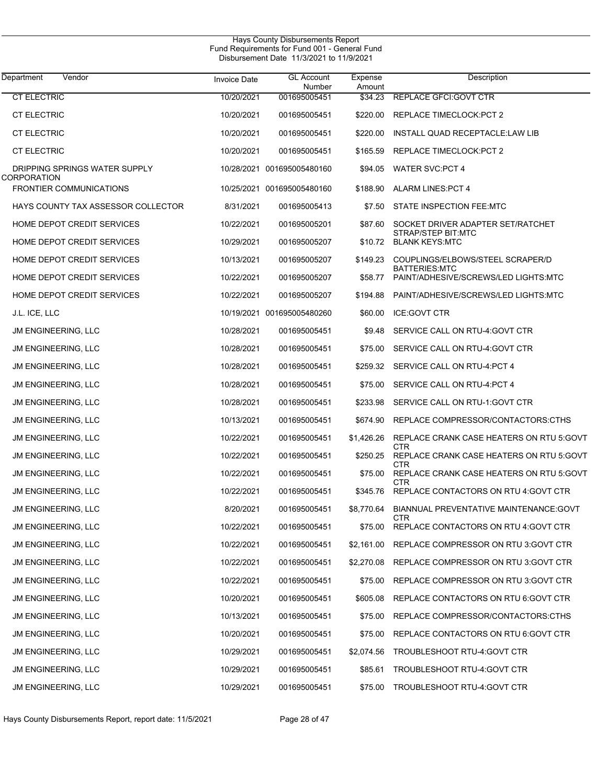| Department<br>Vendor                          | <b>Invoice Date</b> | <b>GL Account</b><br>Number | Expense<br>Amount | Description                                                  |
|-----------------------------------------------|---------------------|-----------------------------|-------------------|--------------------------------------------------------------|
| <b>CT ELECTRIC</b>                            | 10/20/2021          | 001695005451                | \$34.23           | REPLACE GFCI: GOVT CTR                                       |
| <b>CT ELECTRIC</b>                            | 10/20/2021          | 001695005451                | \$220.00          | REPLACE TIMECLOCK: PCT 2                                     |
| <b>CT ELECTRIC</b>                            | 10/20/2021          | 001695005451                | \$220.00          | INSTALL QUAD RECEPTACLE:LAW LIB                              |
| <b>CT ELECTRIC</b>                            | 10/20/2021          | 001695005451                | \$165.59          | REPLACE TIMECLOCK: PCT 2                                     |
| DRIPPING SPRINGS WATER SUPPLY                 |                     | 10/28/2021 001695005480160  | \$94.05           | <b>WATER SVC:PCT 4</b>                                       |
| CORPORATION<br><b>FRONTIER COMMUNICATIONS</b> |                     | 10/25/2021 001695005480160  | \$188.90          | <b>ALARM LINES: PCT 4</b>                                    |
| HAYS COUNTY TAX ASSESSOR COLLECTOR            | 8/31/2021           | 001695005413                | \$7.50            | STATE INSPECTION FEE:MTC                                     |
| HOME DEPOT CREDIT SERVICES                    | 10/22/2021          | 001695005201                | \$87.60           | SOCKET DRIVER ADAPTER SET/RATCHET                            |
| HOME DEPOT CREDIT SERVICES                    | 10/29/2021          | 001695005207                |                   | STRAP/STEP BIT:MTC<br>\$10.72 BLANK KEYS:MTC                 |
| HOME DEPOT CREDIT SERVICES                    | 10/13/2021          | 001695005207                | \$149.23          | COUPLINGS/ELBOWS/STEEL SCRAPER/D                             |
| HOME DEPOT CREDIT SERVICES                    | 10/22/2021          | 001695005207                | \$58.77           | <b>BATTERIES:MTC</b><br>PAINT/ADHESIVE/SCREWS/LED LIGHTS:MTC |
| HOME DEPOT CREDIT SERVICES                    | 10/22/2021          | 001695005207                | \$194.88          | PAINT/ADHESIVE/SCREWS/LED LIGHTS:MTC                         |
| J.L. ICE, LLC                                 |                     | 10/19/2021 001695005480260  | \$60.00           | <b>ICE:GOVT CTR</b>                                          |
| <b>JM ENGINEERING, LLC</b>                    | 10/28/2021          | 001695005451                | \$9.48            | SERVICE CALL ON RTU-4 GOVT CTR                               |
| JM ENGINEERING, LLC                           | 10/28/2021          | 001695005451                | \$75.00           | SERVICE CALL ON RTU-4 GOVT CTR                               |
| JM ENGINEERING, LLC                           | 10/28/2021          | 001695005451                | \$259.32          | SERVICE CALL ON RTU-4 PCT 4                                  |
| JM ENGINEERING, LLC                           | 10/28/2021          | 001695005451                | \$75.00           | SERVICE CALL ON RTU-4 PCT 4                                  |
| JM ENGINEERING, LLC                           | 10/28/2021          | 001695005451                | \$233.98          | SERVICE CALL ON RTU-1: GOVT CTR                              |
| JM ENGINEERING, LLC                           | 10/13/2021          | 001695005451                | \$674.90          | REPLACE COMPRESSOR/CONTACTORS:CTHS                           |
| JM ENGINEERING, LLC                           | 10/22/2021          | 001695005451                | \$1,426.26        | REPLACE CRANK CASE HEATERS ON RTU 5:GOVT<br>CTR              |
| <b>JM ENGINEERING, LLC</b>                    | 10/22/2021          | 001695005451                | \$250.25          | REPLACE CRANK CASE HEATERS ON RTU 5:GOVT<br>CTR              |
| JM ENGINEERING, LLC                           | 10/22/2021          | 001695005451                | \$75.00           | REPLACE CRANK CASE HEATERS ON RTU 5:GOVT<br>CTR              |
| <b>JM ENGINEERING, LLC</b>                    | 10/22/2021          | 001695005451                | \$345.76          | REPLACE CONTACTORS ON RTU 4: GOVT CTR                        |
| <b>JM ENGINEERING, LLC</b>                    | 8/20/2021           | 001695005451                | \$8,770.64        | <b>BIANNUAL PREVENTATIVE MAINTENANCE: GOVT</b><br>CTR        |
| JM ENGINEERING, LLC                           | 10/22/2021          | 001695005451                | \$75.00           | REPLACE CONTACTORS ON RTU 4: GOVT CTR                        |
| <b>JM ENGINEERING, LLC</b>                    | 10/22/2021          | 001695005451                |                   | \$2,161.00 REPLACE COMPRESSOR ON RTU 3:GOVT CTR              |
| JM ENGINEERING, LLC                           | 10/22/2021          | 001695005451                | \$2,270.08        | REPLACE COMPRESSOR ON RTU 3: GOVT CTR                        |
| JM ENGINEERING, LLC                           | 10/22/2021          | 001695005451                | \$75.00           | REPLACE COMPRESSOR ON RTU 3: GOVT CTR                        |
| JM ENGINEERING, LLC                           | 10/20/2021          | 001695005451                | \$605.08          | REPLACE CONTACTORS ON RTU 6: GOVT CTR                        |
| JM ENGINEERING, LLC                           | 10/13/2021          | 001695005451                | \$75.00           | REPLACE COMPRESSOR/CONTACTORS:CTHS                           |
| JM ENGINEERING, LLC                           | 10/20/2021          | 001695005451                | \$75.00           | REPLACE CONTACTORS ON RTU 6: GOVT CTR                        |
| JM ENGINEERING, LLC                           | 10/29/2021          | 001695005451                | \$2,074.56        | TROUBLESHOOT RTU-4:GOVT CTR                                  |
| JM ENGINEERING, LLC                           | 10/29/2021          | 001695005451                | \$85.61           | TROUBLESHOOT RTU-4:GOVT CTR                                  |
| JM ENGINEERING, LLC                           | 10/29/2021          | 001695005451                | \$75.00           | TROUBLESHOOT RTU-4:GOVT CTR                                  |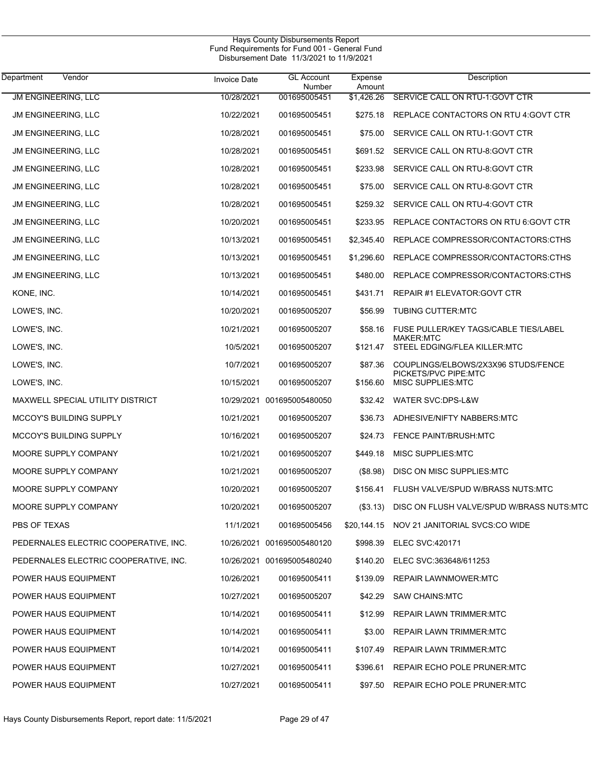|                                       |                     | Hays County Disbursements Report<br>Fund Requirements for Fund 001 - General Fund<br>Disbursement Date 11/3/2021 to 11/9/2021 |                   |                                                  |  |  |
|---------------------------------------|---------------------|-------------------------------------------------------------------------------------------------------------------------------|-------------------|--------------------------------------------------|--|--|
| Vendor<br>Department                  | <b>Invoice Date</b> | <b>GL Account</b><br>Number                                                                                                   | Expense<br>Amount | Description                                      |  |  |
| JM ENGINEERING, LLC                   | 10/28/2021          | 001695005451                                                                                                                  | \$1.426.26        | SERVICE CALL ON RTU-1: GOVT CTR                  |  |  |
| JM ENGINEERING, LLC                   | 10/22/2021          | 001695005451                                                                                                                  | \$275.18          | REPLACE CONTACTORS ON RTU 4: GOVT CTR            |  |  |
| <b>JM ENGINEERING, LLC</b>            | 10/28/2021          | 001695005451                                                                                                                  | \$75.00           | SERVICE CALL ON RTU-1: GOVT CTR                  |  |  |
| <b>JM ENGINEERING, LLC</b>            | 10/28/2021          | 001695005451                                                                                                                  | \$691.52          | SERVICE CALL ON RTU-8:GOVT CTR                   |  |  |
| <b>JM ENGINEERING, LLC</b>            | 10/28/2021          | 001695005451                                                                                                                  | \$233.98          | SERVICE CALL ON RTU-8: GOVT CTR                  |  |  |
| <b>JM ENGINEERING, LLC</b>            | 10/28/2021          | 001695005451                                                                                                                  | \$75.00           | SERVICE CALL ON RTU-8:GOVT CTR                   |  |  |
| <b>JM ENGINEERING, LLC</b>            | 10/28/2021          | 001695005451                                                                                                                  | \$259.32          | SERVICE CALL ON RTU-4: GOVT CTR                  |  |  |
| <b>JM ENGINEERING, LLC</b>            | 10/20/2021          | 001695005451                                                                                                                  | \$233.95          | REPLACE CONTACTORS ON RTU 6.GOVT CTR             |  |  |
| <b>JM ENGINEERING, LLC</b>            | 10/13/2021          | 001695005451                                                                                                                  | \$2,345.40        | REPLACE COMPRESSOR/CONTACTORS:CTHS               |  |  |
| <b>JM ENGINEERING, LLC</b>            | 10/13/2021          | 001695005451                                                                                                                  | \$1,296.60        | REPLACE COMPRESSOR/CONTACTORS:CTHS               |  |  |
| <b>JM ENGINEERING, LLC</b>            | 10/13/2021          | 001695005451                                                                                                                  | \$480.00          | REPLACE COMPRESSOR/CONTACTORS:CTHS               |  |  |
| KONE, INC.                            | 10/14/2021          | 001695005451                                                                                                                  | \$431.71          | REPAIR #1 ELEVATOR: GOVT CTR                     |  |  |
| LOWE'S, INC.                          | 10/20/2021          | 001695005207                                                                                                                  | \$56.99           | <b>TUBING CUTTER:MTC</b>                         |  |  |
| LOWE'S, INC.                          | 10/21/2021          | 001695005207                                                                                                                  | \$58.16           | FUSE PULLER/KEY TAGS/CABLE TIES/LABEL            |  |  |
| LOWE'S, INC.                          | 10/5/2021           | 001695005207                                                                                                                  | \$121.47          | <b>MAKER:MTC</b><br>STEEL EDGING/FLEA KILLER:MTC |  |  |
| LOWE'S, INC.                          | 10/7/2021           | 001695005207                                                                                                                  | \$87.36           | COUPLINGS/ELBOWS/2X3X96 STUDS/FENCE              |  |  |
| LOWE'S, INC.                          | 10/15/2021          | 001695005207                                                                                                                  | \$156.60          | PICKETS/PVC PIPE:MTC<br>MISC SUPPLIES:MTC        |  |  |
| MAXWELL SPECIAL UTILITY DISTRICT      |                     | 10/29/2021 001695005480050                                                                                                    | \$32.42           | WATER SVC:DPS-L&W                                |  |  |
| <b>MCCOY'S BUILDING SUPPLY</b>        | 10/21/2021          | 001695005207                                                                                                                  | \$36.73           | ADHESIVE/NIFTY NABBERS:MTC                       |  |  |
| <b>MCCOY'S BUILDING SUPPLY</b>        | 10/16/2021          | 001695005207                                                                                                                  | \$24.73           | <b>FENCE PAINT/BRUSH:MTC</b>                     |  |  |
| MOORE SUPPLY COMPANY                  | 10/21/2021          | 001695005207                                                                                                                  | \$449.18          | MISC SUPPLIES: MTC                               |  |  |
| MOORE SUPPLY COMPANY                  | 10/21/2021          | 001695005207                                                                                                                  | (\$8.98)          | DISC ON MISC SUPPLIES: MTC                       |  |  |
| MOORE SUPPLY COMPANY                  | 10/20/2021          | 001695005207                                                                                                                  | \$156.41          | FLUSH VALVE/SPUD W/BRASS NUTS:MTC                |  |  |
| MOORE SUPPLY COMPANY                  | 10/20/2021          | 001695005207                                                                                                                  | (\$3.13)          | DISC ON FLUSH VALVE/SPUD W/BRASS NUTS:MTC        |  |  |
| PBS OF TEXAS                          | 11/1/2021           | 001695005456                                                                                                                  | \$20,144.15       | NOV 21 JANITORIAL SVCS:CO WIDE                   |  |  |
| PEDERNALES ELECTRIC COOPERATIVE, INC. |                     | 10/26/2021 001695005480120                                                                                                    | \$998.39          | <b>ELEC SVC:420171</b>                           |  |  |
| PEDERNALES ELECTRIC COOPERATIVE, INC. |                     | 10/26/2021 001695005480240                                                                                                    | \$140.20          | ELEC SVC:363648/611253                           |  |  |
| POWER HAUS EQUIPMENT                  | 10/26/2021          | 001695005411                                                                                                                  | \$139.09          | <b>REPAIR LAWNMOWER MTC</b>                      |  |  |
| POWER HAUS EQUIPMENT                  | 10/27/2021          | 001695005207                                                                                                                  | \$42.29           | <b>SAW CHAINS:MTC</b>                            |  |  |
| POWER HAUS EQUIPMENT                  | 10/14/2021          | 001695005411                                                                                                                  | \$12.99           | <b>REPAIR LAWN TRIMMER:MTC</b>                   |  |  |
| POWER HAUS EQUIPMENT                  | 10/14/2021          | 001695005411                                                                                                                  | \$3.00            | REPAIR LAWN TRIMMER:MTC                          |  |  |
| POWER HAUS EQUIPMENT                  | 10/14/2021          | 001695005411                                                                                                                  | \$107.49          | <b>REPAIR LAWN TRIMMER:MTC</b>                   |  |  |
| POWER HAUS EQUIPMENT                  | 10/27/2021          | 001695005411                                                                                                                  | \$396.61          | REPAIR ECHO POLE PRUNER:MTC                      |  |  |

POWER HAUS EQUIPMENT 10/27/2021 001695005411 \$97.50 REPAIR ECHO POLE PRUNER:MTC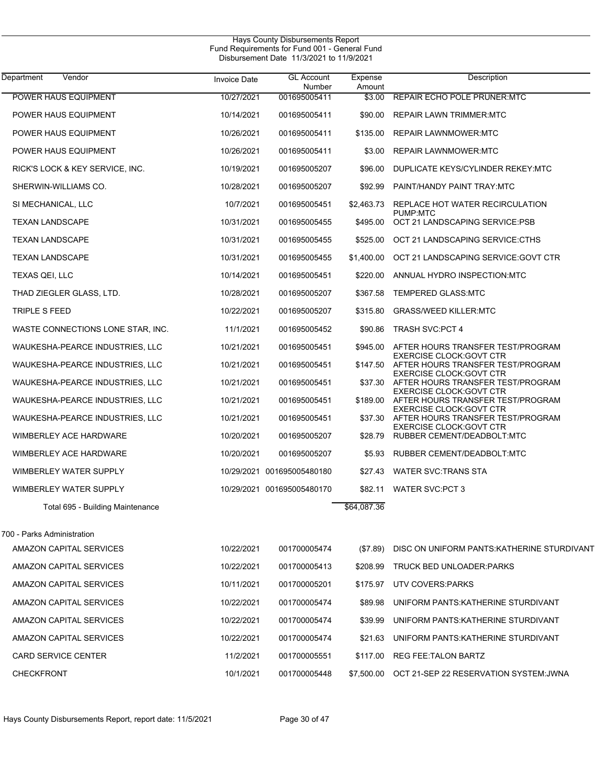| Department                 | Vendor                            | <b>Invoice Date</b> | <b>GL Account</b><br>Number | Expense<br>Amount | Description                                                                   |
|----------------------------|-----------------------------------|---------------------|-----------------------------|-------------------|-------------------------------------------------------------------------------|
|                            | POWER HAUS EQUIPMENT              | 10/27/2021          | 001695005411                | \$3.00            | REPAIR ECHO POLE PRUNER: MTC                                                  |
|                            | POWER HAUS EQUIPMENT              | 10/14/2021          | 001695005411                | \$90.00           | <b>REPAIR LAWN TRIMMER:MTC</b>                                                |
|                            | POWER HAUS EQUIPMENT              | 10/26/2021          | 001695005411                | \$135.00          | <b>REPAIR LAWNMOWER:MTC</b>                                                   |
|                            | POWER HAUS EQUIPMENT              | 10/26/2021          | 001695005411                | \$3.00            | <b>REPAIR LAWNMOWER:MTC</b>                                                   |
|                            | RICK'S LOCK & KEY SERVICE, INC.   | 10/19/2021          | 001695005207                | \$96.00           | DUPLICATE KEYS/CYLINDER REKEY:MTC                                             |
|                            | SHERWIN-WILLIAMS CO.              | 10/28/2021          | 001695005207                | \$92.99           | PAINT/HANDY PAINT TRAY:MTC                                                    |
| SI MECHANICAL, LLC         |                                   | 10/7/2021           | 001695005451                | \$2,463.73        | REPLACE HOT WATER RECIRCULATION                                               |
| <b>TEXAN LANDSCAPE</b>     |                                   | 10/31/2021          | 001695005455                | \$495.00          | PUMP:MTC<br>OCT 21 LANDSCAPING SERVICE:PSB                                    |
| <b>TEXAN LANDSCAPE</b>     |                                   | 10/31/2021          | 001695005455                | \$525.00          | OCT 21 LANDSCAPING SERVICE:CTHS                                               |
| <b>TEXAN LANDSCAPE</b>     |                                   | 10/31/2021          | 001695005455                | \$1,400.00        | OCT 21 LANDSCAPING SERVICE: GOVT CTR                                          |
| TEXAS QEI, LLC             |                                   | 10/14/2021          | 001695005451                | \$220.00          | ANNUAL HYDRO INSPECTION MTC                                                   |
|                            | THAD ZIEGLER GLASS, LTD.          | 10/28/2021          | 001695005207                | \$367.58          | <b>TEMPERED GLASS:MTC</b>                                                     |
| TRIPLE S FEED              |                                   | 10/22/2021          | 001695005207                | \$315.80          | <b>GRASS/WEED KILLER:MTC</b>                                                  |
|                            | WASTE CONNECTIONS LONE STAR, INC. | 11/1/2021           | 001695005452                |                   | \$90.86 TRASH SVC:PCT 4                                                       |
|                            | WAUKESHA-PEARCE INDUSTRIES, LLC   | 10/21/2021          | 001695005451                | \$945.00          | AFTER HOURS TRANSFER TEST/PROGRAM                                             |
|                            | WAUKESHA-PEARCE INDUSTRIES, LLC   | 10/21/2021          | 001695005451                |                   | <b>EXERCISE CLOCK: GOVT CTR</b><br>\$147.50 AFTER HOURS TRANSFER TEST/PROGRAM |
|                            | WAUKESHA-PEARCE INDUSTRIES, LLC   | 10/21/2021          | 001695005451                |                   | <b>EXERCISE CLOCK: GOVT CTR</b><br>\$37.30 AFTER HOURS TRANSFER TEST/PROGRAM  |
|                            | WAUKESHA-PEARCE INDUSTRIES, LLC   | 10/21/2021          | 001695005451                |                   | <b>EXERCISE CLOCK: GOVT CTR</b><br>\$189.00 AFTER HOURS TRANSFER TEST/PROGRAM |
|                            | WAUKESHA-PEARCE INDUSTRIES, LLC   | 10/21/2021          | 001695005451                |                   | <b>EXERCISE CLOCK: GOVT CTR</b><br>\$37.30 AFTER HOURS TRANSFER TEST/PROGRAM  |
|                            | WIMBERLEY ACE HARDWARE            | 10/20/2021          | 001695005207                |                   | <b>EXERCISE CLOCK: GOVT CTR</b><br>\$28.79 RUBBER CEMENT/DEADBOLT:MTC         |
|                            | WIMBERLEY ACE HARDWARE            | 10/20/2021          | 001695005207                | \$5.93            | RUBBER CEMENT/DEADBOLT:MTC                                                    |
|                            | WIMBERLEY WATER SUPPLY            |                     | 10/29/2021 001695005480180  | \$27.43           | WATER SVC TRANS STA                                                           |
|                            | WIMBERLEY WATER SUPPLY            |                     | 10/29/2021 001695005480170  | \$82.11           | <b>WATER SVC:PCT 3</b>                                                        |
|                            | Total 695 - Building Maintenance  |                     |                             | \$64,087.36       |                                                                               |
| 700 - Parks Administration |                                   |                     |                             |                   |                                                                               |
|                            | AMAZON CAPITAL SERVICES           | 10/22/2021          | 001700005474                | (S7.89)           | DISC ON UNIFORM PANTS: KATHERINE STURDIVANT                                   |
|                            | AMAZON CAPITAL SERVICES           | 10/22/2021          | 001700005413                | \$208.99          | TRUCK BED UNLOADER: PARKS                                                     |
|                            | AMAZON CAPITAL SERVICES           | 10/11/2021          | 001700005201                | \$175.97          | UTV COVERS:PARKS                                                              |
|                            | AMAZON CAPITAL SERVICES           | 10/22/2021          | 001700005474                | \$89.98           | UNIFORM PANTS: KATHERINE STURDIVANT                                           |
|                            | AMAZON CAPITAL SERVICES           | 10/22/2021          | 001700005474                | \$39.99           | UNIFORM PANTS: KATHERINE STURDIVANT                                           |
|                            | AMAZON CAPITAL SERVICES           | 10/22/2021          | 001700005474                | \$21.63           | UNIFORM PANTS: KATHERINE STURDIVANT                                           |
|                            | CARD SERVICE CENTER               | 11/2/2021           | 001700005551                | \$117.00          | REG FEE:TALON BARTZ                                                           |
| <b>CHECKFRONT</b>          |                                   | 10/1/2021           | 001700005448                | \$7,500.00        | OCT 21-SEP 22 RESERVATION SYSTEM.JWNA                                         |
|                            |                                   |                     |                             |                   |                                                                               |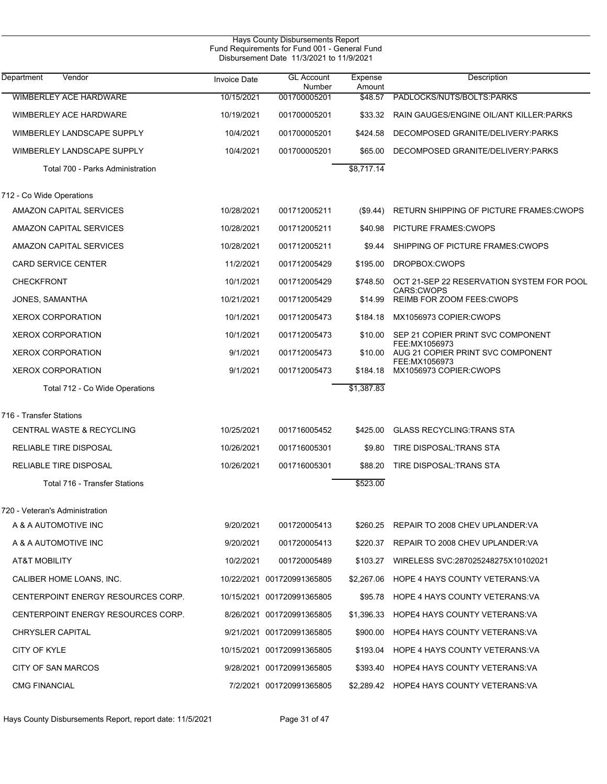| Hays County Disbursements Report<br>Fund Requirements for Fund 001 - General Fund<br>Disbursement Date 11/3/2021 to 11/9/2021 |                     |                             |                   |                                                                |  |  |
|-------------------------------------------------------------------------------------------------------------------------------|---------------------|-----------------------------|-------------------|----------------------------------------------------------------|--|--|
| Department<br>Vendor                                                                                                          | <b>Invoice Date</b> | <b>GL Account</b><br>Number | Expense<br>Amount | Description                                                    |  |  |
| <b>WIMBERLEY ACE HARDWARE</b>                                                                                                 | 10/15/2021          | 001700005201                | \$48.57           | PADLOCKS/NUTS/BOLTS:PARKS                                      |  |  |
| WIMBERLEY ACE HARDWARE                                                                                                        | 10/19/2021          | 001700005201                | \$33.32           | RAIN GAUGES/ENGINE OIL/ANT KILLER: PARKS                       |  |  |
| <b>WIMBERLEY LANDSCAPE SUPPLY</b>                                                                                             | 10/4/2021           | 001700005201                | \$424.58          | DECOMPOSED GRANITE/DELIVERY:PARKS                              |  |  |
| WIMBERLEY LANDSCAPE SUPPLY                                                                                                    | 10/4/2021           | 001700005201                | \$65.00           | DECOMPOSED GRANITE/DELIVERY:PARKS                              |  |  |
| Total 700 - Parks Administration                                                                                              |                     |                             | \$8,717.14        |                                                                |  |  |
| 712 - Co Wide Operations                                                                                                      |                     |                             |                   |                                                                |  |  |
| AMAZON CAPITAL SERVICES                                                                                                       | 10/28/2021          | 001712005211                | (\$9.44)          | RETURN SHIPPING OF PICTURE FRAMES: CWOPS                       |  |  |
| AMAZON CAPITAL SERVICES                                                                                                       | 10/28/2021          | 001712005211                | \$40.98           | PICTURE FRAMES: CWOPS                                          |  |  |
| AMAZON CAPITAL SERVICES                                                                                                       | 10/28/2021          | 001712005211                | \$9.44            | SHIPPING OF PICTURE FRAMES: CWOPS                              |  |  |
| <b>CARD SERVICE CENTER</b>                                                                                                    | 11/2/2021           | 001712005429                | \$195.00          | DROPBOX:CWOPS                                                  |  |  |
| <b>CHECKFRONT</b>                                                                                                             | 10/1/2021           | 001712005429                | \$748.50          | OCT 21-SEP 22 RESERVATION SYSTEM FOR POOL<br><b>CARS:CWOPS</b> |  |  |
| JONES, SAMANTHA                                                                                                               | 10/21/2021          | 001712005429                | \$14.99           | REIMB FOR ZOOM FEES: CWOPS                                     |  |  |
| <b>XEROX CORPORATION</b>                                                                                                      | 10/1/2021           | 001712005473                | \$184.18          | MX1056973 COPIER:CWOPS                                         |  |  |
| <b>XEROX CORPORATION</b>                                                                                                      | 10/1/2021           | 001712005473                | \$10.00           | SEP 21 COPIER PRINT SVC COMPONENT                              |  |  |
| <b>XEROX CORPORATION</b>                                                                                                      | 9/1/2021            | 001712005473                | \$10.00           | FEE:MX1056973<br>AUG 21 COPIER PRINT SVC COMPONENT             |  |  |
| <b>XEROX CORPORATION</b>                                                                                                      | 9/1/2021            | 001712005473                | \$184.18          | FEE:MX1056973<br>MX1056973 COPIER:CWOPS                        |  |  |
| Total 712 - Co Wide Operations                                                                                                |                     |                             | \$1,387.83        |                                                                |  |  |
| 716 - Transfer Stations                                                                                                       |                     |                             |                   |                                                                |  |  |
| <b>CENTRAL WASTE &amp; RECYCLING</b>                                                                                          | 10/25/2021          | 001716005452                | \$425.00          | <b>GLASS RECYCLING: TRANS STA</b>                              |  |  |
| RELIABLE TIRE DISPOSAL                                                                                                        | 10/26/2021          | 001716005301                | \$9.80            | TIRE DISPOSAL: TRANS STA                                       |  |  |
| <b>RELIABLE TIRE DISPOSAL</b>                                                                                                 | 10/26/2021          | 001716005301                | \$88.20           | TIRE DISPOSAL: TRANS STA                                       |  |  |
| Total 716 - Transfer Stations                                                                                                 |                     |                             | \$523.00          |                                                                |  |  |
| 720 - Veteran's Administration                                                                                                |                     |                             |                   |                                                                |  |  |
| A & A AUTOMOTIVE INC                                                                                                          | 9/20/2021           | 001720005413                |                   | \$260.25 REPAIR TO 2008 CHEV UPLANDER:VA                       |  |  |
| A & A AUTOMOTIVE INC                                                                                                          | 9/20/2021           | 001720005413                | \$220.37          | REPAIR TO 2008 CHEV UPLANDER:VA                                |  |  |
| AT&T MOBILITY                                                                                                                 | 10/2/2021           | 001720005489                | \$103.27          | WIRELESS SVC:287025248275X10102021                             |  |  |
| CALIBER HOME LOANS, INC.                                                                                                      |                     | 10/22/2021 001720991365805  | \$2,267.06        | <b>HOPE 4 HAYS COUNTY VETERANS VA</b>                          |  |  |
| CENTERPOINT ENERGY RESOURCES CORP.                                                                                            |                     | 10/15/2021 001720991365805  | \$95.78           | HOPE 4 HAYS COUNTY VETERANS: VA                                |  |  |
| CENTERPOINT ENERGY RESOURCES CORP.                                                                                            |                     | 8/26/2021 001720991365805   | \$1,396.33        | HOPE4 HAYS COUNTY VETERANS VA                                  |  |  |
| <b>CHRYSLER CAPITAL</b>                                                                                                       |                     | 9/21/2021 001720991365805   | \$900.00          | HOPE4 HAYS COUNTY VETERANS: VA                                 |  |  |
| <b>CITY OF KYLE</b>                                                                                                           |                     | 10/15/2021 001720991365805  | \$193.04          | HOPE 4 HAYS COUNTY VETERANS VA                                 |  |  |
| CITY OF SAN MARCOS                                                                                                            |                     | 9/28/2021 001720991365805   | \$393.40          | HOPE4 HAYS COUNTY VETERANS VA                                  |  |  |
| <b>CMG FINANCIAL</b>                                                                                                          |                     | 7/2/2021 001720991365805    |                   | \$2,289.42 HOPE4 HAYS COUNTY VETERANS VA                       |  |  |

Hays County Disbursements Report, report date: 11/5/2021 Page 31 of 47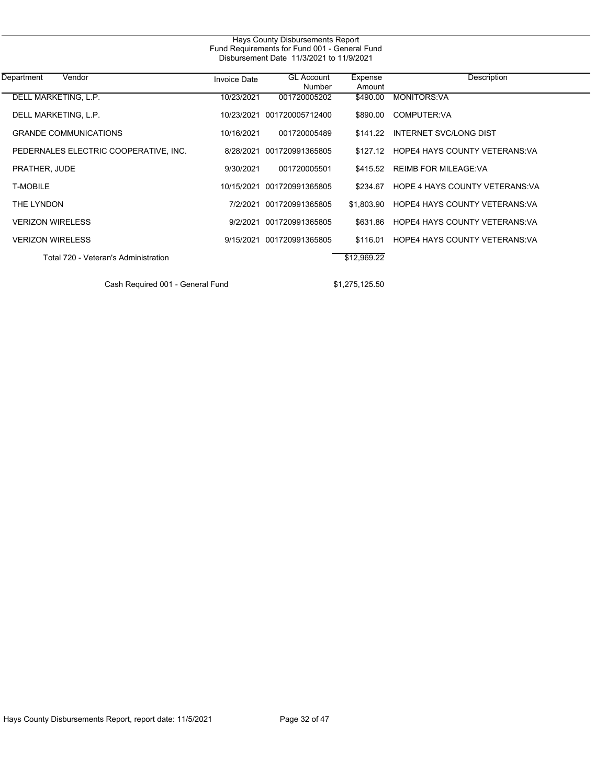| Hays County Disbursements Report<br>Fund Requirements for Fund 001 - General Fund<br>Disbursement Date 11/3/2021 to 11/9/2021 |                     |                             |                   |                                        |  |  |
|-------------------------------------------------------------------------------------------------------------------------------|---------------------|-----------------------------|-------------------|----------------------------------------|--|--|
| Department<br>Vendor                                                                                                          | <b>Invoice Date</b> | <b>GL Account</b><br>Number | Expense<br>Amount | Description                            |  |  |
| DELL MARKETING, L.P.                                                                                                          | 10/23/2021          | 001720005202                | $\sqrt{490.00}$   | <b>MONITORS:VA</b>                     |  |  |
| DELL MARKETING, L.P.                                                                                                          | 10/23/2021          | 001720005712400             | \$890.00          | COMPUTER:VA                            |  |  |
| <b>GRANDE COMMUNICATIONS</b>                                                                                                  | 10/16/2021          | 001720005489                | \$141.22          | <b>INTERNET SVC/LONG DIST</b>          |  |  |
| PEDERNALES ELECTRIC COOPERATIVE, INC.                                                                                         | 8/28/2021           | 001720991365805             |                   | \$127.12 HOPE4 HAYS COUNTY VETERANS VA |  |  |
| PRATHER, JUDE                                                                                                                 | 9/30/2021           | 001720005501                | \$415.52          | <b>REIMB FOR MILEAGE:VA</b>            |  |  |
| <b>T-MOBILE</b>                                                                                                               | 10/15/2021          | 001720991365805             | \$234.67          | HOPE 4 HAYS COUNTY VETERANS VA         |  |  |
| THE LYNDON                                                                                                                    | 7/2/2021            | 001720991365805             | \$1.803.90        | <b>HOPE4 HAYS COUNTY VETERANS VA</b>   |  |  |
| <b>VERIZON WIRELESS</b>                                                                                                       | 9/2/2021            | 001720991365805             | \$631.86          | <b>HOPE4 HAYS COUNTY VETERANS VA</b>   |  |  |
| <b>VERIZON WIRELESS</b>                                                                                                       | 9/15/2021           | 001720991365805             | \$116.01          | <b>HOPE4 HAYS COUNTY VETERANS VA</b>   |  |  |
| Total 720 - Veteran's Administration                                                                                          |                     |                             | \$12,969.22       |                                        |  |  |

Cash Required 001 - General Fund \$1,275,125.50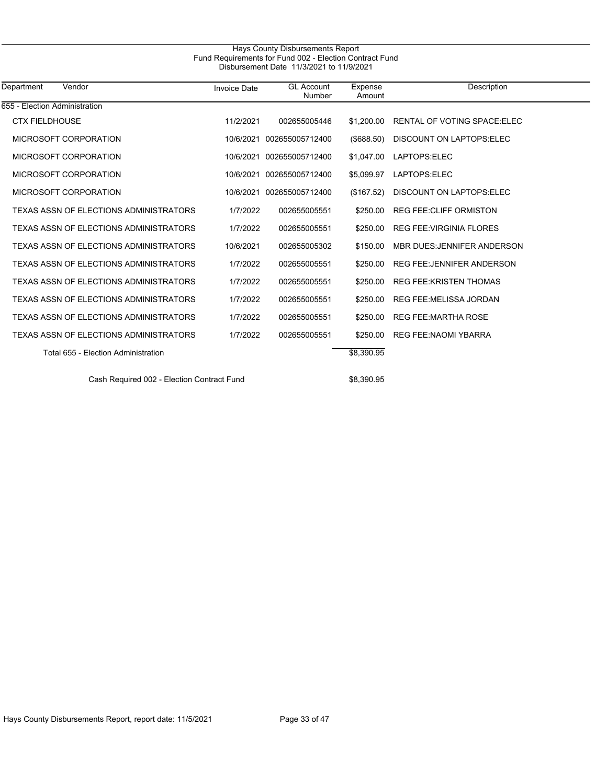| Hays County Disbursements Report<br>Fund Requirements for Fund 002 - Election Contract Fund<br>Disbursement Date 11/3/2021 to 11/9/2021 |                     |                             |                   |                                    |  |  |
|-----------------------------------------------------------------------------------------------------------------------------------------|---------------------|-----------------------------|-------------------|------------------------------------|--|--|
| Vendor<br>Department                                                                                                                    | <b>Invoice Date</b> | <b>GL Account</b><br>Number | Expense<br>Amount | Description                        |  |  |
| 655 - Election Administration                                                                                                           |                     |                             |                   |                                    |  |  |
| <b>CTX FIELDHOUSE</b>                                                                                                                   | 11/2/2021           | 002655005446                | \$1,200.00        | RENTAL OF VOTING SPACE ELEC        |  |  |
| MICROSOFT CORPORATION                                                                                                                   | 10/6/2021           | 002655005712400             | (\$688.50)        | DISCOUNT ON LAPTOPS.ELEC           |  |  |
| MICROSOFT CORPORATION                                                                                                                   | 10/6/2021           | 002655005712400             | \$1,047.00        | LAPTOPS:ELEC                       |  |  |
| MICROSOFT CORPORATION                                                                                                                   | 10/6/2021           | 002655005712400             | \$5,099.97        | LAPTOPS:ELEC                       |  |  |
| MICROSOFT CORPORATION                                                                                                                   | 10/6/2021           | 002655005712400             | (\$167.52)        | DISCOUNT ON LAPTOPS.ELEC           |  |  |
| TEXAS ASSN OF ELECTIONS ADMINISTRATORS                                                                                                  | 1/7/2022            | 002655005551                | \$250.00          | <b>REG FEE CLIFF ORMISTON</b>      |  |  |
| TEXAS ASSN OF ELECTIONS ADMINISTRATORS                                                                                                  | 1/7/2022            | 002655005551                | \$250.00          | <b>REG FEE: VIRGINIA FLORES</b>    |  |  |
| <b>TEXAS ASSN OF ELECTIONS ADMINISTRATORS</b>                                                                                           | 10/6/2021           | 002655005302                | \$150.00          | <b>MBR DUES: JENNIFER ANDERSON</b> |  |  |
| TEXAS ASSN OF ELECTIONS ADMINISTRATORS                                                                                                  | 1/7/2022            | 002655005551                | \$250.00          | <b>REG FEE: JENNIFER ANDERSON</b>  |  |  |
| TEXAS ASSN OF ELECTIONS ADMINISTRATORS                                                                                                  | 1/7/2022            | 002655005551                | \$250.00          | <b>REG FEE: KRISTEN THOMAS</b>     |  |  |
| TEXAS ASSN OF ELECTIONS ADMINISTRATORS                                                                                                  | 1/7/2022            | 002655005551                | \$250.00          | <b>REG FEE:MELISSA JORDAN</b>      |  |  |
| TEXAS ASSN OF ELECTIONS ADMINISTRATORS                                                                                                  | 1/7/2022            | 002655005551                | \$250.00          | <b>REG FEE MARTHA ROSE</b>         |  |  |

TEXAS ASSN OF ELECTIONS ADMINISTRATORS  $1/7/2022$  002655005551 \$250.00 REG FEE:NAOMI YBARRA

Total 655 - Election Administration **\$8,390.95** 

Cash Required 002 - Election Contract Fund \$8,390.95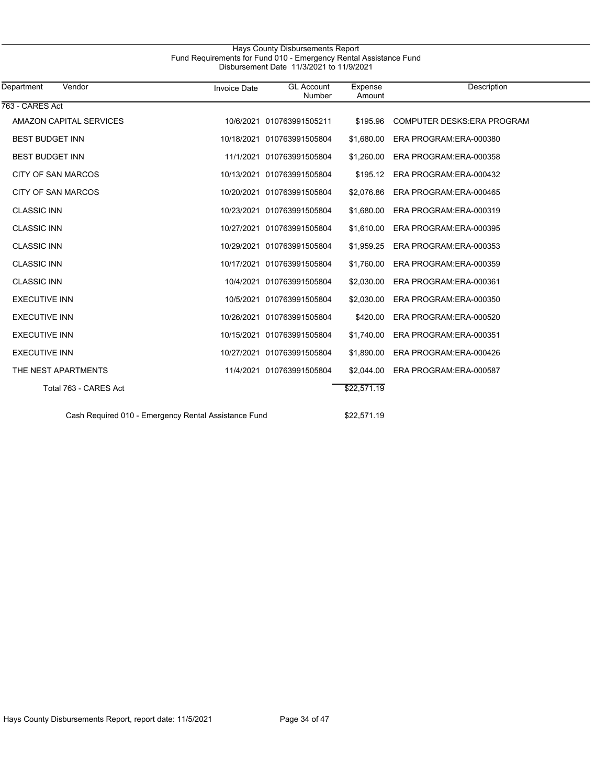# Hays County Disbursements Report Fund Requirements for Fund 010 - Emergency Rental Assistance Fund Disbursement Date 11/3/2021 to 11/9/2021

| Vendor<br>Department                                 | <b>Invoice Date</b> | <b>GL Account</b><br>Number | Expense<br>Amount | Description                        |
|------------------------------------------------------|---------------------|-----------------------------|-------------------|------------------------------------|
| 763 - CARES Act                                      |                     |                             |                   |                                    |
| AMAZON CAPITAL SERVICES                              |                     | 10/6/2021 010763991505211   | \$195.96          | <b>COMPUTER DESKS: ERA PROGRAM</b> |
| <b>BEST BUDGET INN</b>                               |                     | 10/18/2021 010763991505804  | \$1,680.00        | ERA PROGRAM: ERA-000380            |
| <b>BEST BUDGET INN</b>                               |                     | 11/1/2021 010763991505804   | \$1,260.00        | ERA PROGRAM:ERA-000358             |
| <b>CITY OF SAN MARCOS</b>                            |                     | 10/13/2021 010763991505804  | \$195.12          | ERA PROGRAM: ERA-000432            |
| CITY OF SAN MARCOS                                   |                     | 10/20/2021 010763991505804  | \$2,076.86        | ERA PROGRAM: ERA-000465            |
| <b>CLASSIC INN</b>                                   |                     | 10/23/2021 010763991505804  | \$1,680.00        | ERA PROGRAM: ERA-000319            |
| <b>CLASSIC INN</b>                                   |                     | 10/27/2021 010763991505804  | \$1,610.00        | ERA PROGRAM: ERA-000395            |
| <b>CLASSIC INN</b>                                   |                     | 10/29/2021 010763991505804  | \$1,959.25        | ERA PROGRAM:ERA-000353             |
| <b>CLASSIC INN</b>                                   |                     | 10/17/2021 010763991505804  | \$1,760.00        | ERA PROGRAM:ERA-000359             |
| <b>CLASSIC INN</b>                                   |                     | 10/4/2021 010763991505804   | \$2,030.00        | ERA PROGRAM: ERA-000361            |
| <b>EXECUTIVE INN</b>                                 | 10/5/2021           | 010763991505804             | \$2,030.00        | ERA PROGRAM:ERA-000350             |
| <b>EXECUTIVE INN</b>                                 | 10/26/2021          | 010763991505804             | \$420.00          | ERA PROGRAM: ERA-000520            |
| <b>EXECUTIVE INN</b>                                 | 10/15/2021          | 010763991505804             | \$1,740.00        | ERA PROGRAM: ERA-000351            |
| <b>EXECUTIVE INN</b>                                 |                     | 10/27/2021 010763991505804  | \$1,890.00        | ERA PROGRAM: ERA-000426            |
| THE NEST APARTMENTS                                  |                     | 11/4/2021 010763991505804   | \$2,044.00        | ERA PROGRAM: ERA-000587            |
| Total 763 - CARES Act                                |                     |                             | \$22,571.19       |                                    |
| Cash Required 010 - Emergency Rental Assistance Fund |                     |                             | \$22.571.19       |                                    |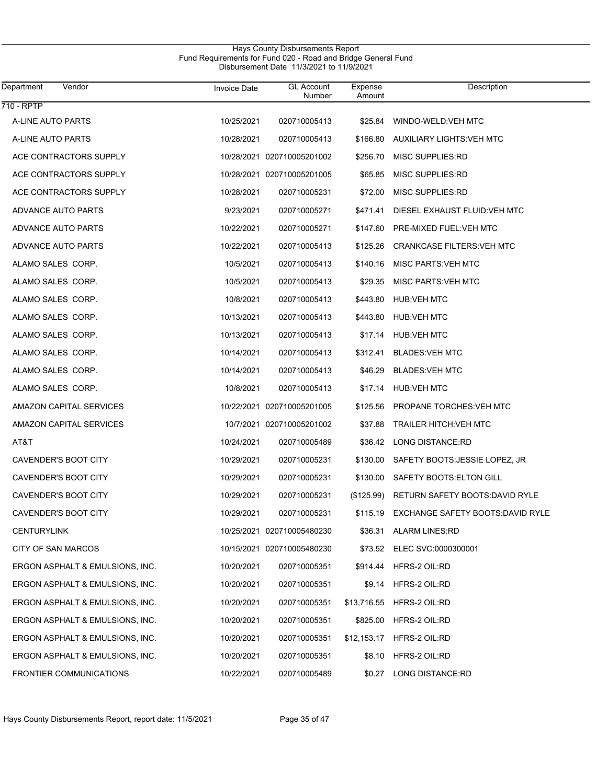| Department<br>Vendor            | <b>Invoice Date</b> | <b>GL Account</b><br>Number | Expense<br>Amount | Description                            |
|---------------------------------|---------------------|-----------------------------|-------------------|----------------------------------------|
| $710 - RPTP$                    |                     |                             |                   |                                        |
| A-LINE AUTO PARTS               | 10/25/2021          | 020710005413                | \$25.84           | WINDO-WELD: VEH MTC                    |
| A-LINE AUTO PARTS               | 10/28/2021          | 020710005413                | \$166.80          | <b>AUXILIARY LIGHTS: VEH MTC</b>       |
| ACE CONTRACTORS SUPPLY          |                     | 10/28/2021 020710005201002  | \$256.70          | MISC SUPPLIES:RD                       |
| ACE CONTRACTORS SUPPLY          |                     | 10/28/2021 020710005201005  | \$65.85           | MISC SUPPLIES:RD                       |
| ACE CONTRACTORS SUPPLY          | 10/28/2021          | 020710005231                | \$72.00           | MISC SUPPLIES:RD                       |
| ADVANCE AUTO PARTS              | 9/23/2021           | 020710005271                | \$471.41          | DIESEL EXHAUST FLUID: VEH MTC          |
| ADVANCE AUTO PARTS              | 10/22/2021          | 020710005271                | \$147.60          | PRE-MIXED FUEL: VEH MTC                |
| ADVANCE AUTO PARTS              | 10/22/2021          | 020710005413                | \$125.26          | <b>CRANKCASE FILTERS: VEH MTC</b>      |
| ALAMO SALES CORP.               | 10/5/2021           | 020710005413                | \$140.16          | MISC PARTS: VEH MTC                    |
| ALAMO SALES CORP.               | 10/5/2021           | 020710005413                | \$29.35           | MISC PARTS: VEH MTC                    |
| ALAMO SALES CORP.               | 10/8/2021           | 020710005413                | \$443.80          | <b>HUB:VEH MTC</b>                     |
| ALAMO SALES CORP.               | 10/13/2021          | 020710005413                | \$443.80          | <b>HUB:VEH MTC</b>                     |
| ALAMO SALES CORP.               | 10/13/2021          | 020710005413                | \$17.14           | <b>HUB:VEH MTC</b>                     |
| ALAMO SALES CORP.               | 10/14/2021          | 020710005413                | \$312.41          | <b>BLADES: VEH MTC</b>                 |
| ALAMO SALES CORP.               | 10/14/2021          | 020710005413                | \$46.29           | <b>BLADES: VEH MTC</b>                 |
| ALAMO SALES CORP.               | 10/8/2021           | 020710005413                | \$17.14           | <b>HUB:VEH MTC</b>                     |
| AMAZON CAPITAL SERVICES         |                     | 10/22/2021 020710005201005  | \$125.56          | PROPANE TORCHES: VEH MTC               |
| AMAZON CAPITAL SERVICES         |                     | 10/7/2021 020710005201002   | \$37.88           | <b>TRAILER HITCH: VEH MTC</b>          |
| AT&T                            | 10/24/2021          | 020710005489                |                   | \$36.42 LONG DISTANCE:RD               |
| CAVENDER'S BOOT CITY            | 10/29/2021          | 020710005231                | \$130.00          | SAFETY BOOTS: JESSIE LOPEZ, JR         |
| CAVENDER'S BOOT CITY            | 10/29/2021          | 020710005231                | \$130.00          | SAFETY BOOTS: ELTON GILL               |
| CAVENDER'S BOOT CITY            | 10/29/2021          | 020710005231                | (\$125.99)        | <b>RETURN SAFETY BOOTS: DAVID RYLE</b> |
| CAVENDER'S BOOT CITY            | 10/29/2021          | 020710005231                | \$115.19          | EXCHANGE SAFETY BOOTS: DAVID RYLE      |
| <b>CENTURYLINK</b>              |                     | 10/25/2021 020710005480230  | \$36.31           | <b>ALARM LINES:RD</b>                  |
| CITY OF SAN MARCOS              |                     | 10/15/2021 020710005480230  | \$73.52           | ELEC SVC:0000300001                    |
| ERGON ASPHALT & EMULSIONS, INC. | 10/20/2021          | 020710005351                | \$914.44          | HFRS-2 OIL:RD                          |
| ERGON ASPHALT & EMULSIONS, INC. | 10/20/2021          | 020710005351                | \$9.14            | HFRS-2 OIL:RD                          |
| ERGON ASPHALT & EMULSIONS, INC. | 10/20/2021          | 020710005351                | \$13,716.55       | HFRS-2 OIL:RD                          |
| ERGON ASPHALT & EMULSIONS, INC. | 10/20/2021          | 020710005351                | \$825.00          | HFRS-2 OIL:RD                          |
| ERGON ASPHALT & EMULSIONS, INC. | 10/20/2021          | 020710005351                | \$12,153.17       | HFRS-2 OIL:RD                          |
| ERGON ASPHALT & EMULSIONS, INC. | 10/20/2021          | 020710005351                | \$8.10            | HFRS-2 OIL:RD                          |
| <b>FRONTIER COMMUNICATIONS</b>  | 10/22/2021          | 020710005489                | \$0.27            | LONG DISTANCE:RD                       |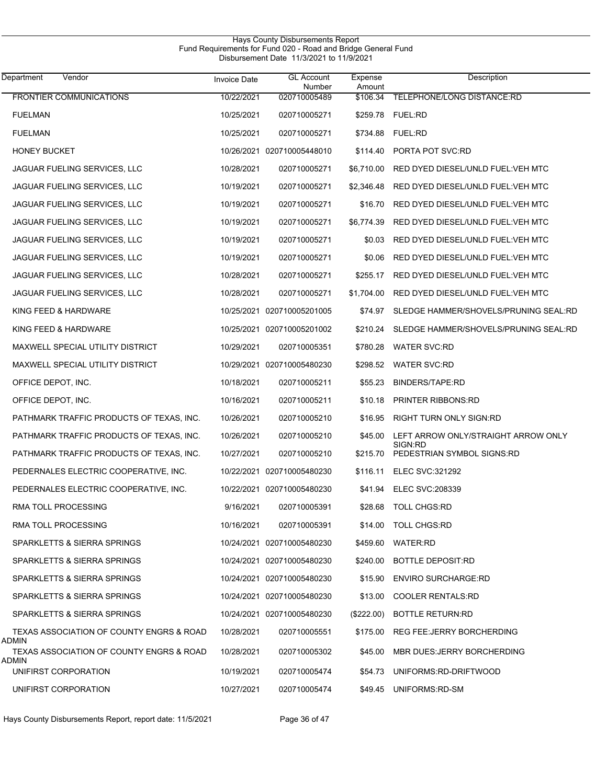| Vendor<br>Department                              | <b>Invoice Date</b> | <b>GL Account</b><br>Number | Expense<br>Amount | Description                                    |
|---------------------------------------------------|---------------------|-----------------------------|-------------------|------------------------------------------------|
| <b>FRONTIER COMMUNICATIONS</b>                    | 10/22/2021          | 020710005489                | \$106.34          | TELEPHONE/LONG DISTANCE:RD                     |
| <b>FUELMAN</b>                                    | 10/25/2021          | 020710005271                |                   | \$259.78 FUEL:RD                               |
| <b>FUELMAN</b>                                    | 10/25/2021          | 020710005271                | \$734.88          | <b>FUEL:RD</b>                                 |
| <b>HONEY BUCKET</b>                               |                     | 10/26/2021 020710005448010  | \$114.40          | PORTA POT SVC:RD                               |
| JAGUAR FUELING SERVICES, LLC                      | 10/28/2021          | 020710005271                | \$6,710.00        | RED DYED DIESEL/UNLD FUEL: VEH MTC             |
| JAGUAR FUELING SERVICES, LLC                      | 10/19/2021          | 020710005271                | \$2,346.48        | RED DYED DIESEL/UNLD FUEL: VEH MTC             |
| JAGUAR FUELING SERVICES, LLC                      | 10/19/2021          | 020710005271                | \$16.70           | RED DYED DIESEL/UNLD FUEL: VEH MTC             |
| JAGUAR FUELING SERVICES, LLC                      | 10/19/2021          | 020710005271                | \$6,774.39        | RED DYED DIESEL/UNLD FUEL: VEH MTC             |
| JAGUAR FUELING SERVICES, LLC                      | 10/19/2021          | 020710005271                | \$0.03            | RED DYED DIESEL/UNLD FUEL: VEH MTC             |
| JAGUAR FUELING SERVICES, LLC                      | 10/19/2021          | 020710005271                | \$0.06            | RED DYED DIESEL/UNLD FUEL: VEH MTC             |
| JAGUAR FUELING SERVICES, LLC                      | 10/28/2021          | 020710005271                | \$255.17          | RED DYED DIESEL/UNLD FUEL: VEH MTC             |
| JAGUAR FUELING SERVICES, LLC                      | 10/28/2021          | 020710005271                | \$1,704.00        | RED DYED DIESEL/UNLD FUEL: VEH MTC             |
| KING FEED & HARDWARE                              |                     | 10/25/2021 020710005201005  | \$74.97           | SLEDGE HAMMER/SHOVELS/PRUNING SEAL:RD          |
| KING FEED & HARDWARE                              |                     | 10/25/2021 020710005201002  | \$210.24          | SLEDGE HAMMER/SHOVELS/PRUNING SEAL:RD          |
| MAXWELL SPECIAL UTILITY DISTRICT                  | 10/29/2021          | 020710005351                | \$780.28          | <b>WATER SVC:RD</b>                            |
| MAXWELL SPECIAL UTILITY DISTRICT                  |                     | 10/29/2021 020710005480230  | \$298.52          | <b>WATER SVC:RD</b>                            |
| OFFICE DEPOT, INC.                                | 10/18/2021          | 020710005211                | \$55.23           | <b>BINDERS/TAPE:RD</b>                         |
| OFFICE DEPOT, INC.                                | 10/16/2021          | 020710005211                | \$10.18           | <b>PRINTER RIBBONS:RD</b>                      |
| PATHMARK TRAFFIC PRODUCTS OF TEXAS, INC.          | 10/26/2021          | 020710005210                | \$16.95           | RIGHT TURN ONLY SIGN:RD                        |
| PATHMARK TRAFFIC PRODUCTS OF TEXAS, INC.          | 10/26/2021          | 020710005210                | \$45.00           | LEFT ARROW ONLY/STRAIGHT ARROW ONLY<br>SIGN:RD |
| PATHMARK TRAFFIC PRODUCTS OF TEXAS, INC.          | 10/27/2021          | 020710005210                | \$215.70          | PEDESTRIAN SYMBOL SIGNS:RD                     |
| PEDERNALES ELECTRIC COOPERATIVE, INC.             |                     | 10/22/2021 020710005480230  | \$116.11          | ELEC SVC:321292                                |
| PEDERNALES ELECTRIC COOPERATIVE, INC.             |                     | 10/22/2021 020710005480230  |                   | \$41.94 ELEC SVC:208339                        |
| <b>RMA TOLL PROCESSING</b>                        | 9/16/2021           | 020710005391                |                   | \$28.68 TOLL CHGS:RD                           |
| RMA TOLL PROCESSING                               | 10/16/2021          | 020710005391                |                   | \$14.00 TOLL CHGS:RD                           |
| SPARKLETTS & SIERRA SPRINGS                       |                     | 10/24/2021 020710005480230  |                   | \$459.60 WATER:RD                              |
| SPARKLETTS & SIERRA SPRINGS                       |                     | 10/24/2021 020710005480230  |                   | \$240.00 BOTTLE DEPOSIT:RD                     |
| SPARKLETTS & SIERRA SPRINGS                       |                     | 10/24/2021 020710005480230  |                   | \$15.90 ENVIRO SURCHARGE:RD                    |
| SPARKLETTS & SIERRA SPRINGS                       |                     | 10/24/2021 020710005480230  | \$13.00           | <b>COOLER RENTALS:RD</b>                       |
| SPARKLETTS & SIERRA SPRINGS                       |                     | 10/24/2021 020710005480230  | $(\$222.00)$      | <b>BOTTLE RETURN:RD</b>                        |
| TEXAS ASSOCIATION OF COUNTY ENGRS & ROAD<br>ADMIN | 10/28/2021          | 020710005551                |                   | \$175.00 REG FEE: JERRY BORCHERDING            |
| TEXAS ASSOCIATION OF COUNTY ENGRS & ROAD          | 10/28/2021          | 020710005302                |                   | \$45.00 MBR DUES.JERRY BORCHERDING             |
| ADMIN<br>UNIFIRST CORPORATION                     | 10/19/2021          | 020710005474                |                   | \$54.73 UNIFORMS:RD-DRIFTWOOD                  |
| UNIFIRST CORPORATION                              | 10/27/2021          | 020710005474                |                   | \$49.45 UNIFORMS: RD-SM                        |
|                                                   |                     |                             |                   |                                                |

Hays County Disbursements Report

J

Hays County Disbursements Report, report date: 11/5/2021 Page 36 of 47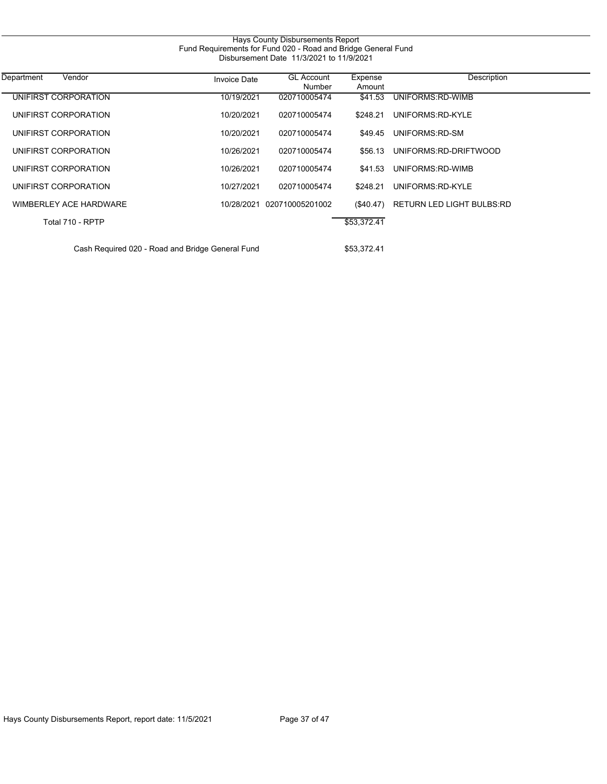| Hays County Disbursements Report<br>Fund Requirements for Fund 020 - Road and Bridge General Fund<br>Disbursement Date 11/3/2021 to 11/9/2021 |                     |                             |                   |                           |  |
|-----------------------------------------------------------------------------------------------------------------------------------------------|---------------------|-----------------------------|-------------------|---------------------------|--|
| Vendor<br>Department                                                                                                                          | <b>Invoice Date</b> | <b>GL Account</b><br>Number | Expense<br>Amount | Description               |  |
| UNIFIRST CORPORATION                                                                                                                          | 10/19/2021          | 020710005474                | \$41.53           | UNIFORMS:RD-WIMB          |  |
| UNIFIRST CORPORATION                                                                                                                          | 10/20/2021          | 020710005474                | \$248.21          | UNIFORMS:RD-KYLE          |  |
| UNIFIRST CORPORATION                                                                                                                          | 10/20/2021          | 020710005474                | \$49.45           | UNIFORMS: RD-SM           |  |
| UNIFIRST CORPORATION                                                                                                                          | 10/26/2021          | 020710005474                | \$56.13           | UNIFORMS:RD-DRIFTWOOD     |  |
| UNIFIRST CORPORATION                                                                                                                          | 10/26/2021          | 020710005474                | \$41.53           | UNIFORMS: RD-WIMB         |  |
| UNIFIRST CORPORATION                                                                                                                          | 10/27/2021          | 020710005474                | \$248.21          | UNIFORMS:RD-KYLE          |  |
| WIMBERLEY ACE HARDWARE                                                                                                                        | 10/28/2021          | 020710005201002             | $(\$40.47)$       | RETURN LED LIGHT BULBS:RD |  |
| Total 710 - RPTP                                                                                                                              |                     |                             | \$53,372.41       |                           |  |
| Cash Required 020 - Road and Bridge General Fund                                                                                              |                     |                             | \$53,372.41       |                           |  |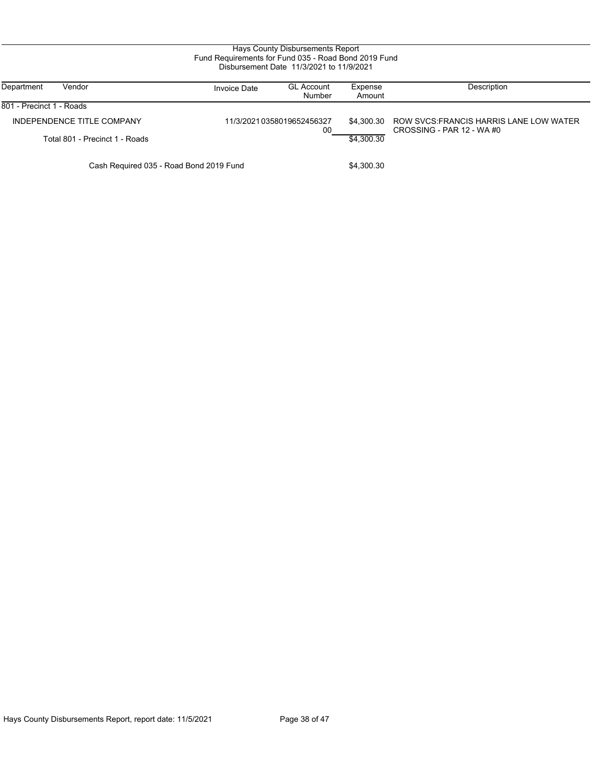| Hays County Disbursements Report<br>Fund Requirements for Fund 035 - Road Bond 2019 Fund<br>Disbursement Date 11/3/2021 to 11/9/2021 |                     |                                 |                   |                                                                          |  |
|--------------------------------------------------------------------------------------------------------------------------------------|---------------------|---------------------------------|-------------------|--------------------------------------------------------------------------|--|
| Vendor<br>Department                                                                                                                 | <b>Invoice Date</b> | <b>GL Account</b><br>Number     | Expense<br>Amount | Description                                                              |  |
| 801 - Precinct 1 - Roads                                                                                                             |                     |                                 |                   |                                                                          |  |
| INDEPENDENCE TITLE COMPANY                                                                                                           |                     | 11/3/20210358019652456327<br>00 | \$4.300.30        | ROW SVCS: FRANCIS HARRIS LANE LOW WATER<br>CROSSING - PAR 12 - WA $\#$ 0 |  |
| Total 801 - Precinct 1 - Roads                                                                                                       |                     |                                 | \$4,300.30        |                                                                          |  |
| Cash Required 035 - Road Bond 2019 Fund                                                                                              |                     |                                 | \$4,300.30        |                                                                          |  |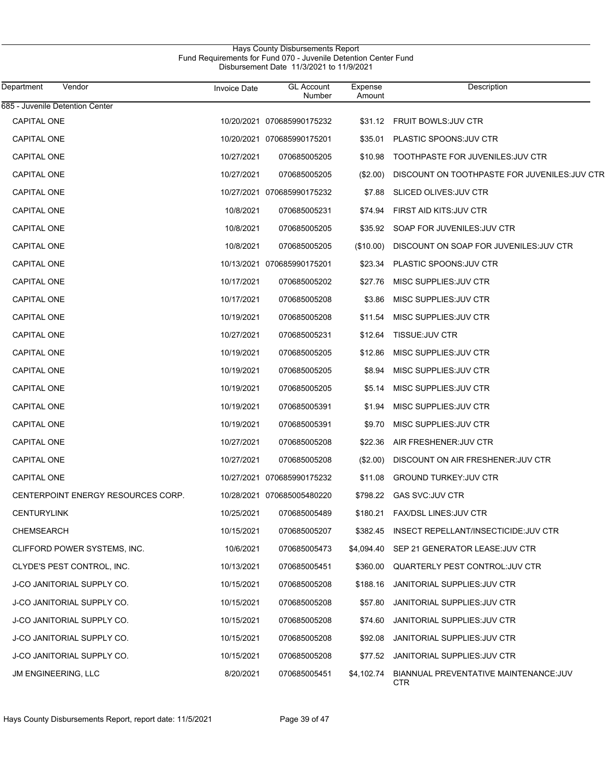# Hays County Disbursements Report Fund Requirements for Fund 070 - Juvenile Detention Center Fund Disbursement Date 11/3/2021 to 11/9/2021

| Department<br>Vendor               | <b>Invoice Date</b> | <b>GL Account</b><br>Number | Expense<br>Amount | Description                                          |
|------------------------------------|---------------------|-----------------------------|-------------------|------------------------------------------------------|
| 685 - Juvenile Detention Center    |                     |                             |                   |                                                      |
| <b>CAPITAL ONE</b>                 |                     | 10/20/2021 070685990175232  | \$31.12           | <b>FRUIT BOWLS: JUV CTR</b>                          |
| <b>CAPITAL ONE</b>                 |                     | 10/20/2021 070685990175201  | \$35.01           | PLASTIC SPOONS: JUV CTR                              |
| <b>CAPITAL ONE</b>                 | 10/27/2021          | 070685005205                | \$10.98           | TOOTHPASTE FOR JUVENILES: JUV CTR                    |
| <b>CAPITAL ONE</b>                 | 10/27/2021          | 070685005205                | (\$2.00)          | DISCOUNT ON TOOTHPASTE FOR JUVENILES: JUV CTR        |
| <b>CAPITAL ONE</b>                 |                     | 10/27/2021 070685990175232  | \$7.88            | SLICED OLIVES: JUV CTR                               |
| <b>CAPITAL ONE</b>                 | 10/8/2021           | 070685005231                | \$74.94           | FIRST AID KITS: JUV CTR                              |
| <b>CAPITAL ONE</b>                 | 10/8/2021           | 070685005205                | \$35.92           | SOAP FOR JUVENILES: JUV CTR                          |
| <b>CAPITAL ONE</b>                 | 10/8/2021           | 070685005205                | (\$10.00)         | DISCOUNT ON SOAP FOR JUVENILES: JUV CTR              |
| <b>CAPITAL ONE</b>                 |                     | 10/13/2021 070685990175201  | \$23.34           | PLASTIC SPOONS: JUV CTR                              |
| <b>CAPITAL ONE</b>                 | 10/17/2021          | 070685005202                | \$27.76           | MISC SUPPLIES: JUV CTR                               |
| <b>CAPITAL ONE</b>                 | 10/17/2021          | 070685005208                | \$3.86            | MISC SUPPLIES: JUV CTR                               |
| <b>CAPITAL ONE</b>                 | 10/19/2021          | 070685005208                | \$11.54           | MISC SUPPLIES: JUV CTR                               |
| <b>CAPITAL ONE</b>                 | 10/27/2021          | 070685005231                | \$12.64           | TISSUE: JUV CTR                                      |
| <b>CAPITAL ONE</b>                 | 10/19/2021          | 070685005205                | \$12.86           | MISC SUPPLIES: JUV CTR                               |
| <b>CAPITAL ONE</b>                 | 10/19/2021          | 070685005205                | \$8.94            | MISC SUPPLIES: JUV CTR                               |
| <b>CAPITAL ONE</b>                 | 10/19/2021          | 070685005205                | \$5.14            | MISC SUPPLIES: JUV CTR                               |
| <b>CAPITAL ONE</b>                 | 10/19/2021          | 070685005391                | \$1.94            | MISC SUPPLIES: JUV CTR                               |
| <b>CAPITAL ONE</b>                 | 10/19/2021          | 070685005391                | \$9.70            | MISC SUPPLIES: JUV CTR                               |
| <b>CAPITAL ONE</b>                 | 10/27/2021          | 070685005208                | \$22.36           | AIR FRESHENER: JUV CTR                               |
| <b>CAPITAL ONE</b>                 | 10/27/2021          | 070685005208                | (\$2.00)          | DISCOUNT ON AIR FRESHENER: JUV CTR                   |
| <b>CAPITAL ONE</b>                 |                     | 10/27/2021 070685990175232  | \$11.08           | <b>GROUND TURKEY: JUV CTR</b>                        |
| CENTERPOINT ENERGY RESOURCES CORP. |                     | 10/28/2021 070685005480220  | \$798.22          | <b>GAS SVC:JUV CTR</b>                               |
| <b>CENTURYLINK</b>                 | 10/25/2021          | 070685005489                | \$180.21          | <b>FAX/DSL LINES: JUV CTR</b>                        |
| CHEMSEARCH                         | 10/15/2021          | 070685005207                | \$382.45          | INSECT REPELLANT/INSECTICIDE.JUV CTR                 |
| CLIFFORD POWER SYSTEMS, INC.       | 10/6/2021           | 070685005473                | \$4,094.40        | SEP 21 GENERATOR LEASE: JUV CTR                      |
| CLYDE'S PEST CONTROL, INC.         | 10/13/2021          | 070685005451                | \$360.00          | QUARTERLY PEST CONTROL: JUV CTR                      |
| J-CO JANITORIAL SUPPLY CO.         | 10/15/2021          | 070685005208                | \$188.16          | JANITORIAL SUPPLIES: JUV CTR                         |
| J-CO JANITORIAL SUPPLY CO.         | 10/15/2021          | 070685005208                | \$57.80           | JANITORIAL SUPPLIES: JUV CTR                         |
| J-CO JANITORIAL SUPPLY CO.         | 10/15/2021          | 070685005208                | \$74.60           | JANITORIAL SUPPLIES: JUV CTR                         |
| J-CO JANITORIAL SUPPLY CO.         | 10/15/2021          | 070685005208                | \$92.08           | JANITORIAL SUPPLIES: JUV CTR                         |
| J-CO JANITORIAL SUPPLY CO.         | 10/15/2021          | 070685005208                | \$77.52           | JANITORIAL SUPPLIES: JUV CTR                         |
| JM ENGINEERING, LLC                | 8/20/2021           | 070685005451                | \$4,102.74        | BIANNUAL PREVENTATIVE MAINTENANCE: JUV<br><b>CTR</b> |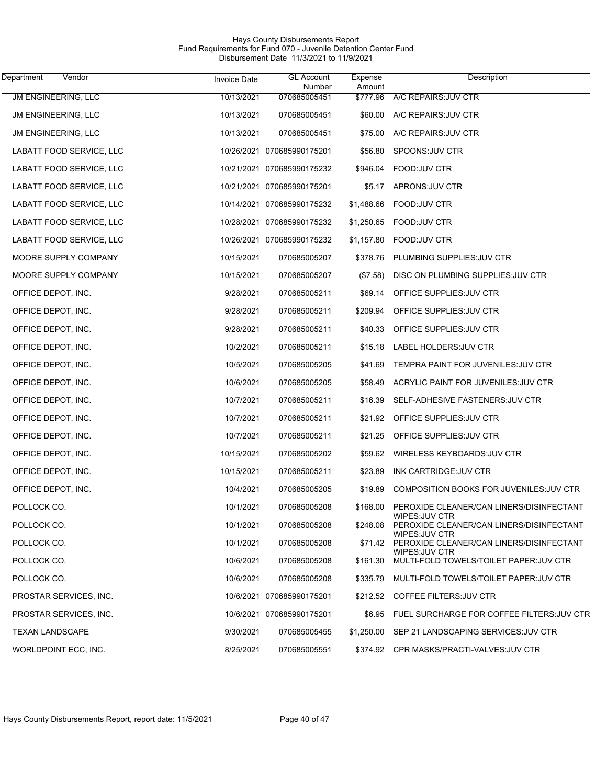| Vendor<br>Department     | <b>Invoice Date</b> | <b>GL Account</b><br>Number | Expense<br>Amount | Description                                                        |
|--------------------------|---------------------|-----------------------------|-------------------|--------------------------------------------------------------------|
| JM ENGINEERING, LLC      | 10/13/2021          | 070685005451                | \$777.96          | A/C REPAIRS: JUV CTR                                               |
| JM ENGINEERING, LLC      | 10/13/2021          | 070685005451                | \$60.00           | A/C REPAIRS: JUV CTR                                               |
| JM ENGINEERING, LLC      | 10/13/2021          | 070685005451                | \$75.00           | A/C REPAIRS: JUV CTR                                               |
| LABATT FOOD SERVICE, LLC |                     | 10/26/2021 070685990175201  | \$56.80           | SPOONS: JUV CTR                                                    |
| LABATT FOOD SERVICE, LLC |                     | 10/21/2021 070685990175232  | \$946.04          | FOOD: JUV CTR                                                      |
| LABATT FOOD SERVICE, LLC |                     | 10/21/2021 070685990175201  | \$5.17            | APRONS: JUV CTR                                                    |
| LABATT FOOD SERVICE, LLC |                     | 10/14/2021 070685990175232  | \$1,488.66        | FOOD:JUV CTR                                                       |
| LABATT FOOD SERVICE, LLC |                     | 10/28/2021 070685990175232  | \$1,250.65        | FOOD:JUV CTR                                                       |
| LABATT FOOD SERVICE, LLC |                     | 10/26/2021 070685990175232  | \$1,157.80        | FOOD: JUV CTR                                                      |
| MOORE SUPPLY COMPANY     | 10/15/2021          | 070685005207                | \$378.76          | PLUMBING SUPPLIES: JUV CTR                                         |
| MOORE SUPPLY COMPANY     | 10/15/2021          | 070685005207                | (\$7.58)          | DISC ON PLUMBING SUPPLIES: JUV CTR                                 |
| OFFICE DEPOT, INC.       | 9/28/2021           | 070685005211                | \$69.14           | OFFICE SUPPLIES: JUV CTR                                           |
| OFFICE DEPOT, INC.       | 9/28/2021           | 070685005211                | \$209.94          | OFFICE SUPPLIES: JUV CTR                                           |
| OFFICE DEPOT, INC.       | 9/28/2021           | 070685005211                | \$40.33           | OFFICE SUPPLIES: JUV CTR                                           |
| OFFICE DEPOT, INC.       | 10/2/2021           | 070685005211                | \$15.18           | LABEL HOLDERS: JUV CTR                                             |
| OFFICE DEPOT, INC.       | 10/5/2021           | 070685005205                | \$41.69           | TEMPRA PAINT FOR JUVENILES: JUV CTR                                |
| OFFICE DEPOT, INC.       | 10/6/2021           | 070685005205                | \$58.49           | ACRYLIC PAINT FOR JUVENILES: JUV CTR                               |
| OFFICE DEPOT, INC.       | 10/7/2021           | 070685005211                | \$16.39           | SELF-ADHESIVE FASTENERS: JUV CTR                                   |
| OFFICE DEPOT, INC.       | 10/7/2021           | 070685005211                | \$21.92           | OFFICE SUPPLIES: JUV CTR                                           |
| OFFICE DEPOT, INC.       | 10/7/2021           | 070685005211                | \$21.25           | OFFICE SUPPLIES: JUV CTR                                           |
| OFFICE DEPOT, INC.       | 10/15/2021          | 070685005202                | \$59.62           | WIRELESS KEYBOARDS: JUV CTR                                        |
| OFFICE DEPOT, INC.       | 10/15/2021          | 070685005211                | \$23.89           | INK CARTRIDGE: JUV CTR                                             |
| OFFICE DEPOT, INC.       | 10/4/2021           | 070685005205                |                   | \$19.89 COMPOSITION BOOKS FOR JUVENILES: JUV CTR                   |
| POLLOCK CO.              | 10/1/2021           | 070685005208                | \$168.00          | PEROXIDE CLEANER/CAN LINERS/DISINFECTANT<br>WIPES: JUV CTR         |
| POLLOCK CO.              | 10/1/2021           | 070685005208                | \$248.08          | PEROXIDE CLEANER/CAN LINERS/DISINFECTANT<br>WIPES: JUV CTR         |
| POLLOCK CO.              | 10/1/2021           | 070685005208                |                   | \$71.42 PEROXIDE CLEANER/CAN LINERS/DISINFECTANT<br>WIPES: JUV CTR |
| POLLOCK CO.              | 10/6/2021           | 070685005208                | \$161.30          | MULTI-FOLD TOWELS/TOILET PAPER: JUV CTR                            |
| POLLOCK CO.              | 10/6/2021           | 070685005208                | \$335.79          | MULTI-FOLD TOWELS/TOILET PAPER: JUV CTR                            |
| PROSTAR SERVICES, INC.   |                     | 10/6/2021 070685990175201   |                   | \$212.52 COFFEE FILTERS: JUV CTR                                   |
| PROSTAR SERVICES, INC.   |                     | 10/6/2021 070685990175201   |                   | \$6.95 FUEL SURCHARGE FOR COFFEE FILTERS: JUV CTR                  |
| <b>TEXAN LANDSCAPE</b>   | 9/30/2021           | 070685005455                | \$1,250.00        | SEP 21 LANDSCAPING SERVICES: JUV CTR                               |
| WORLDPOINT ECC, INC.     | 8/25/2021           | 070685005551                |                   | \$374.92 CPR MASKS/PRACTI-VALVES: JUV CTR                          |

Hays County Disbursements Report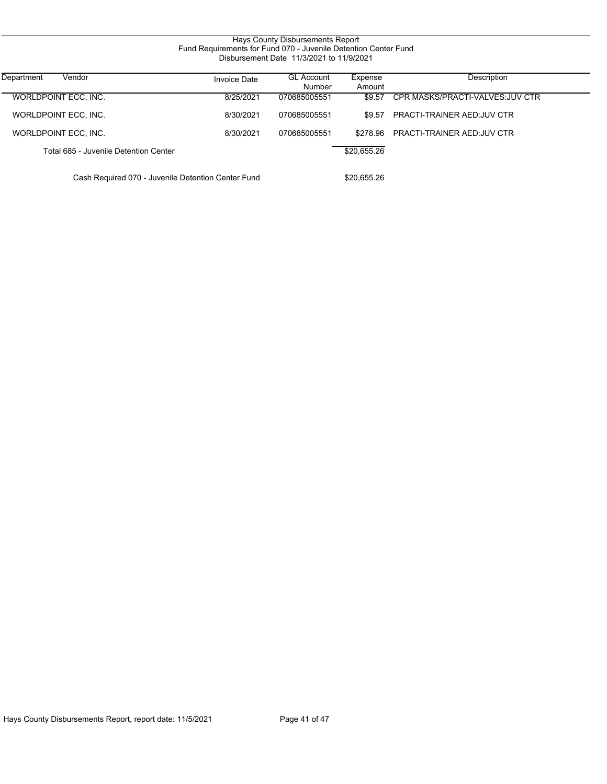| Hays County Disbursements Report<br>Fund Requirements for Fund 070 - Juvenile Detention Center Fund<br>Disbursement Date 11/3/2021 to 11/9/2021 |                     |                             |                   |                                   |  |  |
|-------------------------------------------------------------------------------------------------------------------------------------------------|---------------------|-----------------------------|-------------------|-----------------------------------|--|--|
| Vendor<br>Department                                                                                                                            | <b>Invoice Date</b> | <b>GL Account</b><br>Number | Expense<br>Amount | Description                       |  |  |
| WORLDPOINT ECC, INC.                                                                                                                            | 8/25/2021           | 070685005551                | \$9.57            | CPR MASKS/PRACTI-VALVES: JUV CTR  |  |  |
| WORLDPOINT ECC. INC.                                                                                                                            | 8/30/2021           | 070685005551                | \$9.57            | <b>PRACTI-TRAINER AED:JUV CTR</b> |  |  |
| WORLDPOINT ECC, INC.                                                                                                                            | 8/30/2021           | 070685005551                | \$278.96          | <b>PRACTI-TRAINER AED:JUV CTR</b> |  |  |
| Total 685 - Juvenile Detention Center                                                                                                           |                     |                             | \$20,655.26       |                                   |  |  |
| Cash Required 070 - Juvenile Detention Center Fund                                                                                              |                     |                             | \$20.655.26       |                                   |  |  |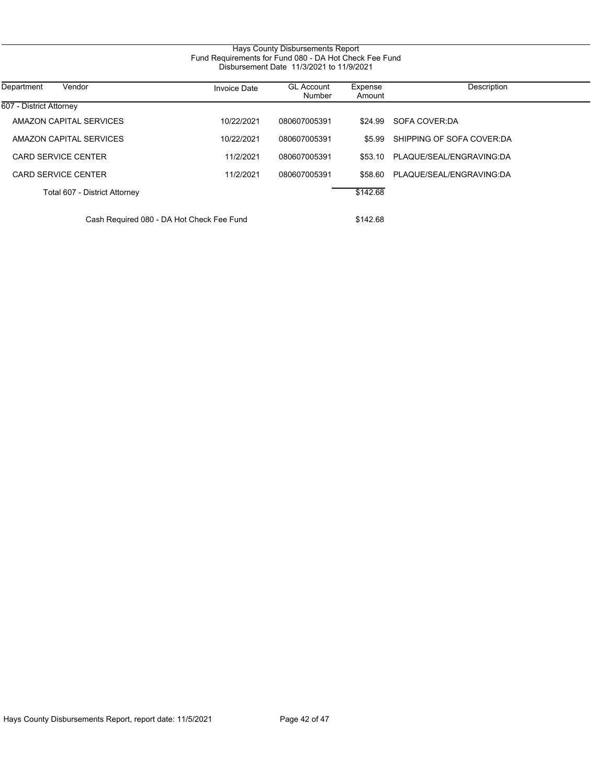| Department<br>Vendor                      | <b>Invoice Date</b> | <b>GL Account</b><br>Number | Expense<br>Amount | Description               |
|-------------------------------------------|---------------------|-----------------------------|-------------------|---------------------------|
| 607 - District Attorney                   |                     |                             |                   |                           |
| AMAZON CAPITAL SERVICES                   | 10/22/2021          | 080607005391                | \$24.99           | SOFA COVER DA             |
| AMAZON CAPITAL SERVICES                   | 10/22/2021          | 080607005391                | \$5.99            | SHIPPING OF SOFA COVER DA |
| CARD SERVICE CENTER                       | 11/2/2021           | 080607005391                | \$53.10           | PLAQUE/SEAL/ENGRAVING:DA  |
| <b>CARD SERVICE CENTER</b>                | 11/2/2021           | 080607005391                | \$58.60           | PLAQUE/SEAL/ENGRAVING:DA  |
| Total 607 - District Attorney             |                     |                             | \$142.68          |                           |
| Cash Required 080 - DA Hot Check Fee Fund |                     |                             | \$142.68          |                           |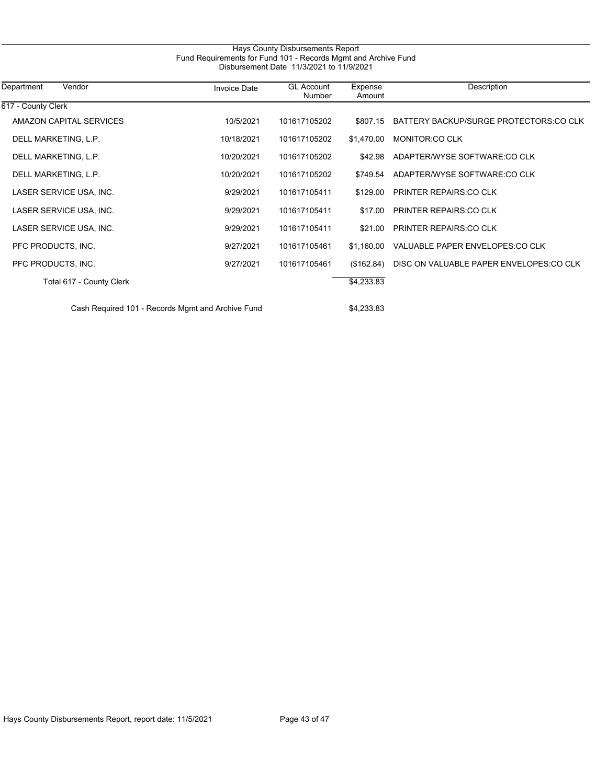| Disbursement Date 11/3/2021 to 11/9/2021 |                     |                             |                   |                                         |  |  |
|------------------------------------------|---------------------|-----------------------------|-------------------|-----------------------------------------|--|--|
| Department<br>Vendor                     | <b>Invoice Date</b> | <b>GL Account</b><br>Number | Expense<br>Amount | Description                             |  |  |
| 617 - County Clerk                       |                     |                             |                   |                                         |  |  |
| <b>AMAZON CAPITAL SERVICES</b>           | 10/5/2021           | 101617105202                | \$807.15          | BATTERY BACKUP/SURGE PROTECTORS:CO CLK  |  |  |
| DELL MARKETING, L.P.                     | 10/18/2021          | 101617105202                | \$1,470.00        | <b>MONITOR:CO CLK</b>                   |  |  |
| DELL MARKETING, L.P.                     | 10/20/2021          | 101617105202                | \$42.98           | ADAPTER/WYSE SOFTWARE:CO CLK            |  |  |
| DELL MARKETING, L.P.                     | 10/20/2021          | 101617105202                | \$749.54          | ADAPTER/WYSE SOFTWARE:CO CLK            |  |  |
| LASER SERVICE USA, INC.                  | 9/29/2021           | 101617105411                | \$129.00          | <b>PRINTER REPAIRS CO CLK</b>           |  |  |
| LASER SERVICE USA, INC.                  | 9/29/2021           | 101617105411                | \$17.00           | <b>PRINTER REPAIRS: CO CLK</b>          |  |  |
| LASER SERVICE USA, INC.                  | 9/29/2021           | 101617105411                | \$21.00           | <b>PRINTER REPAIRS: CO CLK</b>          |  |  |
| PFC PRODUCTS, INC.                       | 9/27/2021           | 101617105461                | \$1,160.00        | VALUABLE PAPER ENVELOPES: CO CLK        |  |  |
| PFC PRODUCTS, INC.                       | 9/27/2021           | 101617105461                | (\$162.84)        | DISC ON VALUABLE PAPER ENVELOPES:CO CLK |  |  |
| Total 617 - County Clerk                 |                     |                             | \$4,233.83        |                                         |  |  |

Hays County Disbursements Report Fund Requirements for Fund 101 - Records Mgmt and Archive Fund

Cash Required 101 - Records Mgmt and Archive Fund **\$4,233.83**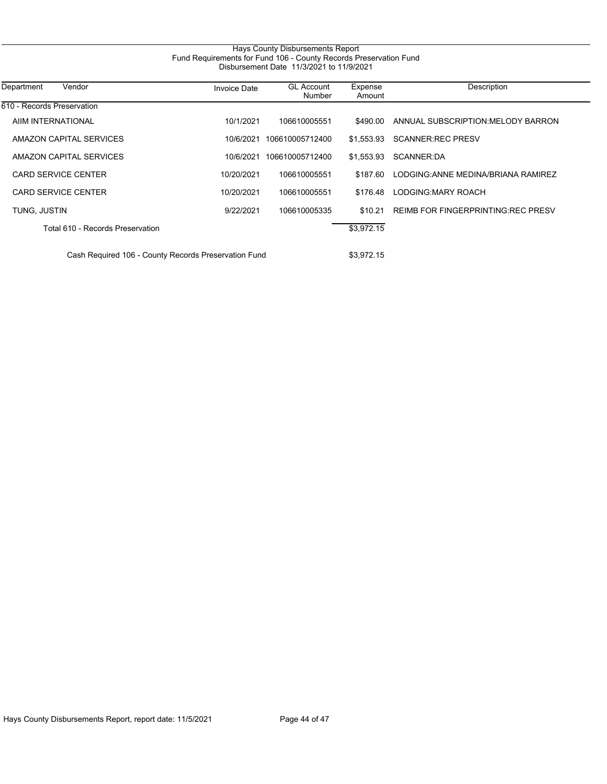| Hays County Disbursements Report                                                                              |                     |                             |                   |                                           |  |
|---------------------------------------------------------------------------------------------------------------|---------------------|-----------------------------|-------------------|-------------------------------------------|--|
| Fund Requirements for Fund 106 - County Records Preservation Fund<br>Disbursement Date 11/3/2021 to 11/9/2021 |                     |                             |                   |                                           |  |
| Department<br>Vendor                                                                                          | <b>Invoice Date</b> | <b>GL Account</b><br>Number | Expense<br>Amount | Description                               |  |
| 610 - Records Preservation                                                                                    |                     |                             |                   |                                           |  |
| AIIM INTERNATIONAL                                                                                            | 10/1/2021           | 106610005551                | \$490.00          | ANNUAL SUBSCRIPTION: MELODY BARRON        |  |
| AMAZON CAPITAL SERVICES                                                                                       | 10/6/2021           | 106610005712400             | \$1,553.93        | <b>SCANNER: REC PRESV</b>                 |  |
| AMAZON CAPITAL SERVICES                                                                                       | 10/6/2021           | 106610005712400             | \$1,553.93        | SCANNER:DA                                |  |
| <b>CARD SERVICE CENTER</b>                                                                                    | 10/20/2021          | 106610005551                | \$187.60          | LODGING: ANNE MEDINA/BRIANA RAMIREZ       |  |
| <b>CARD SERVICE CENTER</b>                                                                                    | 10/20/2021          | 106610005551                | \$176.48          | LODGING: MARY ROACH                       |  |
| TUNG, JUSTIN                                                                                                  | 9/22/2021           | 106610005335                | \$10.21           | <b>REIMB FOR FINGERPRINTING REC PRESV</b> |  |
| Total 610 - Records Preservation                                                                              |                     |                             | \$3,972.15        |                                           |  |
| Cash Required 106 - County Records Preservation Fund<br>\$3,972.15                                            |                     |                             |                   |                                           |  |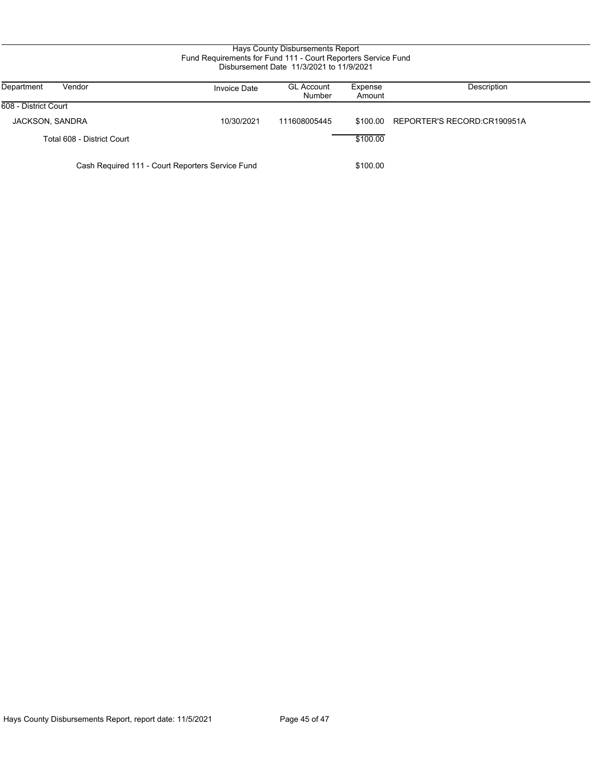| Hays County Disbursements Report<br>Fund Requirements for Fund 111 - Court Reporters Service Fund<br>Disbursement Date 11/3/2021 to 11/9/2021 |                     |                             |                   |                             |  |
|-----------------------------------------------------------------------------------------------------------------------------------------------|---------------------|-----------------------------|-------------------|-----------------------------|--|
| Department<br>Vendor                                                                                                                          | <b>Invoice Date</b> | <b>GL Account</b><br>Number | Expense<br>Amount | Description                 |  |
| 608 - District Court                                                                                                                          |                     |                             |                   |                             |  |
| JACKSON, SANDRA                                                                                                                               | 10/30/2021          | 111608005445                | \$100.00          | REPORTER'S RECORD:CR190951A |  |
| Total 608 - District Court                                                                                                                    |                     |                             | \$100.00          |                             |  |
| Cash Required 111 - Court Reporters Service Fund                                                                                              |                     |                             | \$100.00          |                             |  |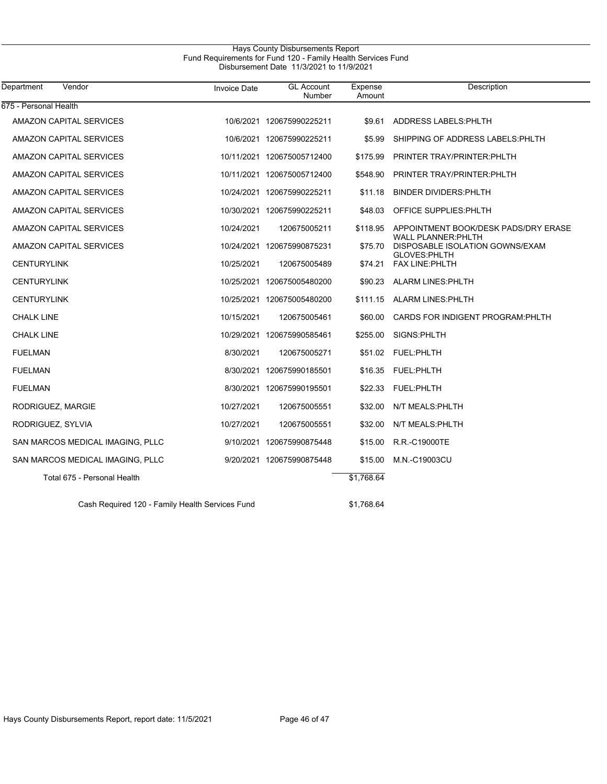# Hays County Disbursements Report Fund Requirements for Fund 120 - Family Health Services Fund Disbursement Date 11/3/2021 to 11/9/2021

| Department<br>Vendor                            | <b>Invoice Date</b> | <b>GL Account</b><br>Number | Expense<br>Amount | <b>Description</b>                                                 |
|-------------------------------------------------|---------------------|-----------------------------|-------------------|--------------------------------------------------------------------|
| 675 - Personal Health                           |                     |                             |                   |                                                                    |
| AMAZON CAPITAL SERVICES                         |                     | 10/6/2021 120675990225211   | \$9.61            | ADDRESS LABELS: PHLTH                                              |
| AMAZON CAPITAL SERVICES                         |                     | 10/6/2021 120675990225211   | \$5.99            | SHIPPING OF ADDRESS LABELS: PHLTH                                  |
| AMAZON CAPITAL SERVICES                         |                     | 10/11/2021 120675005712400  | \$175.99          | PRINTER TRAY/PRINTER: PHLTH                                        |
| AMAZON CAPITAL SERVICES                         |                     | 10/11/2021 120675005712400  | \$548.90          | PRINTER TRAY/PRINTER: PHLTH                                        |
| AMAZON CAPITAL SERVICES                         |                     | 10/24/2021 120675990225211  | \$11.18           | <b>BINDER DIVIDERS: PHLTH</b>                                      |
| AMAZON CAPITAL SERVICES                         |                     | 10/30/2021 120675990225211  | \$48.03           | OFFICE SUPPLIES: PHLTH                                             |
| AMAZON CAPITAL SERVICES                         | 10/24/2021          | 120675005211                | \$118.95          | APPOINTMENT BOOK/DESK PADS/DRY ERASE<br><b>WALL PLANNER: PHLTH</b> |
| AMAZON CAPITAL SERVICES                         |                     | 10/24/2021 120675990875231  | \$75.70           | DISPOSABLE ISOLATION GOWNS/EXAM<br><b>GLOVES:PHLTH</b>             |
| <b>CENTURYLINK</b>                              | 10/25/2021          | 120675005489                | \$74.21           | <b>FAX LINE: PHLTH</b>                                             |
| <b>CENTURYLINK</b>                              |                     | 10/25/2021 120675005480200  |                   | \$90.23 ALARM LINES PHLTH                                          |
| <b>CENTURYLINK</b>                              |                     | 10/25/2021 120675005480200  |                   | \$111.15 ALARM LINES: PHLTH                                        |
| <b>CHALK LINE</b>                               | 10/15/2021          | 120675005461                | \$60.00           | CARDS FOR INDIGENT PROGRAM: PHLTH                                  |
| <b>CHALK LINE</b>                               |                     | 10/29/2021 120675990585461  | \$255.00          | SIGNS: PHLTH                                                       |
| <b>FUELMAN</b>                                  | 8/30/2021           | 120675005271                |                   | \$51.02 FUEL:PHLTH                                                 |
| <b>FUELMAN</b>                                  |                     | 8/30/2021 120675990185501   | \$16.35           | <b>FUEL:PHLTH</b>                                                  |
| <b>FUELMAN</b>                                  |                     | 8/30/2021 120675990195501   | \$22.33           | <b>FUEL:PHLTH</b>                                                  |
| RODRIGUEZ, MARGIE                               | 10/27/2021          | 120675005551                | \$32.00           | N/T MEALS: PHLTH                                                   |
| RODRIGUEZ, SYLVIA                               | 10/27/2021          | 120675005551                | \$32.00           | N/T MEALS: PHLTH                                                   |
| SAN MARCOS MEDICAL IMAGING, PLLC                |                     | 9/10/2021 120675990875448   | \$15.00           | R.R.-C19000TE                                                      |
| SAN MARCOS MEDICAL IMAGING, PLLC                |                     | 9/20/2021 120675990875448   | \$15.00           | M.N.-C19003CU                                                      |
| Total 675 - Personal Health                     |                     |                             | \$1,768.64        |                                                                    |
| Cash Required 120 - Family Health Services Fund |                     |                             | \$1,768.64        |                                                                    |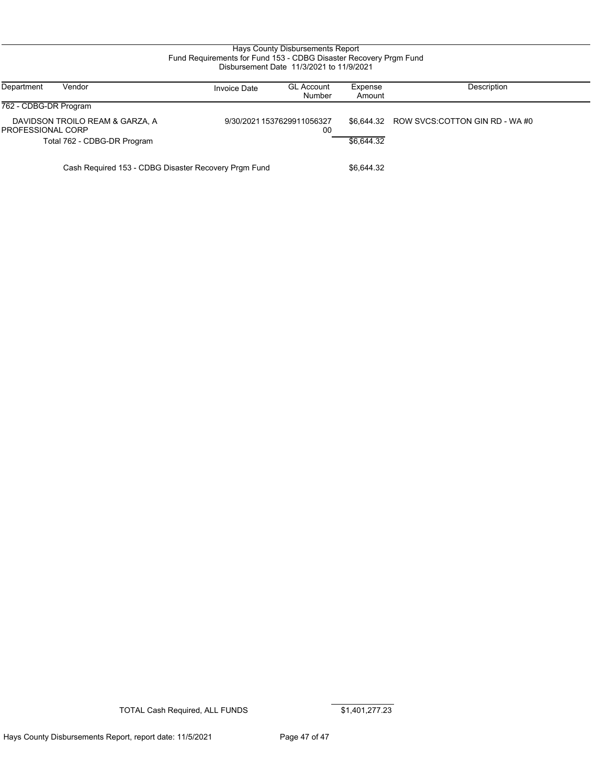### Hays County Disbursements Report Fund Requirements for Fund 153 - CDBG Disaster Recovery Prgm Fund Disbursement Date 11/3/2021 to 11/9/2021

| Department<br>Vendor                                        | <b>Invoice Date</b>                                  | <b>GL Account</b><br>Number | Expense<br>Amount | Description                    |
|-------------------------------------------------------------|------------------------------------------------------|-----------------------------|-------------------|--------------------------------|
| 762 - CDBG-DR Program                                       |                                                      |                             |                   |                                |
| DAVIDSON TROILO REAM & GARZA, A<br><b>PROFESSIONAL CORP</b> | 9/30/2021 1537629911056327                           | 00                          | \$6,644.32        | ROW SVCS:COTTON GIN RD - WA #0 |
| Total 762 - CDBG-DR Program                                 |                                                      |                             | \$6.644.32        |                                |
|                                                             | Cash Required 153 - CDBG Disaster Recovery Prgm Fund | \$6,644.32                  |                   |                                |

TOTAL Cash Required, ALL FUNDS \$1,401,277.23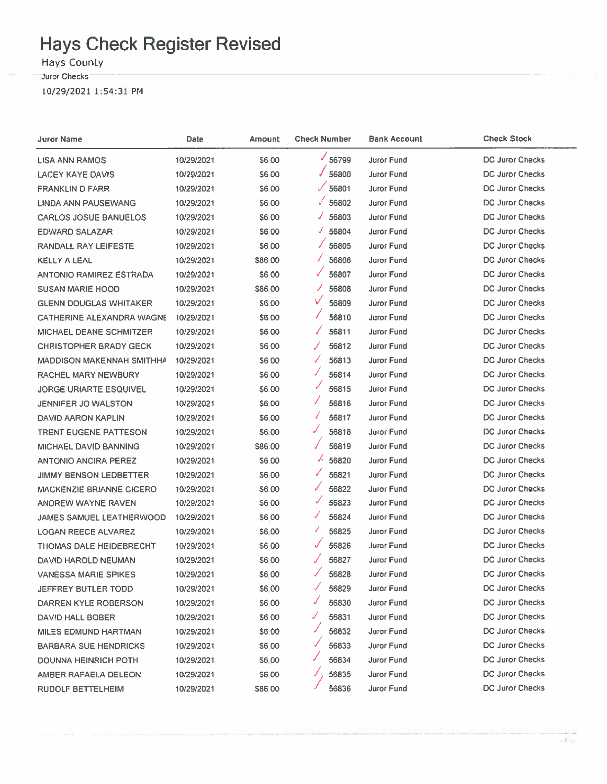# **Hays Check Register Revised**

Hays County

Juror Checks<sup>-</sup>

10/29/2021 1:54:31 PM

| <b>Juror Name</b>                | <b>Date</b> | Amount       | <b>Check Number</b> | <b>Bank Account</b> | <b>Check Stock</b>     |
|----------------------------------|-------------|--------------|---------------------|---------------------|------------------------|
| <b>LISA ANN RAMOS</b>            | 10/29/2021  | S6.00        | $\frac{6}{56799}$   | <b>Juror Fund</b>   | <b>DC Juror Checks</b> |
| LACEY KAYE DAVIS                 | 10/29/2021  | <b>S600</b>  | 56800               | Juror Fund          | DC Juror Checks        |
| <b>FRANKLIN D FARR</b>           | 10/29/2021  | \$6.00       | $\sqrt{56801}$      | <b>Juror Fund</b>   | <b>DC Juror Checks</b> |
| LINDA ANN PAUSEWANG              | 10/29/2021  | \$6.00       | 56802<br>√          | Juror Fund          | DC Juror Checks        |
| <b>CARLOS JOSUE BANUELOS</b>     | 10/29/2021  | \$6.00       | 56803<br>✓          | <b>Juror Fund</b>   | <b>DC Juror Checks</b> |
| <b>EDWARD SALAZAR</b>            | 10/29/2021  | \$6.00       | 56804<br>J          | Juror Fund          | <b>DC Juror Checks</b> |
| <b>RANDALL RAY LEIFESTE</b>      | 10/29/2021  | <b>S6.00</b> | 56805               | Juror Fund          | <b>DC Juror Checks</b> |
| KELLY A LEAL                     | 10/29/2021  | \$86.00      | 56806               | Juror Fund          | <b>DC Juror Checks</b> |
| <b>ANTONIO RAMIREZ ESTRADA</b>   | 10/29/2021  | \$6.00       | 56807               | Juror Fund          | <b>DC Juror Checks</b> |
| SUSAN MARIE HOOD                 | 10/29/2021  | \$86.00      | 56808               | Juror Fund          | <b>DC Juror Checks</b> |
| <b>GLENN DOUGLAS WHITAKER</b>    | 10/29/2021  | \$6.00       | v<br>56809          | <b>Juror Fund</b>   | DC Juror Checks        |
| <b>CATHERINE ALEXANDRA WAGNE</b> | 10/29/2021  | \$6.00       | 56810               | <b>Juror Fund</b>   | <b>DC Juror Checks</b> |
| MICHAEL DEANE SCHMITZER          | 10/29/2021  | \$6.00       | 56811               | Juror Fund          | <b>DC Juror Checks</b> |
| <b>CHRISTOPHER BRADY GECK</b>    | 10/29/2021  | S6.00        | 56812<br>╱          | Juror Fund          | DC Juror Checks        |
| MADDISON MAKENNAH SMITHHA        | 10/29/2021  | \$6.00       | 56813<br>✓          | Juror Fund          | <b>DC Juror Checks</b> |
| RACHEL MARY NEWBURY              | 10/29/2021  | \$6.00       | J<br>56814          | Juror Fund          | <b>DC Juror Checks</b> |
| <b>JORGE URIARTE ESQUIVEL</b>    | 10/29/2021  | \$6.00       | 56815               | Juror Fund          | DC Juror Checks        |
| JENNIFER JO WALSTON              | 10/29/2021  | \$6.00       | ◢<br>56816          | Juror Fund          | DC Juror Checks        |
| DAVID AARON KAPLIN               | 10/29/2021  | \$6.00       | 56817<br>I          | <b>Juror Fund</b>   | <b>DC Juror Checks</b> |
| <b>TRENT EUGENE PATTESON</b>     | 10/29/2021  | \$6.00       | J<br>56818          | Juror Fund          | <b>DC Juror Checks</b> |
| MICHAEL DAVID BANNING            | 10/29/2021  | \$86.00      | 56819               | <b>Juror Fund</b>   | <b>DC Juror Checks</b> |
| <b>ANTONIO ANCIRA PEREZ</b>      | 10/29/2021  | \$6.00       | $\frac{1}{2}$ 56820 | Juror Fund          | <b>DC Juror Checks</b> |
| JIMMY BENSON LEDBETTER           | 10/29/2021  | <b>S6.00</b> | 56821               | Juror Fund          | <b>DC Juror Checks</b> |
| <b>MACKENZIE BRIANNE CICERO</b>  | 10/29/2021  | \$6.00       | ✓<br>56822          | Juror Fund          | DC Juror Checks        |
| ANDREW WAYNE RAVEN               | 10/29/2021  | <b>S6.00</b> | v<br>56823          | Juror Fund          | <b>DC Juror Checks</b> |
| JAMES SAMUEL LEATHERWOOD         | 10/29/2021  | \$6,00       | J<br>56824          | Juror Fund          | <b>DC Juror Checks</b> |
| <b>LOGAN REECE ALVAREZ</b>       | 10/29/2021  | \$6.00       | ◢<br>56825          | Juror Fund          | <b>DC Juror Checks</b> |
| <b>THOMAS DALE HEIDEBRECHT</b>   | 10/29/2021  | \$6,00       | ✓<br>56826          | <b>Juror Fund</b>   | DC Juror Checks        |
| DAVID HAROLD NEUMAN              | 10/29/2021  | \$6.00       | 56827<br>✓          | Juror Fund          | <b>DC Juror Checks</b> |
| <b>VANESSA MARIE SPIKES</b>      | 10/29/2021  | \$6.00       | 56828               | Juror Fund          | <b>DC Juror Checks</b> |
| JEFFREY BUTLER TODD              | 10/29/2021  | \$6.00       | 56829               | Juror Fund          | <b>DC Juror Checks</b> |
| DARREN KYLE ROBERSON             | 10/29/2021  | \$6,00       | 56830               | Juror Fund          | <b>DC Juror Checks</b> |
| DAVID HALL BOBER                 | 10/29/2021  | \$6 00       | 56831<br>J          | Juror Fund          | <b>DC Juror Checks</b> |
| MILES EDMUND HARTMAN             | 10/29/2021  | \$6,00       | 56832               | Juror Fund          | <b>DC Juror Checks</b> |
| <b>BARBARA SUE HENDRICKS</b>     | 10/29/2021  | S6 00        | 56833               | Juror Fund          | <b>DC Juror Checks</b> |
| <b>DOUNNA HEINRICH POTH</b>      | 10/29/2021  | S6.00        | 56834               | Juror Fund          | <b>DC Juror Checks</b> |
| AMBER RAFAELA DELEON             | 10/29/2021  | \$6.00       | 56835<br>J          | <b>Juror Fund</b>   | <b>DC Juror Checks</b> |
| RUDOLF BETTELHEIM                | 10/29/2021  | \$86.00      | 56836               | Juror Fund          | <b>DC Juror Checks</b> |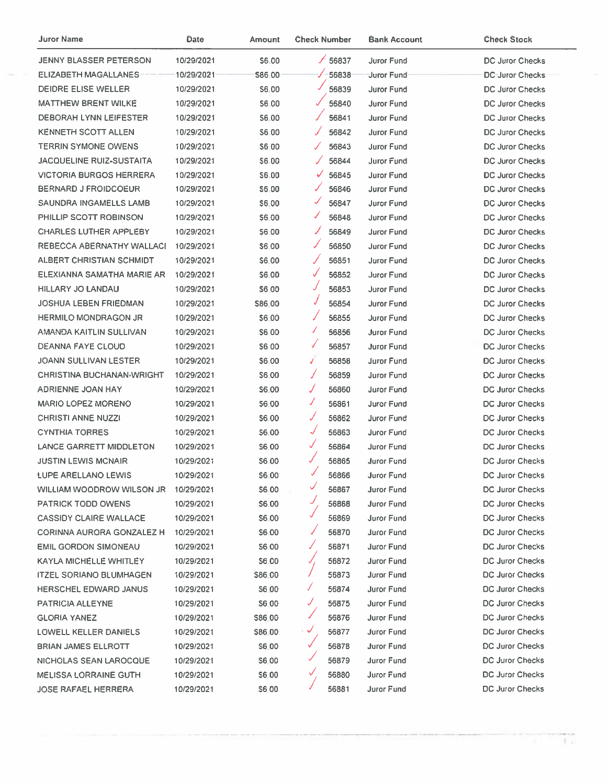| Juror Name                       | Date       | Amount       | <b>Check Number</b> | <b>Bank Account</b> | <b>Check Stock</b>     |
|----------------------------------|------------|--------------|---------------------|---------------------|------------------------|
| <b>JENNY BLASSER PETERSON</b>    | 10/29/2021 | \$6.00       | /56837              | <b>Juror Fund</b>   | <b>DC Juror Checks</b> |
| <b>ELIZABETH MAGALLANES</b>      | 10/29/2021 | \$86.00      | $\sqrt{-56838}$     | -Juror Fund         | <b>DC-Juror Checks</b> |
| <b>DEIDRE ELISE WELLER</b>       | 10/29/2021 | \$6.00       | 56839               | <b>Juror Fund</b>   | DC Juror Checks        |
| <b>MATTHEW BRENT WILKE</b>       | 10/29/2021 | \$6.00       | 56840               | <b>Juror Fund</b>   | DC Juror Checks        |
| <b>DEBORAH LYNN LEIFESTER</b>    | 10/29/2021 | 56.00        | 56841               | <b>Juror Fund</b>   | <b>DC Juror Checks</b> |
| <b>KENNETH SCOTT ALLEN</b>       | 10/29/2021 | \$6,00       | 56842<br>ℐ          | <b>Juror Fund</b>   | DC Juror Checks        |
| <b>TERRIN SYMONE OWENS</b>       | 10/29/2021 | \$6,00       | Í<br>56843          | Juror Fund          | DC Juror Checks        |
| <b>JACQUELINE RUIZ-SUSTAITA</b>  | 10/29/2021 | S6.00        | 56844<br>✓          | Juror Fund          | <b>DC Juror Checks</b> |
| <b>VICTORIA BURGOS HERRERA</b>   | 10/29/2021 | \$6,00       | ✓<br>56845          | Juror Fund          | <b>DC Juror Checks</b> |
| <b>BERNARD J FROIDCOEUR</b>      | 10/29/2021 | S6.00        | 56846               | <b>Juror Fund</b>   | <b>DC Juror Checks</b> |
| SAUNDRA INGAMELLS LAMB           | 10/29/2021 | \$6.00       | J<br>56847          | <b>Juror Fund</b>   | <b>DC Juror Checks</b> |
| PHILLIP SCOTT ROBINSON           | 10/29/2021 | \$6.00       | J<br>56848          | <b>Juror Fund</b>   | <b>DC Juror Checks</b> |
| <b>CHARLES LUTHER APPLEBY</b>    | 10/29/2021 | \$6.00       | ✓<br>56849          | Juror Fund          | <b>DC Juror Checks</b> |
| REBECCA ABERNATHY WALLACH        | 10/29/2021 | \$6.00       | J<br>56850          | <b>Juror Fund</b>   | <b>DC Juror Checks</b> |
| ALBERT CHRISTIAN SCHMIDT         | 10/29/2021 | \$6.00       | 56851               | <b>Juror Fund</b>   | <b>DC Juror Checks</b> |
| ELEXIANNA SAMATHA MARIE AR       | 10/29/2021 | <b>S6.00</b> | √<br>56852          | <b>Juror Fund</b>   | DC Juror Checks        |
| <b>HILLARY JO LANDAU</b>         | 10/29/2021 | \$6.00       | J<br>56853          | <b>Juror Fund</b>   | <b>DC Juror Checks</b> |
| <b>JOSHUA LEBEN FRIEDMAN</b>     | 10/29/2021 | \$86.00      | J<br>56854          | Juror Fund          | DC Juror Checks        |
| <b>HERMILO MONDRAGON JR</b>      | 10/29/2021 | \$6.00       | 56855               | <b>Juror Fund</b>   | DC Juror Checks        |
| AMANDA KAITLIN SULLIVAN          | 10/29/2021 | \$6.00       | ı<br>56856          | <b>Juror Fund</b>   | DC Juror Checks        |
| DEANNA FAYE CLOUD                | 10/29/2021 | <b>S6 00</b> | √<br>56857          | <b>Juror Fund</b>   | <b>DC Juror Checks</b> |
| <b>JOANN SULLIVAN LESTER</b>     | 10/29/2021 | \$6.00       | J<br>56858          | Juror Fund          | DC Juror Checks        |
| <b>CHRISTINA BUCHANAN-WRIGHT</b> | 10/29/2021 | <b>S6.00</b> | 56859<br>J          | Juror Fund          | <b>DC Juror Checks</b> |
| ADRIENNE JOAN HAY                | 10/29/2021 | S6.00        | J<br>56860          | <b>Juror Fund</b>   | <b>DC Juror Checks</b> |
| <b>MARIO LOPEZ MORENO</b>        | 10/29/2021 | <b>S6.00</b> | J.<br>56861         | Juror Fund          | DC Juror Checks        |
| <b>CHRISTI ANNE NUZZI</b>        | 10/29/2021 | \$6.00       | J<br>56862          | <b>Juror Fund</b>   | DC Juror Checks        |
| <b>CYNTHIA TORRES</b>            | 10/29/2021 | \$6.00       | $\sqrt{2}$<br>56863 | <b>Juror Fund</b>   | DC Juror Checks        |
| LANCE GARRETT MIDDLETON          | 10/29/2021 | \$6.00       | √<br>56864          | Juror Fund          | <b>DC Juror Checks</b> |
| <b>JUSTIN LEWIS MCNAIR</b>       | 10/29/2021 | \$6.00       | J<br>56865          | <b>Juror Fund</b>   | DC Juror Checks        |
| LUPE ARELLANO LEWIS              | 10/29/2021 | \$6.00       | 56866               | Juror Fund          | DC Juror Checks        |
| WILLIAM WOODROW WILSON JR        | 10/29/2021 | \$6.00       | ✓<br>56867          | <b>Juror Fund</b>   | DC Juror Checks        |
| PATRICK TODD OWENS               | 10/29/2021 | \$6.00       | J<br>56868          | <b>Juror Fund</b>   | DC Juror Checks        |
| <b>CASSIDY CLAIRE WALLACE</b>    | 10/29/2021 | \$6.00       | 56869               | <b>Juror Fund</b>   | DC Juror Checks        |
| CORINNA AURORA GONZALEZ H        | 10/29/2021 | \$6.00       | 56870               | Juror Fund          | <b>DC Juror Checks</b> |
| <b>EMIL GORDON SIMONEAU</b>      | 10/29/2021 | \$6.00       | 56871<br>ℐ          | <b>Juror Fund</b>   | DC Juror Checks        |
| KAYLA MICHELLE WHITLEY           | 10/29/2021 | \$6.00       | 56872<br>J,         | <b>Juror Fund</b>   | <b>DC Juror Checks</b> |
| <b>ITZEL SORIANO BLUMHAGEN</b>   | 10/29/2021 | \$86.00      | 56873               | <b>Juror Fund</b>   | DC Juror Checks        |
| <b>HERSCHEL EDWARD JANUS</b>     | 10/29/2021 | \$6.00       | ৴<br>56874          | Juror Fund          | DC Juror Checks        |
| <b>PATRICIA ALLEYNE</b>          | 10/29/2021 | \$6.00       | J<br>56875          | Juror Fund          | DC Juror Checks        |
| <b>GLORIA YANEZ</b>              | 10/29/2021 | S86.00       | ℐ<br>56876          | Juror Fund          | DC Juror Checks        |
| <b>LOWELL KELLER DANIELS</b>     | 10/29/2021 | S86.00       | ✓<br>56877          | <b>Juror Fund</b>   | DC Juror Checks        |
| <b>BRIAN JAMES ELLROTT</b>       | 10/29/2021 | S6.00        | J<br>56878          | <b>Juror Fund</b>   | DC Juror Checks        |
| NICHOLAS SEAN LAROCQUE           | 10/29/2021 | <b>S6:00</b> | ✓<br>56879          | Juror Fund          | DC Juror Checks        |
| <b>MELISSA LORRAINE GUTH</b>     | 10/29/2021 | \$6.00       | V<br>56880          | Juror Fund          | <b>DC Juror Checks</b> |
| <b>JOSE RAFAEL HERRERA</b>       | 10/29/2021 | \$6:00       | J<br>56881          | Juror Fund          | DC Juror Checks        |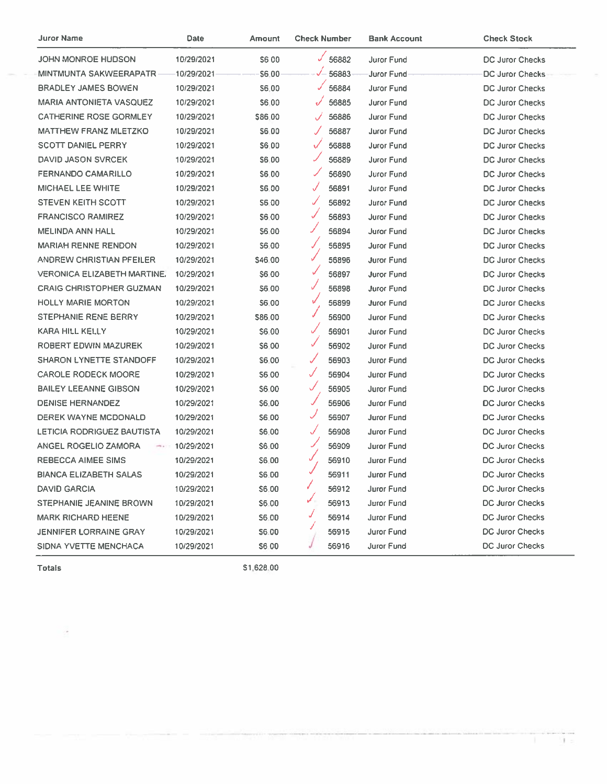| Juror Name                         | Date       | Amount       | <b>Check Number</b> | <b>Bank Account</b> | <b>Check Stock</b>     |
|------------------------------------|------------|--------------|---------------------|---------------------|------------------------|
| JOHN MONROE HUDSON                 | 10/29/2021 | <b>S600</b>  | $\times$ 56882      | <b>Juror Fund</b>   | <b>DC Juror Checks</b> |
| MINTMUNTA SAKWEERAPATR-            | 10/29/2021 | \$6.00       | $\sqrt{-56883}$     | Juror Fund          | DC Juror Checks        |
| <b>BRADLEY JAMES BOWEN</b>         | 10/29/2021 | S6.00        | 56884               | Juror Fund          | DC Juror Checks        |
| <b>MARIA ANTONIETA VASQUEZ</b>     | 10/29/2021 | 56.00        | 56885               | <b>Juror Fund</b>   | DC Juror Checks        |
| CATHERINE ROSE GORMLEY             | 10/29/2021 | \$86.00      | 56886<br>✓          | Juror Fund          | DC Juror Checks        |
| <b>MATTHEW FRANZ MLETZKO</b>       | 10/29/2021 | \$6.00       | 56887<br>✓          | Juror Fund          | DC Juror Checks        |
| <b>SCOTT DANIEL PERRY</b>          | 10/29/2021 | \$6.00       | 56888               | Juror Fund          | <b>DC Juror Checks</b> |
| <b>DAVID JASON SVRCEK</b>          | 10/29/2021 | \$6,00       | 56889               | Juror Fund          | <b>DC Juror Checks</b> |
| <b>FERNANDO CAMARILLO</b>          | 10/29/2021 | \$6,00       | 56890               | Juror Fund          | <b>DC Juror Checks</b> |
| MICHAEL LEE WHITE                  | 10/29/2021 | S6.00        | 56891<br>√          | Juror Fund          | <b>DC Juror Checks</b> |
| <b>STEVEN KEITH SCOTT</b>          | 10/29/2021 | S6 00        | ✓<br>56892          | <b>Juror Fund</b>   | DC Juror Checks        |
| <b>FRANCISCO RAMIREZ</b>           | 10/29/2021 | \$6.00       | ✓<br>56893          | Juror Fund          | DC Juror Checks        |
| MELINDA ANN HALL                   | 10/29/2021 | <b>S600</b>  | 56894               | Juror Fund          | <b>DC Juror Checks</b> |
| <b>MARIAH RENNE RENDON</b>         | 10/29/2021 | \$6.00       | J<br>56895          | Juror Fund          | DC Juror Checks        |
| ANDREW CHRISTIAN PFEILER           | 10/29/2021 | S46.00       | 56896               | Juror Fund          | <b>DC Juror Checks</b> |
| <b>VERONICA ELIZABETH MARTINE.</b> | 10/29/2021 | \$6.00       | 56897               | Juror Fund          | <b>DC Juror Checks</b> |
| <b>CRAIG CHRISTOPHER GUZMAN</b>    | 10/29/2021 | \$6.00       | ✓<br>56898          | <b>Juror Fund</b>   | <b>DC Juror Checks</b> |
| <b>HOLLY MARIE MORTON</b>          | 10/29/2021 | S6.00        | v<br>56899          | <b>Juror Fund</b>   | DC Juror Checks        |
| <b>STEPHANIE RENE BERRY</b>        | 10/29/2021 | \$86.00      | 56900               | Juror Fund          | DC Juror Checks        |
| KARA HILL KELLY                    | 10/29/2021 | \$6.00       | ✓<br>56901          | <b>Juror Fund</b>   | DC Juror Checks        |
| ROBERT EDWIN MAZUREK               | 10/29/2021 | S6 00        | ✓<br>56902          | Juror Fund          | DC Juror Checks        |
| <b>SHARON LYNETTE STANDOFF</b>     | 10/29/2021 | \$6.00       | ✓<br>56903          | Juror Fund          | <b>DC Juror Checks</b> |
| <b>CAROLE RODECK MOORE</b>         | 10/29/2021 | S6 00        | J<br>56904          | <b>Juror Fund</b>   | DC Juror Checks        |
| <b>BAILEY LEEANNE GIBSON</b>       | 10/29/2021 | S6.00        | J<br>56905          | Juror Fund          | DC Juror Checks        |
| <b>DENISE HERNANDEZ</b>            | 10/29/2021 | \$6.00       | 56906               | Juror Fund          | DC Juror Checks        |
| DEREK WAYNE MCDONALD               | 10/29/2021 | \$6.00       | J<br>56907          | Juror Fund          | <b>DC Juror Checks</b> |
| LETICIA RODRIGUEZ BAUTISTA         | 10/29/2021 | \$6.00       | J<br>56908          | <b>Juror Fund</b>   | <b>DC Juror Checks</b> |
| ANGEL ROGELIO ZAMORA<br>mit a      | 10/29/2021 | \$6.00       | ✓<br>56909          | Juror Fund          | <b>DC Juror Checks</b> |
| REBECCA AIMEE SIMS                 | 10/29/2021 | \$6.00       | J<br>56910          | <b>Juror Fund</b>   | DC Juror Checks        |
| <b>BIANCA ELIZABETH SALAS</b>      | 10/29/2021 | \$6.00       | 56911               | Juror Fund          | <b>DC Juror Checks</b> |
| <b>DAVID GARCIA</b>                | 10/29/2021 | \$6.00       | Z.<br>56912         | Juror Fund          | <b>DC Juror Checks</b> |
| <b>STEPHANIE JEANINE BROWN</b>     | 10/29/2021 | S6.00        | 56913               | Juror Fund          | <b>DC Juror Checks</b> |
| <b>MARK RICHARD HEENE</b>          | 10/29/2021 | \$6.00       | 56914               | <b>Juror Fund</b>   | <b>DC Juror Checks</b> |
| <b>JENNIFER LORRAINE GRAY</b>      | 10/29/2021 | S6.00        | 56915               | <b>Juror Fund</b>   | <b>DC Juror Checks</b> |
| SIDNA YVETTE MENCHACA              | 10/29/2021 | <b>S6 00</b> | 56916               | Juror Fund          | <b>DC Juror Checks</b> |

**Totals** 

\$1,628.00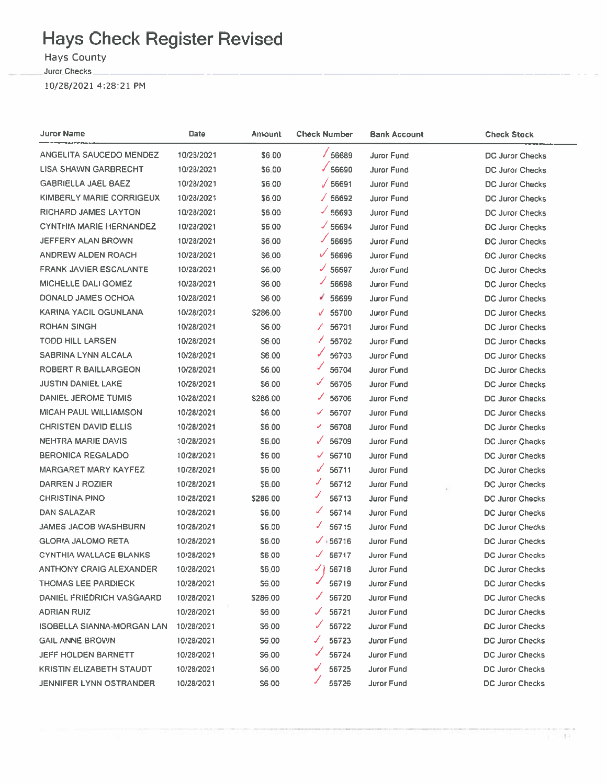# **Hays Check Register Revised**

**Hays County** 

Juror Checks

10/28/2021 4:28:21 PM

| Juror Name                        | Date       | <b>Amount</b> | <b>Check Number</b>   | <b>Bank Account</b> | <b>Check Stock</b>     |
|-----------------------------------|------------|---------------|-----------------------|---------------------|------------------------|
| ANGELITA SAUCEDO MENDEZ           | 10/28/2021 | \$6.00        | $\times$ 56689        | <b>Juror Fund</b>   | DC Juror Checks        |
| <b>LISA SHAWN GARBRECHT</b>       | 10/28/2021 | \$6.00        | $\times$ 56690        | <b>Juror Fund</b>   | DC Juror Checks        |
| <b>GABRIELLA JAEL BAEZ</b>        | 10/28/2021 | \$6.00        | $\sqrt{56691}$        | Juror Fund          | DC Juror Checks        |
| KIMBERLY MARIE CORRIGEUX          | 10/28/2021 | \$6.00        | √ 56692               | Juror Fund          | <b>DC Juror Checks</b> |
| <b>RICHARD JAMES LAYTON</b>       | 10/28/2021 | \$6.00        | $\times$ 56693        | Juror Fund          | DC Juror Checks        |
| <b>CYNTHIA MARIE HERNANDEZ</b>    | 10/28/2021 | \$6.00        | $\times$ 56694        | <b>Juror Fund</b>   | <b>DC Juror Checks</b> |
| JEFFERY ALAN BROWN                | 10/28/2021 | \$6,00        | $\times$ 56695        | <b>Juror Fund</b>   | DC Juror Checks        |
| ANDREW ALDEN ROACH                | 10/28/2021 | \$6,00        | $\sqrt{56696}$        | Juror Fund          | DC Juror Checks        |
| <b>FRANK JAVIER ESCALANTE</b>     | 10/28/2021 | \$6,00        | $\times$ 56697        | <b>Juror Fund</b>   | DC Juror Checks        |
| MICHELLE DALI GOMEZ               | 10/28/2021 | <b>S6.00</b>  | J.<br>56698           | Juror Fund          | DC Juror Checks        |
| DONALD JAMES OCHOA                | 10/28/2021 | <b>S600</b>   | 56699<br>v.           | Juror Fund          | DC Juror Checks        |
| KARINA YACIL OGUNLANA             | 10/28/2021 | \$286.00      | $\sqrt{56700}$        | Juror Fund          | <b>DC Juror Checks</b> |
| <b>ROHAN SINGH</b>                | 10/28/2021 | \$6.00        | 56701<br>Γ            | Juror Fund          | DC Juror Checks        |
| <b>TODD HILL LARSEN</b>           | 10/28/2021 | <b>S6.00</b>  | Z.<br>56702           | Juror Fund          | DC Juror Checks        |
| <b>SABRINA LYNN ALCALA</b>        | 10/28/2021 | \$6.00        | 56703                 | Juror Fund          | DC Juror Checks        |
| ROBERT R BAILLARGEON              | 10/28/2021 | \$6.00        | 56704                 | Juror Fund          | <b>DC Juror Checks</b> |
| <b>JUSTIN DANIEL LAKE</b>         | 10/28/2021 | \$6.00        | $\checkmark$<br>56705 | <b>Juror Fund</b>   | DC Juror Checks        |
| DANIEL JEROME TUMIS               | 10/28/2021 | \$286.00      | ✓<br>56706            | Juror Fund          | DC Juror Checks        |
| MICAH PAUL WILLIAMSON             | 10/28/2021 | \$6.00        | 56707<br>✓            | Juror Fund          | <b>DC Juror Checks</b> |
| <b>CHRISTEN DAVID ELLIS</b>       | 10/28/2021 | S6.00         | 56708<br>╯            | <b>Juror Fund</b>   | DC Juror Checks        |
| <b>NEHTRA MARIE DAVIS</b>         | 10/28/2021 | \$6.00        | 56709<br>✓            | <b>Juror Fund</b>   | DC Juror Checks        |
| <b>BERONICA REGALADO</b>          | 10/28/2021 | <b>S600</b>   | 56710<br>✓            | Juror Fund          | DC Juror Checks        |
| <b>MARGARET MARY KAYFEZ</b>       | 10/28/2021 | \$6.00        | 56711<br>✓            | <b>Juror Fund</b>   | DC Juror Checks        |
| DARREN J ROZIER                   | 10/28/2021 | \$6,00        | J<br>56712            | <b>Juror Fund</b>   | DC Juror Checks        |
| <b>CHRISTINA PINO</b>             | 10/28/2021 | \$286.00      | J<br>56713            | <b>Juror Fund</b>   | DC Juror Checks        |
| DAN SALAZAR                       | 10/28/2021 | <b>S6.00</b>  | ✓<br>56714            | Juror Fund          | DC Juror Checks        |
| <b>JAMES JACOB WASHBURN</b>       | 10/28/2021 | \$6.00        | ✓<br>56715            | <b>Juror Fund</b>   | <b>DC Juror Checks</b> |
| <b>GLORIA JALOMO RETA</b>         | 10/28/2021 | S6.00         | $\times$ +56716       | Juror Fund          | DC Juror Checks        |
| <b>CYNTHIA WALLACE BLANKS</b>     | 10/28/2021 | \$6.00        | 56717<br>J.           | Juror Fund          | <b>DC Juror Checks</b> |
| ANTHONY CRAIG ALEXANDER           | 10/28/2021 | \$6,00        | √∤ 56718              | <b>Juror Fund</b>   | DC Juror Checks        |
| <b>THOMAS LEE PARDIECK</b>        | 10/28/2021 | \$6.00        | ✔<br>56719            | Juror Fund          | DC Juror Checks        |
| DANIEL FRIEDRICH VASGAARD         | 10/28/2021 | \$286.00      | 56720                 | Juror Fund          | <b>DC Juror Checks</b> |
| ADRIAN RUIZ                       | 10/28/2021 | \$6.00        | 56721                 | <b>Juror Fund</b>   | DC Juror Checks        |
| <b>ISOBELLA SIANNA-MORGAN LAN</b> | 10/28/2021 | \$6.00        | 56722                 | <b>Juror Fund</b>   | DC Juror Checks        |
| <b>GAIL ANNE BROWN</b>            | 10/28/2021 | S6.00         | 56723                 | Juror Fund          | <b>DC Juror Checks</b> |
| <b>JEFF HOLDEN BARNETT</b>        | 10/28/2021 | \$6.00        | 56724                 | Juror Fund          | <b>DC Juror Checks</b> |
| <b>KRISTIN ELIZABETH STAUDT</b>   | 10/28/2021 | \$6.00        | 56725                 | <b>Juror Fund</b>   | <b>DC Juror Checks</b> |
| <b>JENNIFER LYNN OSTRANDER</b>    | 10/28/2021 | <b>S600</b>   | 56726                 | Juror Fund          | DC Juror Checks        |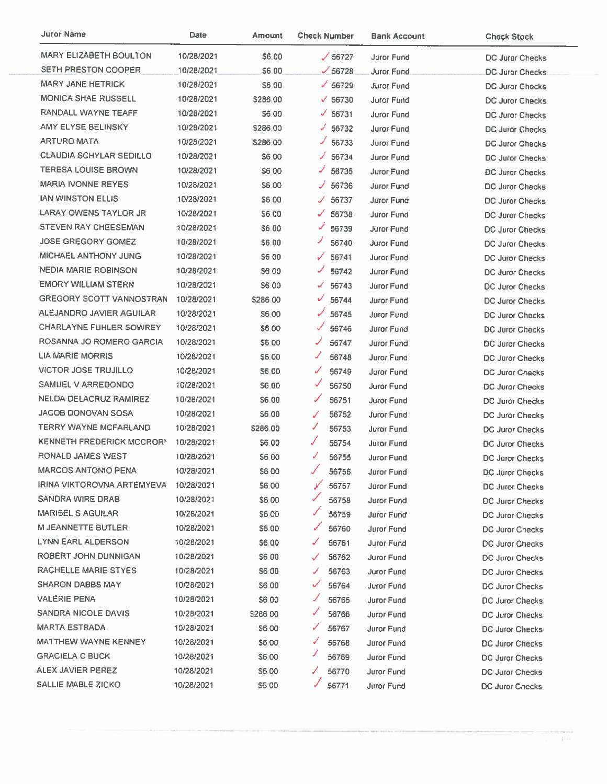| <b>Juror Name</b>                | Date       | Amount          | <b>Check Number</b>   | <b>Bank Account</b> | <b>Check Stock</b>     |
|----------------------------------|------------|-----------------|-----------------------|---------------------|------------------------|
| <b>MARY ELIZABETH BOULTON</b>    | 10/28/2021 | <b>S6.00</b>    | $\times$ 56727        | <b>Juror Fund</b>   | DC Juror Checks        |
| <b>SETH PRESTON COOPER</b>       | 10/28/2021 | \$6,00          | $\times$ 56728        | Juror Fund          | DC Juror Checks        |
| MARY JANE HETRICK                | 10/28/2021 | S6.00           | $\times$ 56729        | <b>Juror Fund</b>   | DC Juror Checks        |
| <b>MONICA SHAE RUSSELL</b>       | 10/28/2021 | \$286.00        | $\times$ 56730        | Juror Fund          | DC Juror Checks        |
| RANDALL WAYNE TEAFF              | 10/28/2021 | \$6.00          | $\times$ 56731        | Juror Fund          | <b>DC Juror Checks</b> |
| AMY ELYSE BELINSKY               | 10/28/2021 | \$286.00        | $\times$ 56732        | <b>Juror Fund</b>   | DC Juror Checks        |
| <b>ARTURO MATA</b>               | 10/28/2021 | \$286.00        | ৴<br>56733            | Juror Fund          | DC Juror Checks        |
| <b>CLAUDIA SCHYLAR SEDILLO</b>   | 10/28/2021 | S6.00           | ✓<br>56734            | Juror Fund          | DC Juror Checks        |
| <b>TERESA LOUISE BROWN</b>       | 10/28/2021 | S6.00           | ◢<br>56735            | Juror Fund          | <b>DC Juror Checks</b> |
| <b>MARIA IVONNE REYES</b>        | 10/28/2021 | S6.00           | 56736<br>✓            | Juror Fund          | DC Juror Checks        |
| <b>IAN WINSTON ELLIS</b>         | 10/28/2021 | \$6.00          | ৴<br>56737            | <b>Juror Fund</b>   | DC Juror Checks        |
| LARAY OWENS TAYLOR JR            | 10/28/2021 | \$6.00          | 56738                 | Juror Fund          | DC Juror Checks        |
| <b>STEVEN RAY CHEESEMAN</b>      | 10/28/2021 | \$6.00          | ✓<br>56739            | <b>Juror Fund</b>   | <b>DC Juror Checks</b> |
| <b>JOSE GREGORY GOMEZ</b>        | 10/28/2021 | \$6.00          | ◢<br>56740            | Juror Fund          | DC Juror Checks        |
| <b>MICHAEL ANTHONY JUNG</b>      | 10/28/2021 | S6 00           | 56741<br>✓            | Juror Fund          | DC Juror Checks        |
| <b>NEDIA MARIE ROBINSON</b>      | 10/28/2021 | \$6,00          | ✓<br>56742            | Juror Fund          | DC Juror Checks        |
| <b>EMORY WILLIAM STERN</b>       | 10/28/2021 | \$6.00          | 56743<br>✓            | Juror Fund          | <b>DC Juror Checks</b> |
| <b>GREGORY SCOTT VANNOSTRAN</b>  | 10/28/2021 | <b>\$286.00</b> | ✓<br>56744            | <b>Juror Fund</b>   | DC Juror Checks        |
| ALEJANDRO JAVIER AGUILAR         | 10/28/2021 | \$6.00          | 56745                 | Juror Fund          | DC Juror Checks        |
| CHARLAYNE FUHLER SOWREY          | 10/28/2021 | \$6.00          | Ν<br>56746            | <b>Juror Fund</b>   | DC Juror Checks        |
| ROSANNA JO ROMERO GARCIA         | 10/28/2021 | \$6.00          | 56747<br>✓            | <b>Juror Fund</b>   | DC Juror Checks        |
| LIA MARIE MORRIS                 | 10/28/2021 | \$6.00          | L<br>56748            | <b>Juror Fund</b>   | DC Juror Checks        |
| <b>VICTOR JOSE TRUJILLO</b>      | 10/28/2021 | \$6,00          | ✓<br>56749            | <b>Juror Fund</b>   | DC Juror Checks        |
| SAMUEL V ARREDONDO               | 10/28/2021 | \$6.00          | ✓<br>56750            | Juror Fund          | <b>DC Juror Checks</b> |
| NELDA DELACRUZ RAMIREZ           | 10/28/2021 | S6.00           | ✓<br>56751            | <b>Juror Fund</b>   | <b>DC Juror Checks</b> |
| JACOB DONOVAN SOSA               | 10/28/2021 | \$6.00          | $\checkmark$<br>56752 | Juror Fund          | DC Juror Checks        |
| TERRY WAYNE MCFARLAND            | 10/28/2021 | \$286.00        | ◢<br>56753            | <b>Juror Fund</b>   | DC Juror Checks        |
| <b>KENNETH FREDERICK MCCRORY</b> | 10/28/2021 | \$6.00          | J<br>56754            | Juror Fund          | <b>DC Juror Checks</b> |
| RONALD JAMES WEST                | 10/28/2021 | \$6.00          | ✓<br>56755            | Juror Fund          | DC Juror Checks        |
| <b>MARCOS ANTONIO PENA</b>       | 10/28/2021 | \$6,00          | 56756                 | Juror Fund          | DC Juror Checks        |
| IRINA VIKTOROVNA ARTEMYEVA       | 10/28/2021 | 56.00           | У<br>56757            | Juror Fund          | DC Juror Checks        |
| SANDRA WIRE DRAB                 | 10/28/2021 | S6.00           | 56758                 | <b>Juror Fund</b>   | <b>DC Juror Checks</b> |
| <b>MARIBEL S AGUILAR</b>         | 10/28/2021 | \$6,00          | ✓<br>56759            | Juror Fund          | DC Juror Checks        |
| <b>M JEANNETTE BUTLER</b>        | 10/28/2021 | \$6.00          | 56760                 | <b>Juror Fund</b>   | DC Juror Checks        |
| LYNN EARL ALDERSON               | 10/28/2021 | \$6,00          | 56761<br>✓            | Juror Fund          | <b>DC Juror Checks</b> |
| ROBERT JOHN DUNNIGAN             | 10/28/2021 | \$6.00          | 56762<br>✓            | <b>Juror Fund</b>   | DC Juror Checks        |
| RACHELLE MARIE STYES             | 10/28/2021 | \$6.00          | 56763<br>J            | Juror Fund          | <b>DC Juror Checks</b> |
| SHARON DABBS MAY                 | 10/28/2021 | \$6,00          | ✓<br>56764            | Juror Fund          | DC Juror Checks        |
| VALERIE PENA                     | 10/28/2021 | <b>S6.00</b>    | 56765                 | Juror Fund          | <b>DC Juror Checks</b> |
| SANDRA NICOLE DAVIS              | 10/28/2021 | \$286.00        | 56766<br>✓            | Juror Fund          | DC Juror Checks        |
| <b>MARTA ESTRADA</b>             | 10/28/2021 | \$6.00          | 56767<br>✓            | Juror Fund          | DC Juror Checks        |
| MATTHEW WAYNE KENNEY             | 10/28/2021 | \$6.00          | ✓<br>56768            | <b>Juror Fund</b>   | DC Juror Checks        |
| <b>GRACIELA C BUCK</b>           | 10/28/2021 | S6.00           | ৴<br>56769            | Juror Fund          | DC Juror Checks        |
| ALEX JAVIER PEREZ                | 10/28/2021 | S6.00           | 56770                 | Juror Fund          | DC Juror Checks        |
| <b>SALLIE MABLE ZICKO</b>        | 10/28/2021 | \$6.00          | 56771                 | Juror Fund          | <b>DC Juror Checks</b> |

 $\sim$